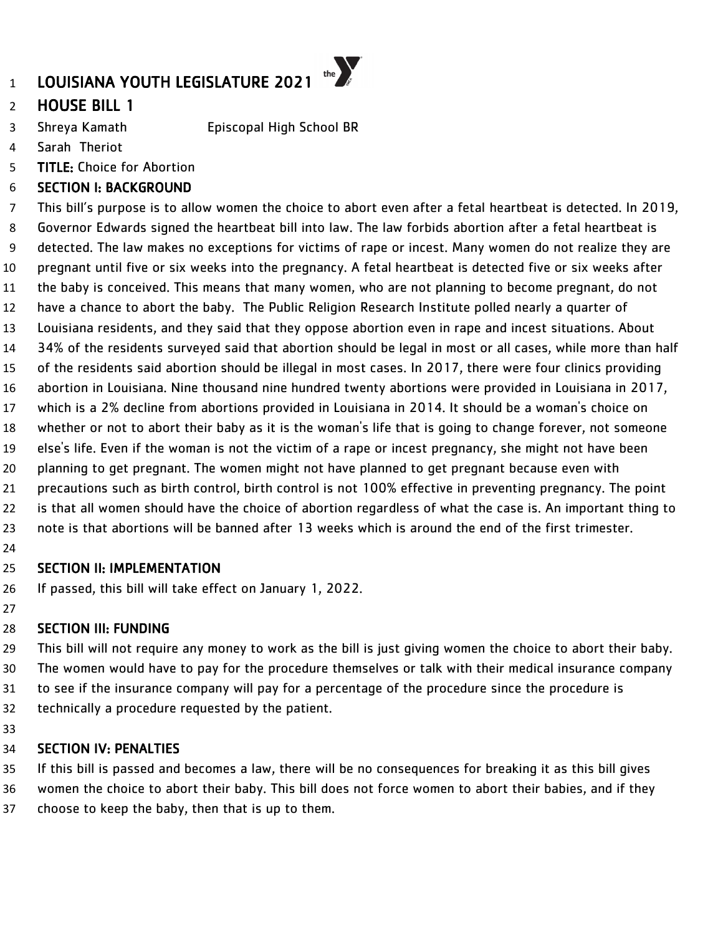# HOUSE BILL 1

- Shreya Kamath Episcopal High School BR
- Sarah Theriot
- TITLE: Choice for Abortion

### SECTION I: BACKGROUND

 This bill's purpose is to allow women the choice to abort even after a fetal heartbeat is detected. In 2019, Governor Edwards signed the heartbeat bill into law. The law forbids abortion after a fetal heartbeat is detected. The law makes no exceptions for victims of rape or incest. Many women do not realize they are pregnant until five or six weeks into the pregnancy. A fetal heartbeat is detected five or six weeks after the baby is conceived. This means that many women, who are not planning to become pregnant, do not have a chance to abort the baby. The Public Religion Research Institute polled nearly a quarter of Louisiana residents, and they said that they oppose abortion even in rape and incest situations. About 34% of the residents surveyed said that abortion should be legal in most or all cases, while more than half of the residents said abortion should be illegal in most cases. In 2017, there were four clinics providing abortion in Louisiana. Nine thousand nine hundred twenty abortions were provided in Louisiana in 2017, which is a 2% decline from abortions provided in Louisiana in 2014. It should be a woman's choice on whether or not to abort their baby as it is the woman's life that is going to change forever, not someone else's life. Even if the woman is not the victim of a rape or incest pregnancy, she might not have been planning to get pregnant. The women might not have planned to get pregnant because even with precautions such as birth control, birth control is not 100% effective in preventing pregnancy. The point is that all women should have the choice of abortion regardless of what the case is. An important thing to note is that abortions will be banned after 13 weeks which is around the end of the first trimester. 

### SECTION II: IMPLEMENTATION

If passed, this bill will take effect on January 1, 2022.

### SECTION III: FUNDING

 This bill will not require any money to work as the bill is just giving women the choice to abort their baby. The women would have to pay for the procedure themselves or talk with their medical insurance company to see if the insurance company will pay for a percentage of the procedure since the procedure is technically a procedure requested by the patient.

### SECTION IV: PENALTIES

 If this bill is passed and becomes a law, there will be no consequences for breaking it as this bill gives women the choice to abort their baby. This bill does not force women to abort their babies, and if they choose to keep the baby, then that is up to them.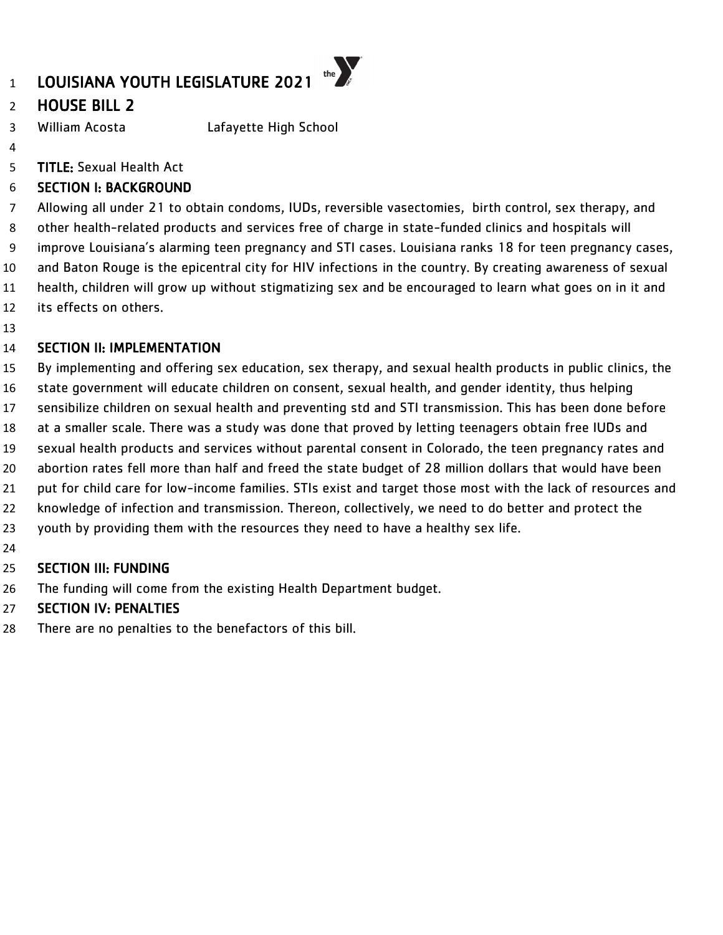# LOUISIANA YOUTH LEGISLATURE 2021

# HOUSE BILL 2

William Acosta Lafayette High School

- 
- TITLE: Sexual Health Act

# SECTION I: BACKGROUND

 Allowing all under 21 to obtain condoms, IUDs, reversible vasectomies, birth control, sex therapy, and other health-related products and services free of charge in state-funded clinics and hospitals will improve Louisiana's alarming teen pregnancy and STI cases. Louisiana ranks 18 for teen pregnancy cases, and Baton Rouge is the epicentral city for HIV infections in the country. By creating awareness of sexual health, children will grow up without stigmatizing sex and be encouraged to learn what goes on in it and its effects on others.

the  $\sum_{s}$ 

### SECTION II: IMPLEMENTATION

By implementing and offering sex education, sex therapy, and sexual health products in public clinics, the

- state government will educate children on consent, sexual health, and gender identity, thus helping
- sensibilize children on sexual health and preventing std and STI transmission. This has been done before
- at a smaller scale. There was a study was done that proved by letting teenagers obtain free IUDs and
- sexual health products and services without parental consent in Colorado, the teen pregnancy rates and
- abortion rates fell more than half and freed the state budget of 28 million dollars that would have been
- put for child care for low-income families. STIs exist and target those most with the lack of resources and
- knowledge of infection and transmission. Thereon, collectively, we need to do better and protect the
- youth by providing them with the resources they need to have a healthy sex life.
- 

# SECTION III: FUNDING

The funding will come from the existing Health Department budget.

# SECTION IV: PENALTIES

There are no penalties to the benefactors of this bill.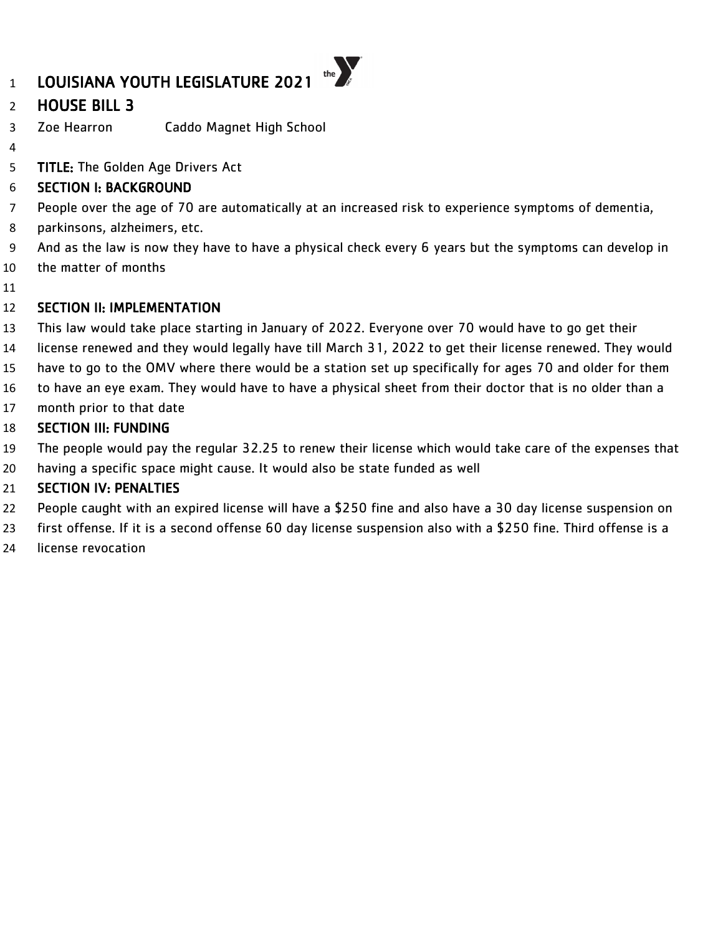# LOUISIANA YOUTH LEGISLATURE 2021

# HOUSE BILL 3

- Zoe Hearron Caddo Magnet High School
- 
- **TITLE:** The Golden Age Drivers Act

# SECTION I: BACKGROUND

People over the age of 70 are automatically at an increased risk to experience symptoms of dementia,

the  $\sum_{\beta}$ 

- parkinsons, alzheimers, etc.
- And as the law is now they have to have a physical check every 6 years but the symptoms can develop in
- the matter of months
- 

### SECTION II: IMPLEMENTATION

- This law would take place starting in January of 2022. Everyone over 70 would have to go get their
- license renewed and they would legally have till March 31, 2022 to get their license renewed. They would
- have to go to the OMV where there would be a station set up specifically for ages 70 and older for them
- to have an eye exam. They would have to have a physical sheet from their doctor that is no older than a
- month prior to that date

# SECTION III: FUNDING

- The people would pay the regular 32.25 to renew their license which would take care of the expenses that
- having a specific space might cause. It would also be state funded as well

- People caught with an expired license will have a \$250 fine and also have a 30 day license suspension on
- first offense. If it is a second offense 60 day license suspension also with a \$250 fine. Third offense is a
- license revocation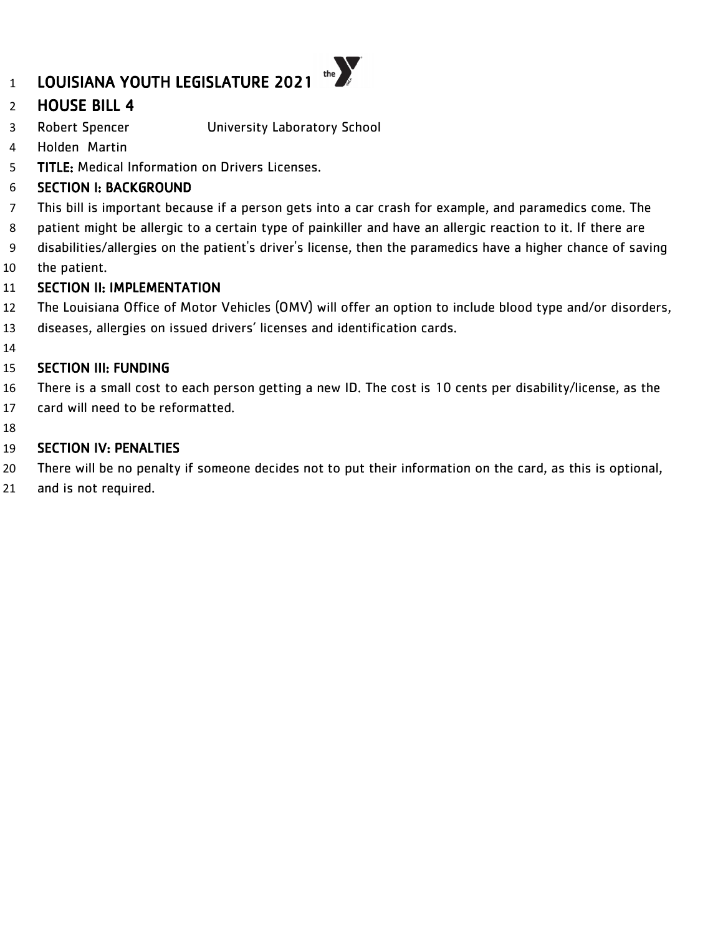# HOUSE BILL 4

- Robert Spencer University Laboratory School
- Holden Martin
- TITLE: Medical Information on Drivers Licenses.

### SECTION I: BACKGROUND

- This bill is important because if a person gets into a car crash for example, and paramedics come. The
- patient might be allergic to a certain type of painkiller and have an allergic reaction to it. If there are
- disabilities/allergies on the patient's driver's license, then the paramedics have a higher chance of saving
- the patient.

### SECTION II: IMPLEMENTATION

- The Louisiana Office of Motor Vehicles (OMV) will offer an option to include blood type and/or disorders,
- diseases, allergies on issued drivers' licenses and identification cards.
- 

### SECTION III: FUNDING

- There is a small cost to each person getting a new ID. The cost is 10 cents per disability/license, as the
- card will need to be reformatted.
- 

- There will be no penalty if someone decides not to put their information on the card, as this is optional,
- and is not required.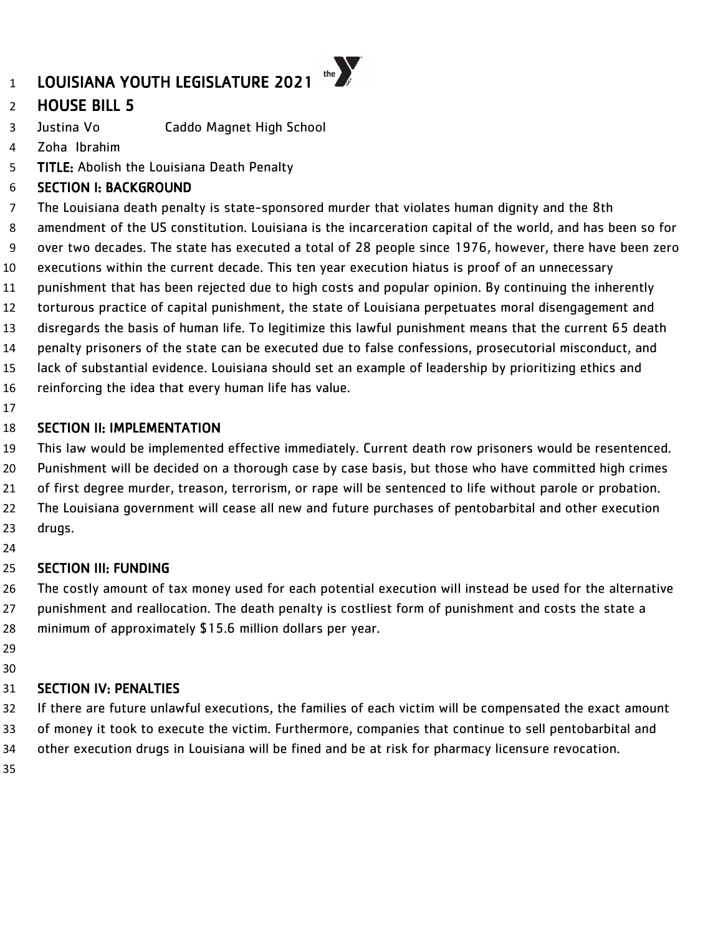# HOUSE BILL 5

Justina Vo Caddo Magnet High School

- Zoha Ibrahim
- **TITLE:** Abolish the Louisiana Death Penalty

# SECTION I: BACKGROUND

 The Louisiana death penalty is state-sponsored murder that violates human dignity and the 8th amendment of the US constitution. Louisiana is the incarceration capital of the world, and has been so for over two decades. The state has executed a total of 28 people since 1976, however, there have been zero executions within the current decade. This ten year execution hiatus is proof of an unnecessary punishment that has been rejected due to high costs and popular opinion. By continuing the inherently torturous practice of capital punishment, the state of Louisiana perpetuates moral disengagement and disregards the basis of human life. To legitimize this lawful punishment means that the current 65 death penalty prisoners of the state can be executed due to false confessions, prosecutorial misconduct, and lack of substantial evidence. Louisiana should set an example of leadership by prioritizing ethics and reinforcing the idea that every human life has value.

### SECTION II: IMPLEMENTATION

This law would be implemented effective immediately. Current death row prisoners would be resentenced.

Punishment will be decided on a thorough case by case basis, but those who have committed high crimes

- of first degree murder, treason, terrorism, or rape will be sentenced to life without parole or probation.
- The Louisiana government will cease all new and future purchases of pentobarbital and other execution drugs.
- 

### SECTION III: FUNDING

 The costly amount of tax money used for each potential execution will instead be used for the alternative punishment and reallocation. The death penalty is costliest form of punishment and costs the state a minimum of approximately \$15.6 million dollars per year.

- 
- 

### SECTION IV: PENALTIES

 If there are future unlawful executions, the families of each victim will be compensated the exact amount of money it took to execute the victim. Furthermore, companies that continue to sell pentobarbital and other execution drugs in Louisiana will be fined and be at risk for pharmacy licensure revocation.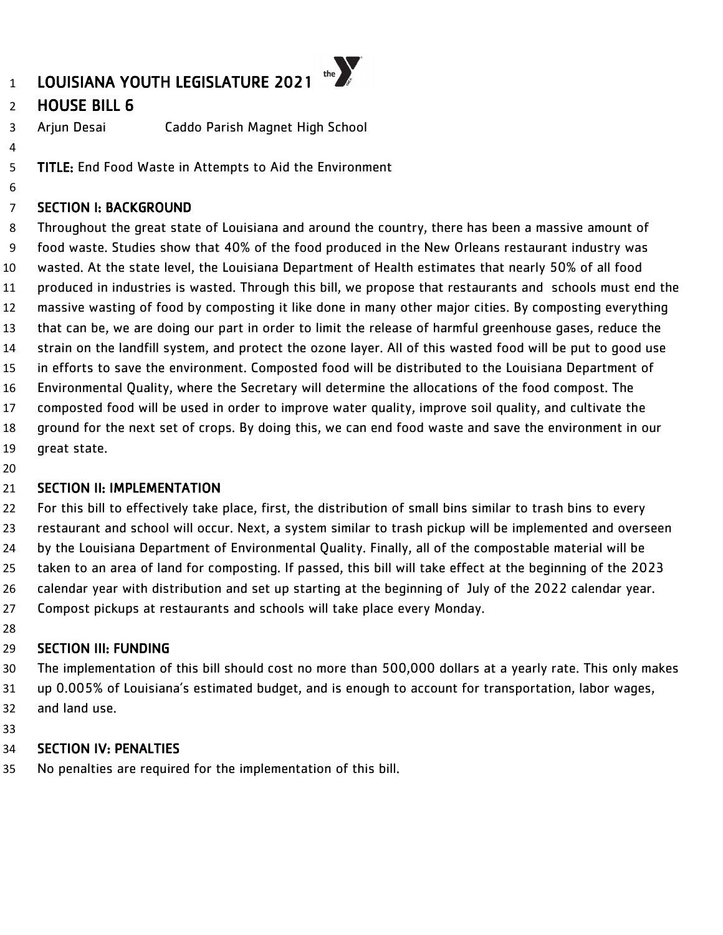# HOUSE BILL 6

Arjun Desai Caddo Parish Magnet High School

TITLE: End Food Waste in Attempts to Aid the Environment

#### SECTION I: BACKGROUND

 Throughout the great state of Louisiana and around the country, there has been a massive amount of food waste. Studies show that 40% of the food produced in the New Orleans restaurant industry was wasted. At the state level, the Louisiana Department of Health estimates that nearly 50% of all food produced in industries is wasted. Through this bill, we propose that restaurants and schools must end the massive wasting of food by composting it like done in many other major cities. By composting everything that can be, we are doing our part in order to limit the release of harmful greenhouse gases, reduce the strain on the landfill system, and protect the ozone layer. All of this wasted food will be put to good use in efforts to save the environment. Composted food will be distributed to the Louisiana Department of Environmental Quality, where the Secretary will determine the allocations of the food compost. The composted food will be used in order to improve water quality, improve soil quality, and cultivate the ground for the next set of crops. By doing this, we can end food waste and save the environment in our great state.

#### 21 SECTION II: IMPLEMENTATION

 For this bill to effectively take place, first, the distribution of small bins similar to trash bins to every restaurant and school will occur. Next, a system similar to trash pickup will be implemented and overseen by the Louisiana Department of Environmental Quality. Finally, all of the compostable material will be taken to an area of land for composting. If passed, this bill will take effect at the beginning of the 2023 calendar year with distribution and set up starting at the beginning of July of the 2022 calendar year. Compost pickups at restaurants and schools will take place every Monday.

### SECTION III: FUNDING

 The implementation of this bill should cost no more than 500,000 dollars at a yearly rate. This only makes up 0.005% of Louisiana's estimated budget, and is enough to account for transportation, labor wages, and land use.

### SECTION IV: PENALTIES

No penalties are required for the implementation of this bill.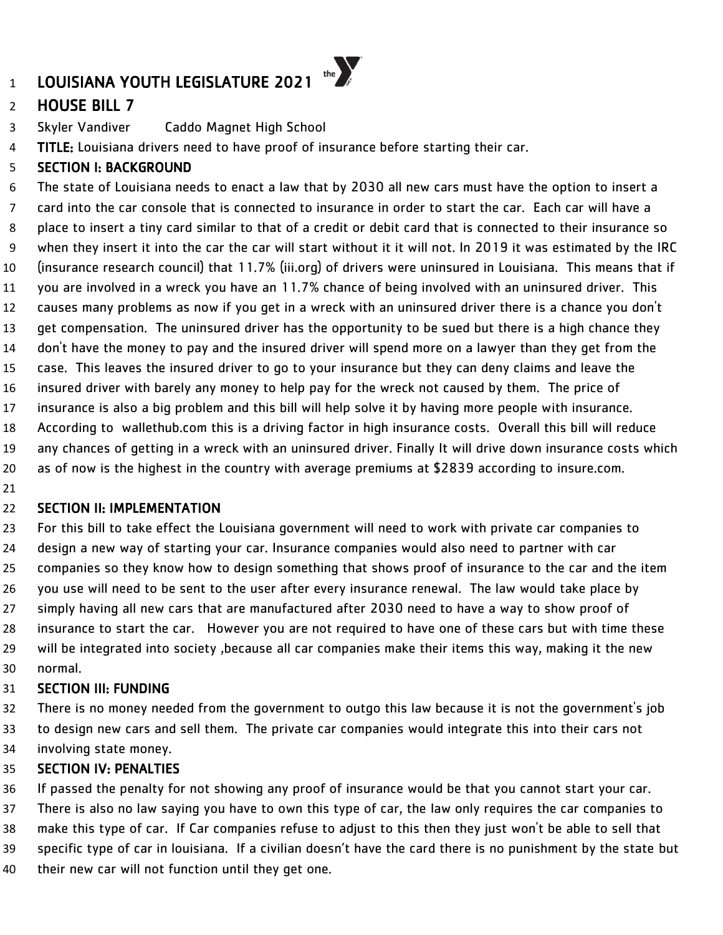# HOUSE BILL 7

- Skyler Vandiver Caddo Magnet High School
- 4 TITLE: Louisiana drivers need to have proof of insurance before starting their car.

### SECTION I: BACKGROUND

 The state of Louisiana needs to enact a law that by 2030 all new cars must have the option to insert a card into the car console that is connected to insurance in order to start the car. Each car will have a place to insert a tiny card similar to that of a credit or debit card that is connected to their insurance so when they insert it into the car the car will start without it it will not. In 2019 it was estimated by the IRC (insurance research council) that 11.7% (iii.org) of drivers were uninsured in Louisiana. This means that if you are involved in a wreck you have an 11.7% chance of being involved with an uninsured driver. This causes many problems as now if you get in a wreck with an uninsured driver there is a chance you don't get compensation. The uninsured driver has the opportunity to be sued but there is a high chance they don't have the money to pay and the insured driver will spend more on a lawyer than they get from the case. This leaves the insured driver to go to your insurance but they can deny claims and leave the insured driver with barely any money to help pay for the wreck not caused by them. The price of insurance is also a big problem and this bill will help solve it by having more people with insurance. According to wallethub.com this is a driving factor in high insurance costs. Overall this bill will reduce any chances of getting in a wreck with an uninsured driver. Finally It will drive down insurance costs which as of now is the highest in the country with average premiums at \$2839 according to insure.com. 

### SECTION II: IMPLEMENTATION

 For this bill to take effect the Louisiana government will need to work with private car companies to design a new way of starting your car. Insurance companies would also need to partner with car companies so they know how to design something that shows proof of insurance to the car and the item you use will need to be sent to the user after every insurance renewal. The law would take place by simply having all new cars that are manufactured after 2030 need to have a way to show proof of insurance to start the car. However you are not required to have one of these cars but with time these will be integrated into society ,because all car companies make their items this way, making it the new normal.

#### SECTION III: FUNDING

 There is no money needed from the government to outgo this law because it is not the government's job to design new cars and sell them. The private car companies would integrate this into their cars not involving state money.

### SECTION IV: PENALTIES

If passed the penalty for not showing any proof of insurance would be that you cannot start your car.

 There is also no law saying you have to own this type of car, the law only requires the car companies to make this type of car. If Car companies refuse to adjust to this then they just won't be able to sell that

specific type of car in louisiana. If a civilian doesn't have the card there is no punishment by the state but

their new car will not function until they get one.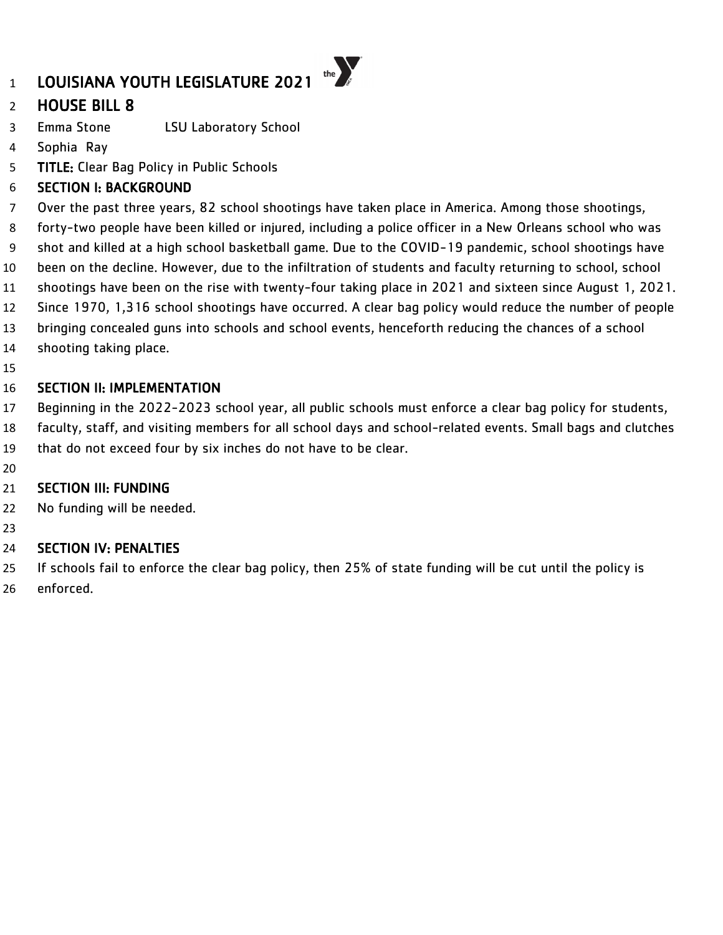# HOUSE BILL 8

- Emma Stone LSU Laboratory School
- Sophia Ray
- TITLE: Clear Bag Policy in Public Schools

### SECTION I: BACKGROUND

- Over the past three years, 82 school shootings have taken place in America. Among those shootings,
- forty-two people have been killed or injured, including a police officer in a New Orleans school who was
- shot and killed at a high school basketball game. Due to the COVID-19 pandemic, school shootings have
- been on the decline. However, due to the infiltration of students and faculty returning to school, school
- shootings have been on the rise with twenty-four taking place in 2021 and sixteen since August 1, 2021.
- Since 1970, 1,316 school shootings have occurred. A clear bag policy would reduce the number of people
- bringing concealed guns into schools and school events, henceforth reducing the chances of a school
- shooting taking place.
- 

### SECTION II: IMPLEMENTATION

- Beginning in the 2022-2023 school year, all public schools must enforce a clear bag policy for students,
- faculty, staff, and visiting members for all school days and school-related events. Small bags and clutches
- that do not exceed four by six inches do not have to be clear.
- 

# SECTION III: FUNDING

- No funding will be needed.
- 

# SECTION IV: PENALTIES

 If schools fail to enforce the clear bag policy, then 25% of state funding will be cut until the policy is enforced.

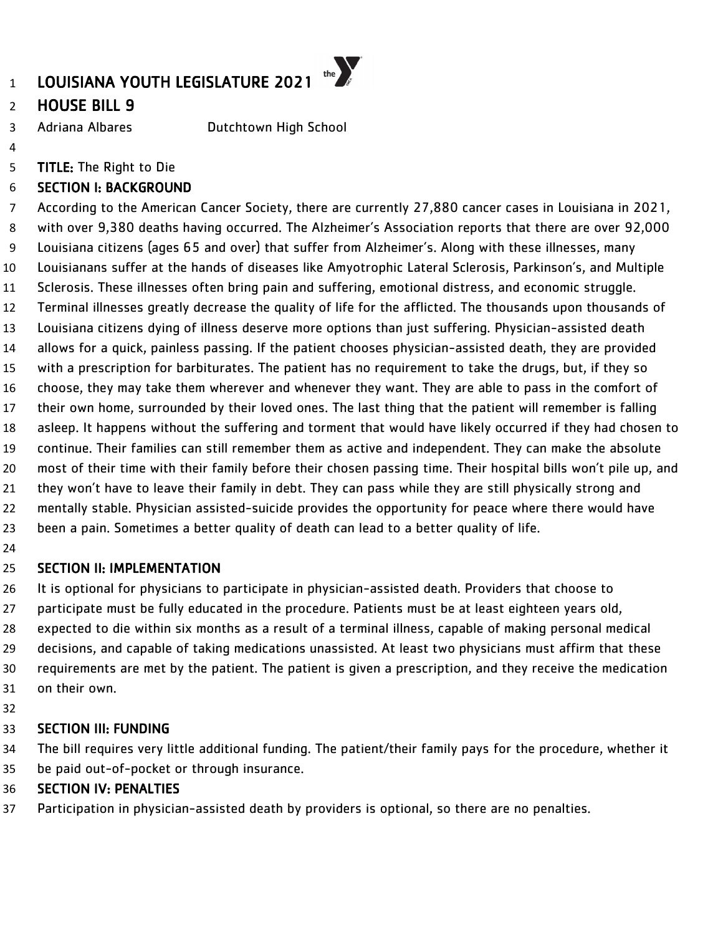# HOUSE BILL 9

Adriana Albares Dutchtown High School

TITLE: The Right to Die

# SECTION I: BACKGROUND

 According to the American Cancer Society, there are currently 27,880 cancer cases in Louisiana in 2021, with over 9,380 deaths having occurred. The Alzheimer's Association reports that there are over 92,000 Louisiana citizens (ages 65 and over) that suffer from Alzheimer's. Along with these illnesses, many Louisianans suffer at the hands of diseases like Amyotrophic Lateral Sclerosis, Parkinson's, and Multiple Sclerosis. These illnesses often bring pain and suffering, emotional distress, and economic struggle. Terminal illnesses greatly decrease the quality of life for the afflicted. The thousands upon thousands of Louisiana citizens dying of illness deserve more options than just suffering. Physician-assisted death allows for a quick, painless passing. If the patient chooses physician-assisted death, they are provided with a prescription for barbiturates. The patient has no requirement to take the drugs, but, if they so choose, they may take them wherever and whenever they want. They are able to pass in the comfort of their own home, surrounded by their loved ones. The last thing that the patient will remember is falling asleep. It happens without the suffering and torment that would have likely occurred if they had chosen to continue. Their families can still remember them as active and independent. They can make the absolute most of their time with their family before their chosen passing time. Their hospital bills won't pile up, and 21 they won't have to leave their family in debt. They can pass while they are still physically strong and mentally stable. Physician assisted-suicide provides the opportunity for peace where there would have been a pain. Sometimes a better quality of death can lead to a better quality of life. 

#### SECTION II: IMPLEMENTATION

 It is optional for physicians to participate in physician-assisted death. Providers that choose to 27 participate must be fully educated in the procedure. Patients must be at least eighteen years old, expected to die within six months as a result of a terminal illness, capable of making personal medical decisions, and capable of taking medications unassisted. At least two physicians must affirm that these requirements are met by the patient. The patient is given a prescription, and they receive the medication on their own.

### SECTION III: FUNDING

 The bill requires very little additional funding. The patient/their family pays for the procedure, whether it be paid out-of-pocket or through insurance.

#### SECTION IV: PENALTIES

Participation in physician-assisted death by providers is optional, so there are no penalties.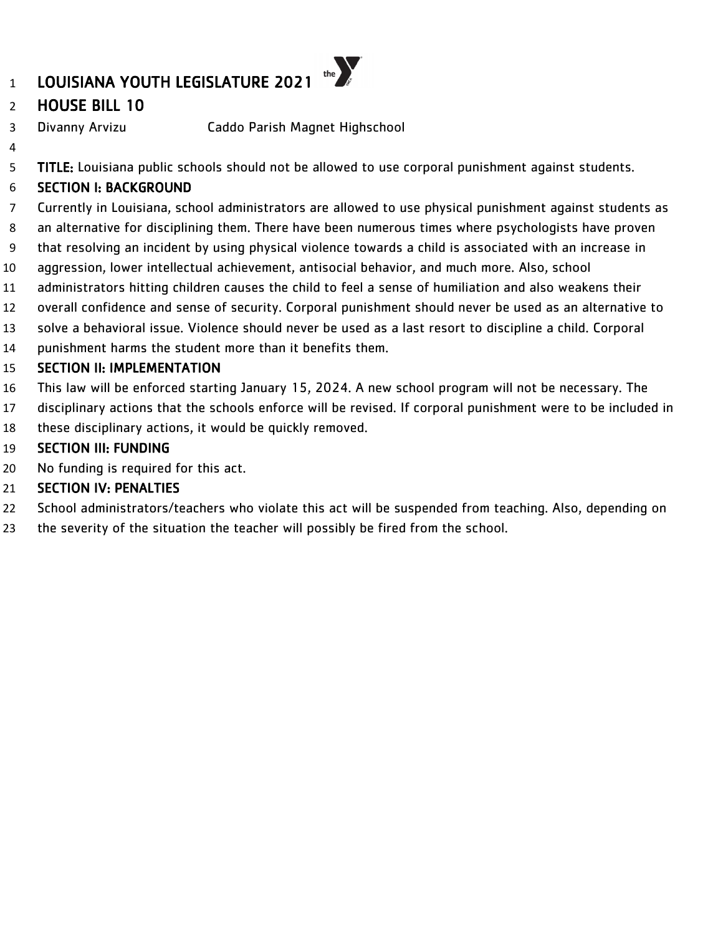# HOUSE BILL 10

- Divanny Arvizu Caddo Parish Magnet Highschool
- TITLE: Louisiana public schools should not be allowed to use corporal punishment against students.

# SECTION I: BACKGROUND

- Currently in Louisiana, school administrators are allowed to use physical punishment against students as
- an alternative for disciplining them. There have been numerous times where psychologists have proven
- that resolving an incident by using physical violence towards a child is associated with an increase in
- aggression, lower intellectual achievement, antisocial behavior, and much more. Also, school
- administrators hitting children causes the child to feel a sense of humiliation and also weakens their
- overall confidence and sense of security. Corporal punishment should never be used as an alternative to
- solve a behavioral issue. Violence should never be used as a last resort to discipline a child. Corporal
- punishment harms the student more than it benefits them.

#### SECTION II: IMPLEMENTATION

- This law will be enforced starting January 15, 2024. A new school program will not be necessary. The
- disciplinary actions that the schools enforce will be revised. If corporal punishment were to be included in these disciplinary actions, it would be quickly removed.
- SECTION III: FUNDING
- No funding is required for this act.

- School administrators/teachers who violate this act will be suspended from teaching. Also, depending on
- the severity of the situation the teacher will possibly be fired from the school.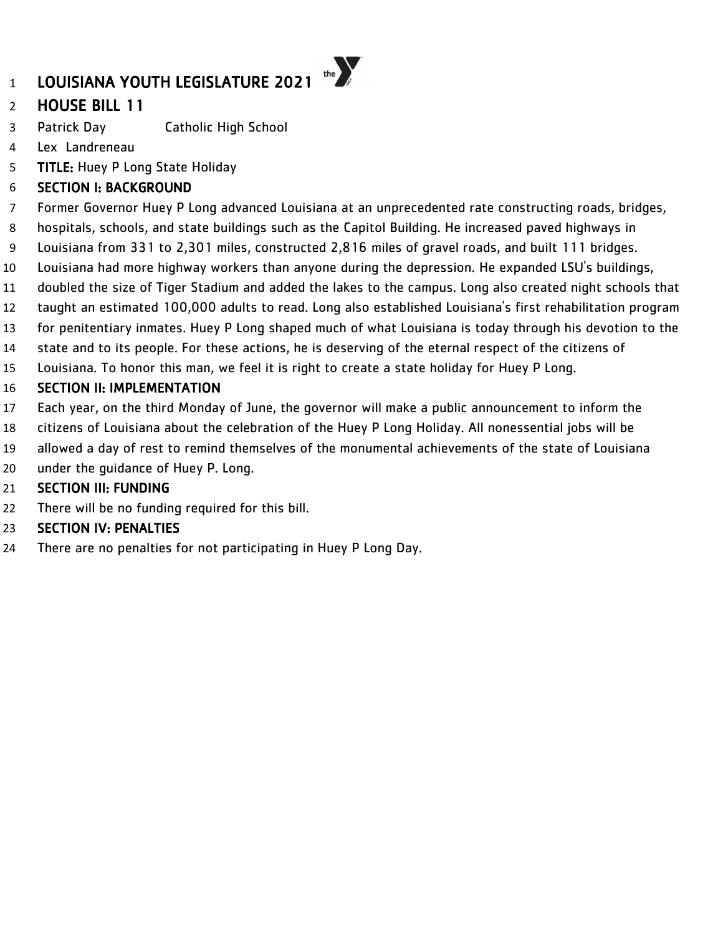# HOUSE BILL 11

- Patrick Day Catholic High School
- Lex Landreneau
- **TITLE:** Huey P Long State Holiday

### SECTION I: BACKGROUND

- Former Governor Huey P Long advanced Louisiana at an unprecedented rate constructing roads, bridges,
- hospitals, schools, and state buildings such as the Capitol Building. He increased paved highways in
- Louisiana from 331 to 2,301 miles, constructed 2,816 miles of gravel roads, and built 111 bridges.
- Louisiana had more highway workers than anyone during the depression. He expanded LSU's buildings,
- doubled the size of Tiger Stadium and added the lakes to the campus. Long also created night schools that
- taught an estimated 100,000 adults to read. Long also established Louisiana's first rehabilitation program
- for penitentiary inmates. Huey P Long shaped much of what Louisiana is today through his devotion to the
- state and to its people. For these actions, he is deserving of the eternal respect of the citizens of
- Louisiana. To honor this man, we feel it is right to create a state holiday for Huey P Long.

### SECTION II: IMPLEMENTATION

- Each year, on the third Monday of June, the governor will make a public announcement to inform the
- citizens of Louisiana about the celebration of the Huey P Long Holiday. All nonessential jobs will be
- allowed a day of rest to remind themselves of the monumental achievements of the state of Louisiana
- under the guidance of Huey P. Long.

### SECTION III: FUNDING

There will be no funding required for this bill.

### SECTION IV: PENALTIES

There are no penalties for not participating in Huey P Long Day.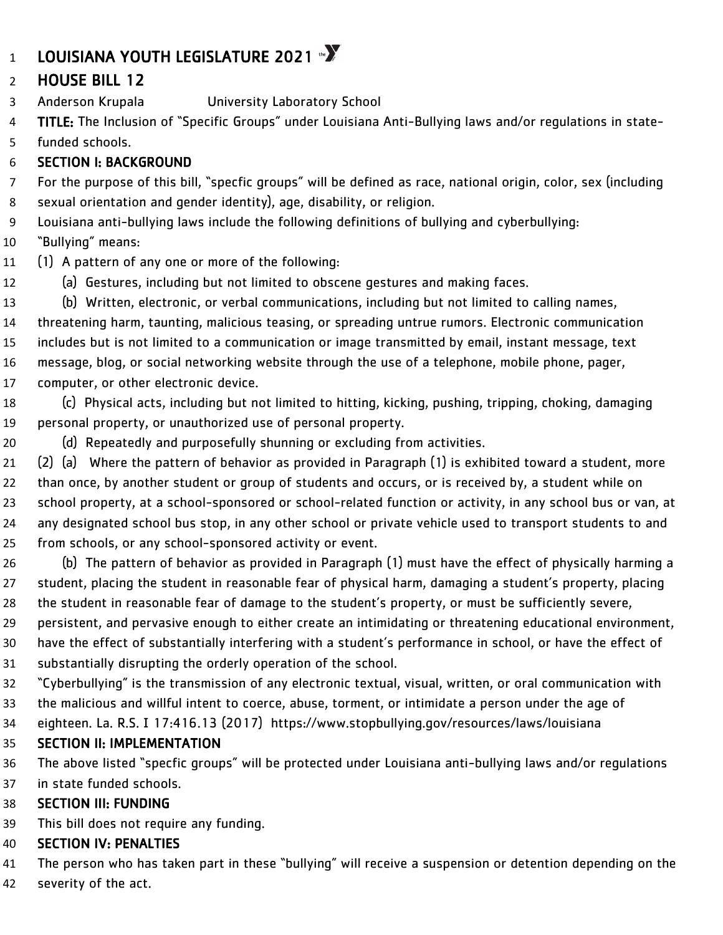# 1 LOUISIANA YOUTH LEGISLATURE 2021  $\mathbb{Z}$

# HOUSE BILL 12

Anderson Krupala University Laboratory School

 TITLE: The Inclusion of "Specific Groups" under Louisiana Anti-Bullying laws and/or regulations in state-funded schools.

# SECTION I: BACKGROUND

 For the purpose of this bill, "specfic groups" will be defined as race, national origin, color, sex (including sexual orientation and gender identity), age, disability, or religion.

Louisiana anti-bullying laws include the following definitions of bullying and cyberbullying:

- "Bullying" means:
- (1) A pattern of any one or more of the following:
- (a) Gestures, including but not limited to obscene gestures and making faces.

 (b) Written, electronic, or verbal communications, including but not limited to calling names, threatening harm, taunting, malicious teasing, or spreading untrue rumors. Electronic communication includes but is not limited to a communication or image transmitted by email, instant message, text message, blog, or social networking website through the use of a telephone, mobile phone, pager, computer, or other electronic device.

 (c) Physical acts, including but not limited to hitting, kicking, pushing, tripping, choking, damaging personal property, or unauthorized use of personal property.

(d) Repeatedly and purposefully shunning or excluding from activities.

 (2) (a) Where the pattern of behavior as provided in Paragraph (1) is exhibited toward a student, more than once, by another student or group of students and occurs, or is received by, a student while on school property, at a school-sponsored or school-related function or activity, in any school bus or van, at any designated school bus stop, in any other school or private vehicle used to transport students to and from schools, or any school-sponsored activity or event.

- (b) The pattern of behavior as provided in Paragraph (1) must have the effect of physically harming a student, placing the student in reasonable fear of physical harm, damaging a student's property, placing the student in reasonable fear of damage to the student's property, or must be sufficiently severe,
- persistent, and pervasive enough to either create an intimidating or threatening educational environment,
- have the effect of substantially interfering with a student's performance in school, or have the effect of substantially disrupting the orderly operation of the school.
- "Cyberbullying" is the transmission of any electronic textual, visual, written, or oral communication with
- the malicious and willful intent to coerce, abuse, torment, or intimidate a person under the age of
- 34 eighteen. La. R.S. I 17:416.13 (2017) https://www.stopbullying.gov/resources/laws/louisiana

# SECTION II: IMPLEMENTATION

 The above listed "specfic groups" will be protected under Louisiana anti-bullying laws and/or regulations in state funded schools.

# SECTION III: FUNDING

This bill does not require any funding.

# SECTION IV: PENALTIES

The person who has taken part in these "bullying" will receive a suspension or detention depending on the

severity of the act.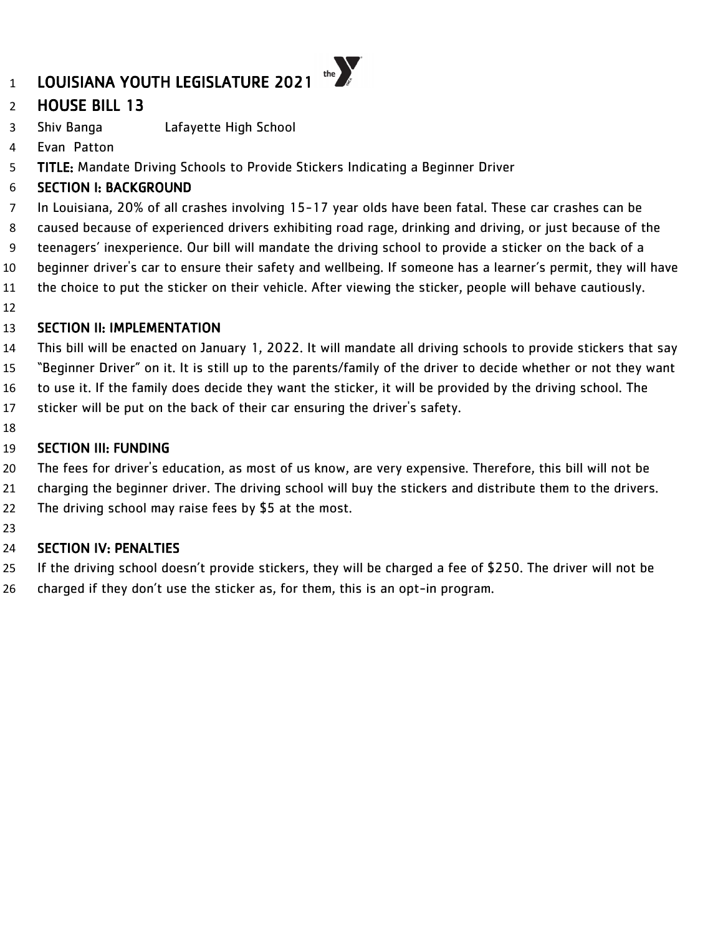

- Shiv Banga Lafayette High School
- Evan Patton
- TITLE: Mandate Driving Schools to Provide Stickers Indicating a Beginner Driver

# SECTION I: BACKGROUND

- In Louisiana, 20% of all crashes involving 15-17 year olds have been fatal. These car crashes can be
- caused because of experienced drivers exhibiting road rage, drinking and driving, or just because of the
- teenagers' inexperience. Our bill will mandate the driving school to provide a sticker on the back of a
- beginner driver's car to ensure their safety and wellbeing. If someone has a learner's permit, they will have
- the choice to put the sticker on their vehicle. After viewing the sticker, people will behave cautiously.
- 

### SECTION II: IMPLEMENTATION

- This bill will be enacted on January 1, 2022. It will mandate all driving schools to provide stickers that say
- "Beginner Driver" on it. It is still up to the parents/family of the driver to decide whether or not they want
- to use it. If the family does decide they want the sticker, it will be provided by the driving school. The
- sticker will be put on the back of their car ensuring the driver's safety.
- 

### SECTION III: FUNDING

- The fees for driver's education, as most of us know, are very expensive. Therefore, this bill will not be
- charging the beginner driver. The driving school will buy the stickers and distribute them to the drivers.
- The driving school may raise fees by \$5 at the most.
- 

- If the driving school doesn't provide stickers, they will be charged a fee of \$250. The driver will not be
- charged if they don't use the sticker as, for them, this is an opt-in program.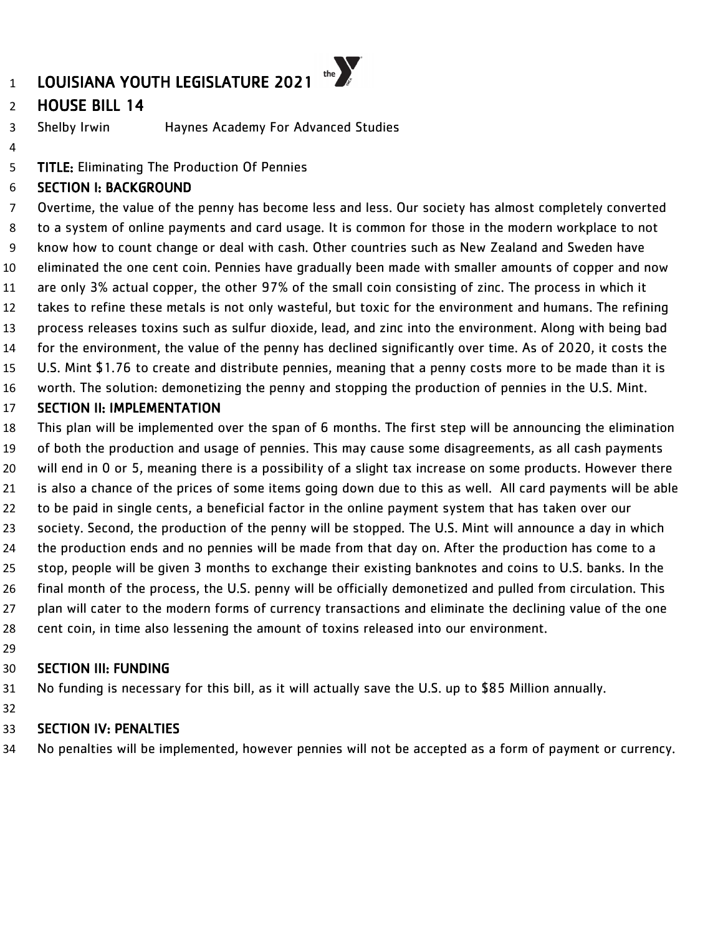# HOUSE BILL 14

Shelby Irwin Haynes Academy For Advanced Studies

TITLE: Eliminating The Production Of Pennies

### SECTION I: BACKGROUND

 Overtime, the value of the penny has become less and less. Our society has almost completely converted to a system of online payments and card usage. It is common for those in the modern workplace to not know how to count change or deal with cash. Other countries such as New Zealand and Sweden have eliminated the one cent coin. Pennies have gradually been made with smaller amounts of copper and now are only 3% actual copper, the other 97% of the small coin consisting of zinc. The process in which it takes to refine these metals is not only wasteful, but toxic for the environment and humans. The refining process releases toxins such as sulfur dioxide, lead, and zinc into the environment. Along with being bad for the environment, the value of the penny has declined significantly over time. As of 2020, it costs the U.S. Mint \$1.76 to create and distribute pennies, meaning that a penny costs more to be made than it is worth. The solution: demonetizing the penny and stopping the production of pennies in the U.S. Mint.

#### SECTION II: IMPLEMENTATION

 This plan will be implemented over the span of 6 months. The first step will be announcing the elimination of both the production and usage of pennies. This may cause some disagreements, as all cash payments will end in 0 or 5, meaning there is a possibility of a slight tax increase on some products. However there is also a chance of the prices of some items going down due to this as well. All card payments will be able to be paid in single cents, a beneficial factor in the online payment system that has taken over our society. Second, the production of the penny will be stopped. The U.S. Mint will announce a day in which the production ends and no pennies will be made from that day on. After the production has come to a stop, people will be given 3 months to exchange their existing banknotes and coins to U.S. banks. In the final month of the process, the U.S. penny will be officially demonetized and pulled from circulation. This plan will cater to the modern forms of currency transactions and eliminate the declining value of the one cent coin, in time also lessening the amount of toxins released into our environment.

#### SECTION III: FUNDING

No funding is necessary for this bill, as it will actually save the U.S. up to \$85 Million annually.

### SECTION IV: PENALTIES

No penalties will be implemented, however pennies will not be accepted as a form of payment or currency.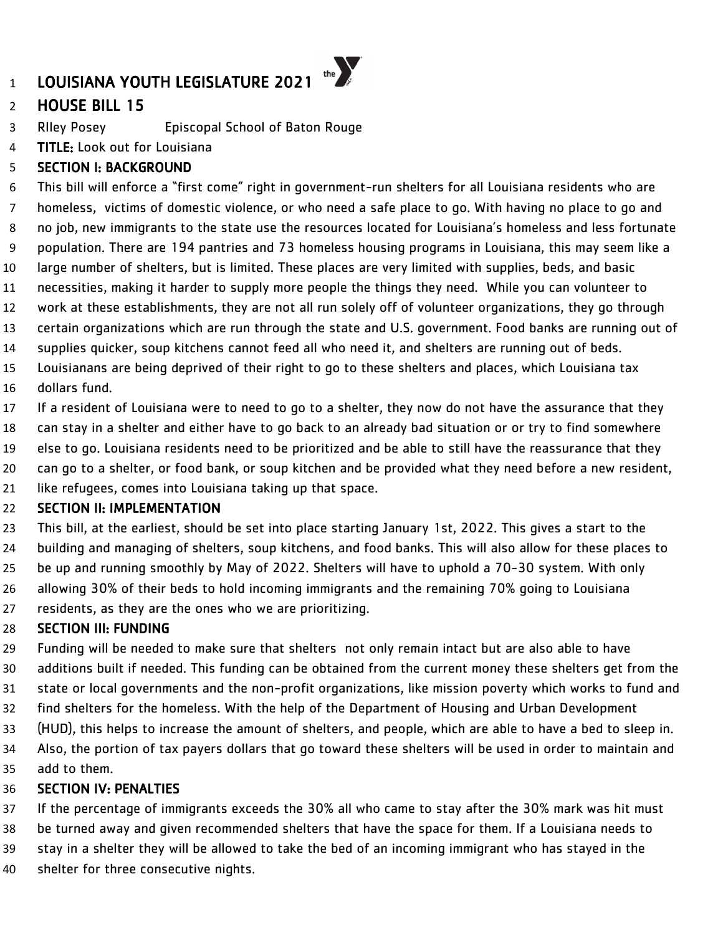# HOUSE BILL 15

RIley Posey Episcopal School of Baton Rouge

**TITLE:** Look out for Louisiana

### SECTION I: BACKGROUND

 This bill will enforce a "first come" right in government-run shelters for all Louisiana residents who are homeless, victims of domestic violence, or who need a safe place to go. With having no place to go and no job, new immigrants to the state use the resources located for Louisiana's homeless and less fortunate population. There are 194 pantries and 73 homeless housing programs in Louisiana, this may seem like a large number of shelters, but is limited. These places are very limited with supplies, beds, and basic necessities, making it harder to supply more people the things they need. While you can volunteer to work at these establishments, they are not all run solely off of volunteer organizations, they go through certain organizations which are run through the state and U.S. government. Food banks are running out of supplies quicker, soup kitchens cannot feed all who need it, and shelters are running out of beds. Louisianans are being deprived of their right to go to these shelters and places, which Louisiana tax

dollars fund.

 If a resident of Louisiana were to need to go to a shelter, they now do not have the assurance that they can stay in a shelter and either have to go back to an already bad situation or or try to find somewhere else to go. Louisiana residents need to be prioritized and be able to still have the reassurance that they

- can go to a shelter, or food bank, or soup kitchen and be provided what they need before a new resident,
- like refugees, comes into Louisiana taking up that space.

#### SECTION II: IMPLEMENTATION

 This bill, at the earliest, should be set into place starting January 1st, 2022. This gives a start to the building and managing of shelters, soup kitchens, and food banks. This will also allow for these places to be up and running smoothly by May of 2022. Shelters will have to uphold a 70-30 system. With only allowing 30% of their beds to hold incoming immigrants and the remaining 70% going to Louisiana residents, as they are the ones who we are prioritizing.

### SECTION III: FUNDING

 Funding will be needed to make sure that shelters not only remain intact but are also able to have additions built if needed. This funding can be obtained from the current money these shelters get from the state or local governments and the non-profit organizations, like mission poverty which works to fund and find shelters for the homeless. With the help of the Department of Housing and Urban Development (HUD), this helps to increase the amount of shelters, and people, which are able to have a bed to sleep in. Also, the portion of tax payers dollars that go toward these shelters will be used in order to maintain and add to them.

### SECTION IV: PENALTIES

If the percentage of immigrants exceeds the 30% all who came to stay after the 30% mark was hit must

- be turned away and given recommended shelters that have the space for them. If a Louisiana needs to
- stay in a shelter they will be allowed to take the bed of an incoming immigrant who has stayed in the
- shelter for three consecutive nights.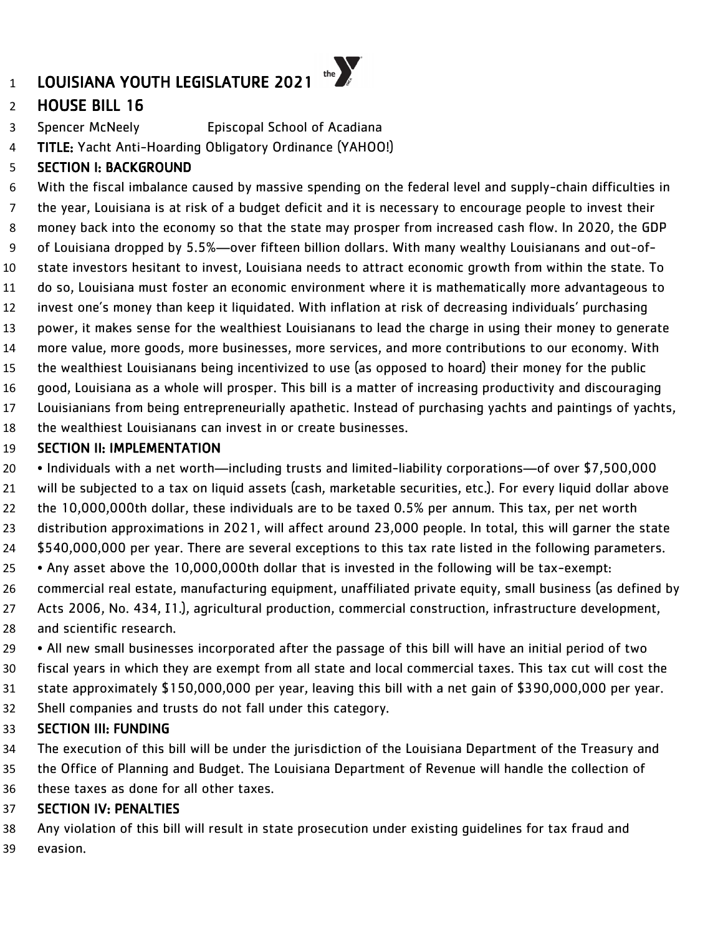# HOUSE BILL 16

Spencer McNeely Episcopal School of Acadiana

TITLE: Yacht Anti-Hoarding Obligatory Ordinance (YAHOO!)

# SECTION I: BACKGROUND

 With the fiscal imbalance caused by massive spending on the federal level and supply-chain difficulties in the year, Louisiana is at risk of a budget deficit and it is necessary to encourage people to invest their money back into the economy so that the state may prosper from increased cash flow. In 2020, the GDP of Louisiana dropped by 5.5%—over fifteen billion dollars. With many wealthy Louisianans and out-of- state investors hesitant to invest, Louisiana needs to attract economic growth from within the state. To do so, Louisiana must foster an economic environment where it is mathematically more advantageous to invest one's money than keep it liquidated. With inflation at risk of decreasing individuals' purchasing power, it makes sense for the wealthiest Louisianans to lead the charge in using their money to generate more value, more goods, more businesses, more services, and more contributions to our economy. With the wealthiest Louisianans being incentivized to use (as opposed to hoard) their money for the public good, Louisiana as a whole will prosper. This bill is a matter of increasing productivity and discouraging Louisianians from being entrepreneurially apathetic. Instead of purchasing yachts and paintings of yachts, the wealthiest Louisianans can invest in or create businesses.

### SECTION II: IMPLEMENTATION

• Individuals with a net worth—including trusts and limited-liability corporations—of over \$7,500,000

will be subjected to a tax on liquid assets (cash, marketable securities, etc.). For every liquid dollar above

the 10,000,000th dollar, these individuals are to be taxed 0.5% per annum. This tax, per net worth

distribution approximations in 2021, will affect around 23,000 people. In total, this will garner the state

\$540,000,000 per year. There are several exceptions to this tax rate listed in the following parameters.

• Any asset above the 10,000,000th dollar that is invested in the following will be tax-exempt:

 commercial real estate, manufacturing equipment, unaffiliated private equity, small business (as defined by 27 Acts 2006, No. 434, I1.), agricultural production, commercial construction, infrastructure development, and scientific research.

 • All new small businesses incorporated after the passage of this bill will have an initial period of two fiscal years in which they are exempt from all state and local commercial taxes. This tax cut will cost the state approximately \$150,000,000 per year, leaving this bill with a net gain of \$390,000,000 per year. Shell companies and trusts do not fall under this category.

### SECTION III: FUNDING

The execution of this bill will be under the jurisdiction of the Louisiana Department of the Treasury and

the Office of Planning and Budget. The Louisiana Department of Revenue will handle the collection of

these taxes as done for all other taxes.

### SECTION IV: PENALTIES

 Any violation of this bill will result in state prosecution under existing guidelines for tax fraud and evasion.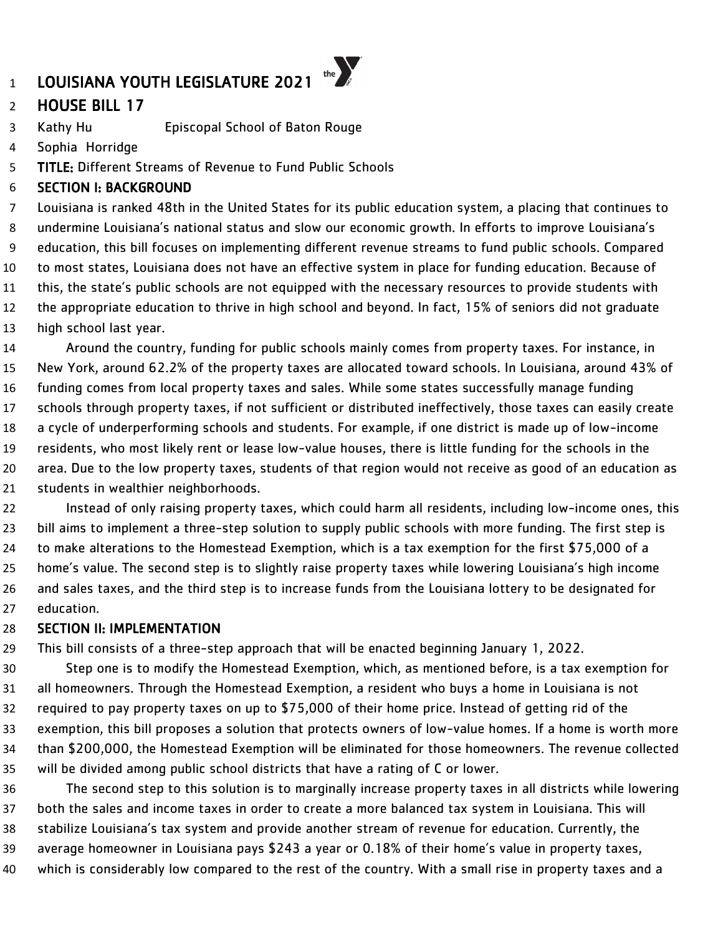# HOUSE BILL 17

Kathy Hu Episcopal School of Baton Rouge

Sophia Horridge

TITLE: Different Streams of Revenue to Fund Public Schools

### SECTION I: BACKGROUND

 Louisiana is ranked 48th in the United States for its public education system, a placing that continues to undermine Louisiana's national status and slow our economic growth. In efforts to improve Louisiana's education, this bill focuses on implementing different revenue streams to fund public schools. Compared to most states, Louisiana does not have an effective system in place for funding education. Because of this, the state's public schools are not equipped with the necessary resources to provide students with the appropriate education to thrive in high school and beyond. In fact, 15% of seniors did not graduate high school last year.

 Around the country, funding for public schools mainly comes from property taxes. For instance, in New York, around 62.2% of the property taxes are allocated toward schools. In Louisiana, around 43% of funding comes from local property taxes and sales. While some states successfully manage funding schools through property taxes, if not sufficient or distributed ineffectively, those taxes can easily create a cycle of underperforming schools and students. For example, if one district is made up of low-income residents, who most likely rent or lease low-value houses, there is little funding for the schools in the area. Due to the low property taxes, students of that region would not receive as good of an education as students in wealthier neighborhoods.

 Instead of only raising property taxes, which could harm all residents, including low-income ones, this bill aims to implement a three-step solution to supply public schools with more funding. The first step is to make alterations to the Homestead Exemption, which is a tax exemption for the first \$75,000 of a home's value. The second step is to slightly raise property taxes while lowering Louisiana's high income and sales taxes, and the third step is to increase funds from the Louisiana lottery to be designated for education.

#### SECTION II: IMPLEMENTATION

This bill consists of a three-step approach that will be enacted beginning January 1, 2022.

 Step one is to modify the Homestead Exemption, which, as mentioned before, is a tax exemption for all homeowners. Through the Homestead Exemption, a resident who buys a home in Louisiana is not required to pay property taxes on up to \$75,000 of their home price. Instead of getting rid of the exemption, this bill proposes a solution that protects owners of low-value homes. If a home is worth more than \$200,000, the Homestead Exemption will be eliminated for those homeowners. The revenue collected will be divided among public school districts that have a rating of C or lower.

 The second step to this solution is to marginally increase property taxes in all districts while lowering both the sales and income taxes in order to create a more balanced tax system in Louisiana. This will stabilize Louisiana's tax system and provide another stream of revenue for education. Currently, the average homeowner in Louisiana pays \$243 a year or 0.18% of their home's value in property taxes, which is considerably low compared to the rest of the country. With a small rise in property taxes and a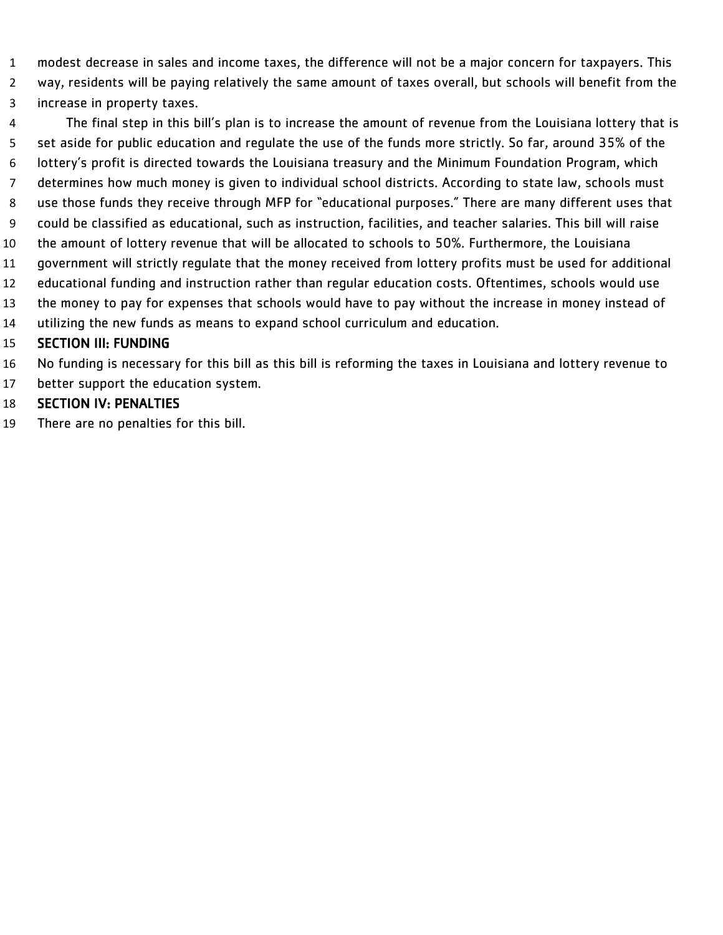- modest decrease in sales and income taxes, the difference will not be a major concern for taxpayers. This
- way, residents will be paying relatively the same amount of taxes overall, but schools will benefit from the increase in property taxes.
- The final step in this bill's plan is to increase the amount of revenue from the Louisiana lottery that is set aside for public education and regulate the use of the funds more strictly. So far, around 35% of the lottery's profit is directed towards the Louisiana treasury and the Minimum Foundation Program, which determines how much money is given to individual school districts. According to state law, schools must use those funds they receive through MFP for "educational purposes." There are many different uses that could be classified as educational, such as instruction, facilities, and teacher salaries. This bill will raise the amount of lottery revenue that will be allocated to schools to 50%. Furthermore, the Louisiana government will strictly regulate that the money received from lottery profits must be used for additional educational funding and instruction rather than regular education costs. Oftentimes, schools would use the money to pay for expenses that schools would have to pay without the increase in money instead of utilizing the new funds as means to expand school curriculum and education. SECTION III: FUNDING
- No funding is necessary for this bill as this bill is reforming the taxes in Louisiana and lottery revenue to
- better support the education system.
- SECTION IV: PENALTIES
- There are no penalties for this bill.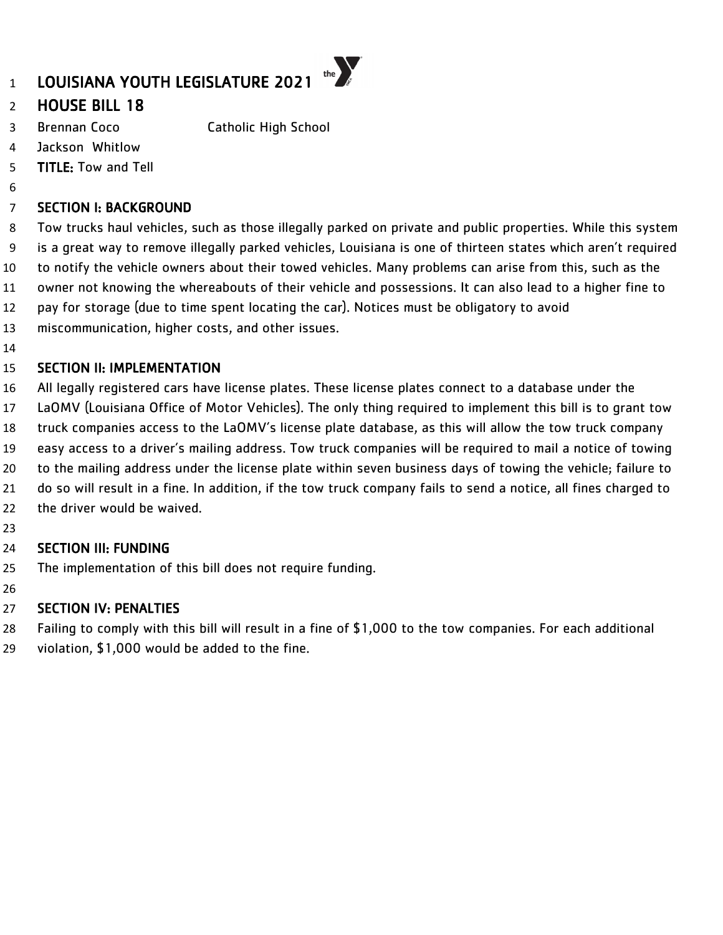# LOUISIANA YOUTH LEGISLATURE 2021

# HOUSE BILL 18

- Brennan Coco Catholic High School
- Jackson Whitlow
- TITLE: Tow and Tell
- 

# SECTION I: BACKGROUND

 Tow trucks haul vehicles, such as those illegally parked on private and public properties. While this system is a great way to remove illegally parked vehicles, Louisiana is one of thirteen states which aren't required to notify the vehicle owners about their towed vehicles. Many problems can arise from this, such as the owner not knowing the whereabouts of their vehicle and possessions. It can also lead to a higher fine to pay for storage (due to time spent locating the car). Notices must be obligatory to avoid

the  $\sum_{\alpha}$ 

- miscommunication, higher costs, and other issues.
- 

### SECTION II: IMPLEMENTATION

- All legally registered cars have license plates. These license plates connect to a database under the
- LaOMV (Louisiana Office of Motor Vehicles). The only thing required to implement this bill is to grant tow
- truck companies access to the LaOMV's license plate database, as this will allow the tow truck company
- easy access to a driver's mailing address. Tow truck companies will be required to mail a notice of towing
- to the mailing address under the license plate within seven business days of towing the vehicle; failure to
- do so will result in a fine. In addition, if the tow truck company fails to send a notice, all fines charged to
- the driver would be waived.
- 

# SECTION III: FUNDING

- The implementation of this bill does not require funding.
- 

# SECTION IV: PENALTIES

Failing to comply with this bill will result in a fine of \$1,000 to the tow companies. For each additional

violation, \$1,000 would be added to the fine.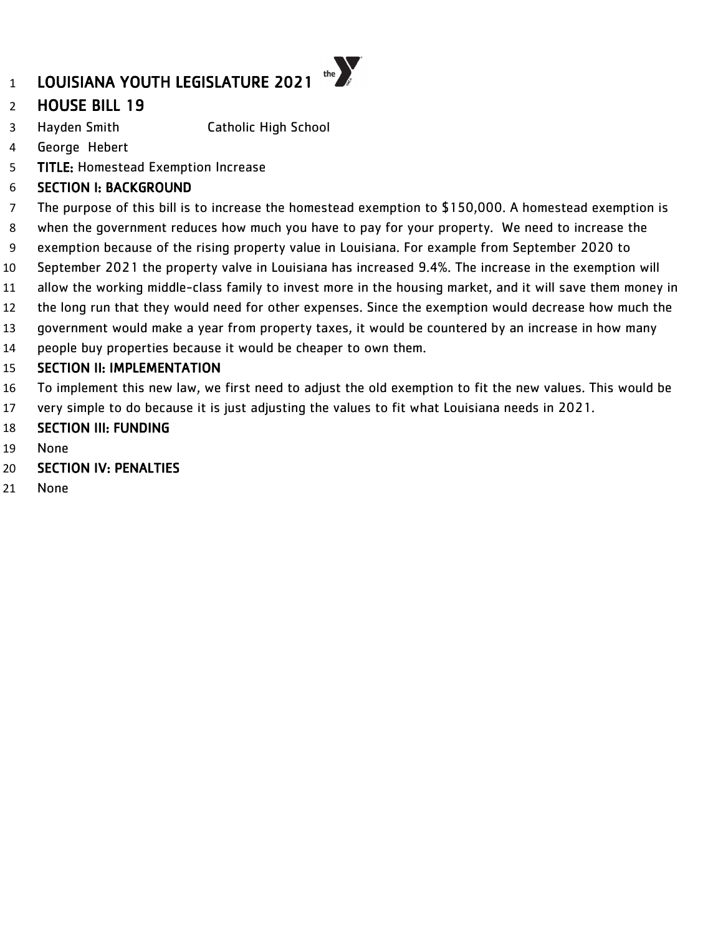# LOUISIANA YOUTH LEGISLATURE 2021

# HOUSE BILL 19

- Hayden Smith Catholic High School
- George Hebert
- TITLE: Homestead Exemption Increase

### SECTION I: BACKGROUND

The purpose of this bill is to increase the homestead exemption to \$150,000. A homestead exemption is

the  $\sum_{s}$ 

- when the government reduces how much you have to pay for your property. We need to increase the
- exemption because of the rising property value in Louisiana. For example from September 2020 to
- September 2021 the property valve in Louisiana has increased 9.4%. The increase in the exemption will
- allow the working middle-class family to invest more in the housing market, and it will save them money in
- the long run that they would need for other expenses. Since the exemption would decrease how much the
- government would make a year from property taxes, it would be countered by an increase in how many
- people buy properties because it would be cheaper to own them.

#### SECTION II: IMPLEMENTATION

- To implement this new law, we first need to adjust the old exemption to fit the new values. This would be
- very simple to do because it is just adjusting the values to fit what Louisiana needs in 2021.
- SECTION III: FUNDING
- None
- SECTION IV: PENALTIES
- None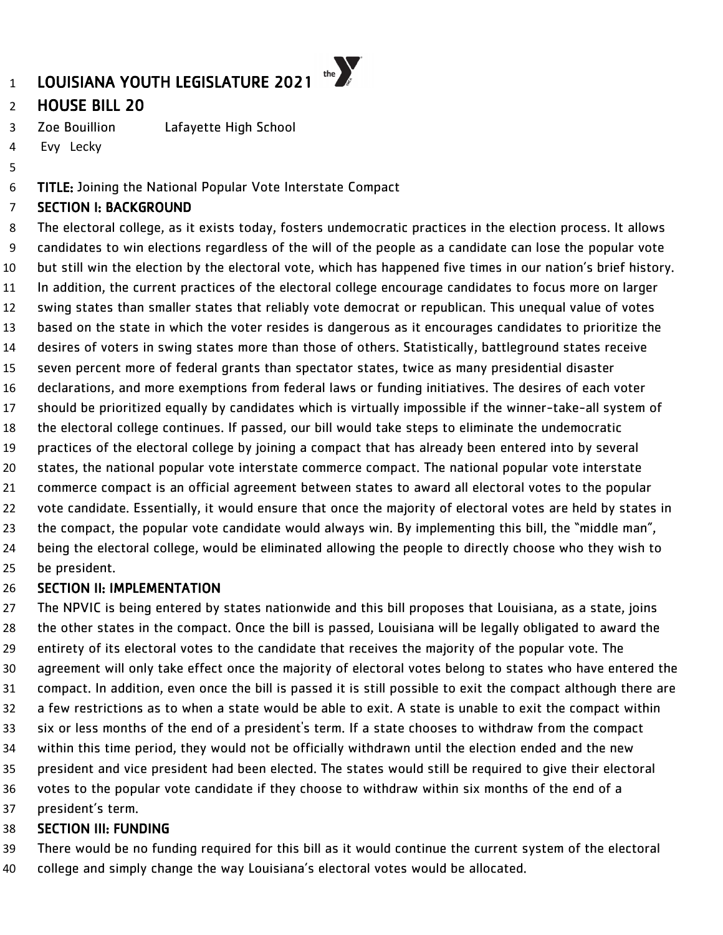# HOUSE BILL 20

Zoe Bouillion Lafayette High School

Evy Lecky

### TITLE: Joining the National Popular Vote Interstate Compact

#### SECTION I: BACKGROUND

 The electoral college, as it exists today, fosters undemocratic practices in the election process. It allows candidates to win elections regardless of the will of the people as a candidate can lose the popular vote but still win the election by the electoral vote, which has happened five times in our nation's brief history. In addition, the current practices of the electoral college encourage candidates to focus more on larger swing states than smaller states that reliably vote democrat or republican. This unequal value of votes based on the state in which the voter resides is dangerous as it encourages candidates to prioritize the desires of voters in swing states more than those of others. Statistically, battleground states receive seven percent more of federal grants than spectator states, twice as many presidential disaster declarations, and more exemptions from federal laws or funding initiatives. The desires of each voter should be prioritized equally by candidates which is virtually impossible if the winner-take-all system of the electoral college continues. If passed, our bill would take steps to eliminate the undemocratic practices of the electoral college by joining a compact that has already been entered into by several states, the national popular vote interstate commerce compact. The national popular vote interstate commerce compact is an official agreement between states to award all electoral votes to the popular 22 vote candidate. Essentially, it would ensure that once the majority of electoral votes are held by states in 23 the compact, the popular vote candidate would always win. By implementing this bill, the "middle man", being the electoral college, would be eliminated allowing the people to directly choose who they wish to be president.

#### SECTION II: IMPLEMENTATION

 The NPVIC is being entered by states nationwide and this bill proposes that Louisiana, as a state, joins the other states in the compact. Once the bill is passed, Louisiana will be legally obligated to award the entirety of its electoral votes to the candidate that receives the majority of the popular vote. The agreement will only take effect once the majority of electoral votes belong to states who have entered the compact. In addition, even once the bill is passed it is still possible to exit the compact although there are a few restrictions as to when a state would be able to exit. A state is unable to exit the compact within six or less months of the end of a president's term. If a state chooses to withdraw from the compact within this time period, they would not be officially withdrawn until the election ended and the new president and vice president had been elected. The states would still be required to give their electoral votes to the popular vote candidate if they choose to withdraw within six months of the end of a president's term.

#### SECTION III: FUNDING

There would be no funding required for this bill as it would continue the current system of the electoral

college and simply change the way Louisiana's electoral votes would be allocated.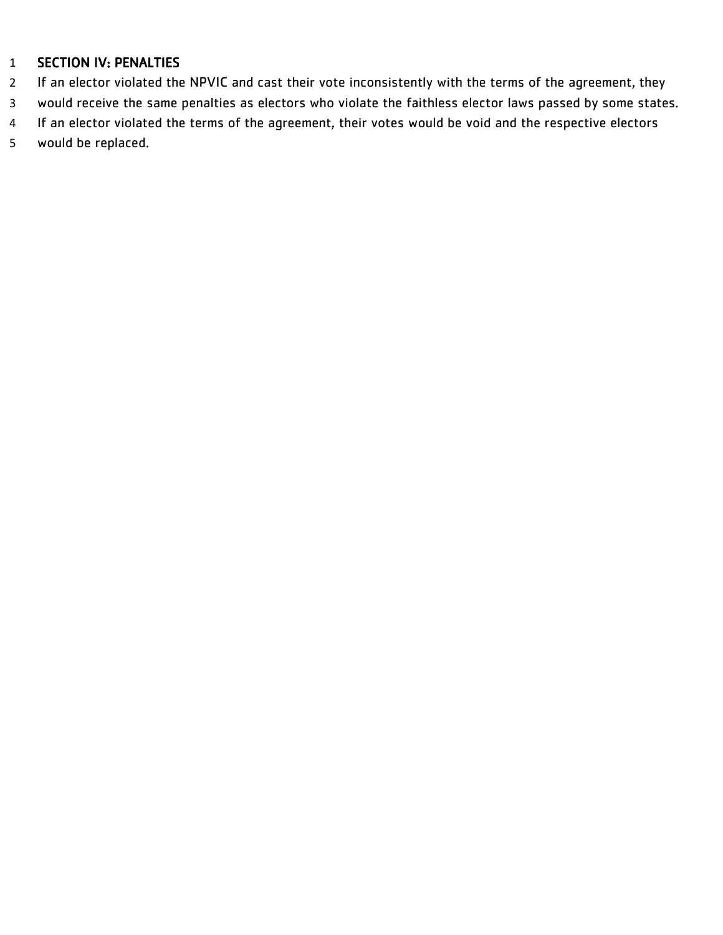- 2 If an elector violated the NPVIC and cast their vote inconsistently with the terms of the agreement, they
- would receive the same penalties as electors who violate the faithless elector laws passed by some states.
- If an elector violated the terms of the agreement, their votes would be void and the respective electors
- would be replaced.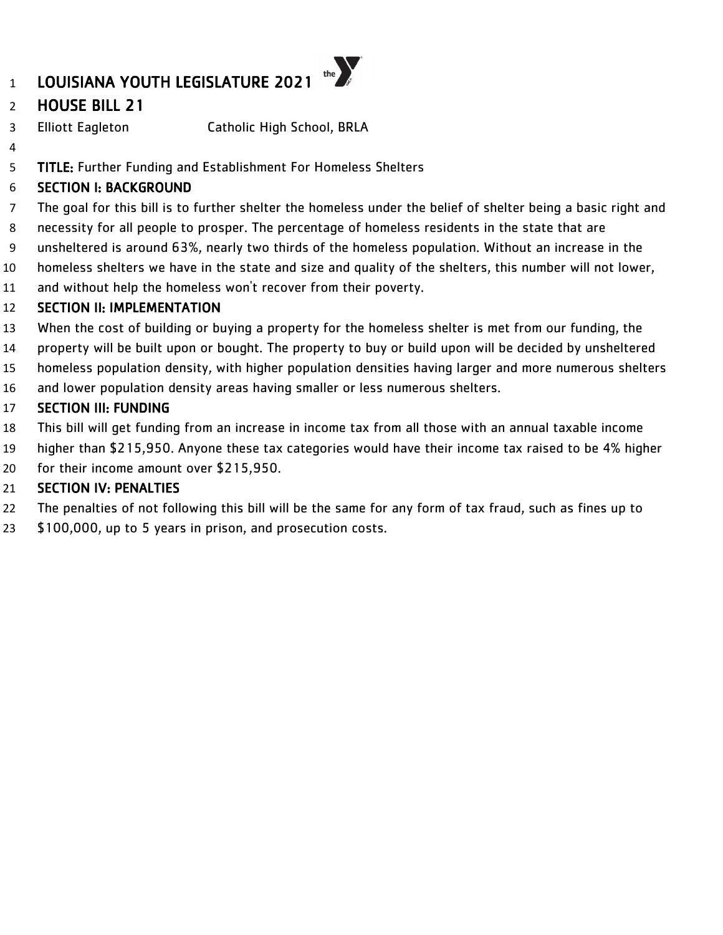# HOUSE BILL 21

- Elliott Eagleton Catholic High School, BRLA
- 

TITLE: Further Funding and Establishment For Homeless Shelters

# SECTION I: BACKGROUND

- The goal for this bill is to further shelter the homeless under the belief of shelter being a basic right and
- necessity for all people to prosper. The percentage of homeless residents in the state that are
- unsheltered is around 63%, nearly two thirds of the homeless population. Without an increase in the
- homeless shelters we have in the state and size and quality of the shelters, this number will not lower,
- and without help the homeless won't recover from their poverty.

# SECTION II: IMPLEMENTATION

- When the cost of building or buying a property for the homeless shelter is met from our funding, the
- property will be built upon or bought. The property to buy or build upon will be decided by unsheltered
- homeless population density, with higher population densities having larger and more numerous shelters
- and lower population density areas having smaller or less numerous shelters.

# SECTION III: FUNDING

- This bill will get funding from an increase in income tax from all those with an annual taxable income
- higher than \$215,950. Anyone these tax categories would have their income tax raised to be 4% higher
- for their income amount over \$215,950.

- The penalties of not following this bill will be the same for any form of tax fraud, such as fines up to
- 23 \$100,000, up to 5 years in prison, and prosecution costs.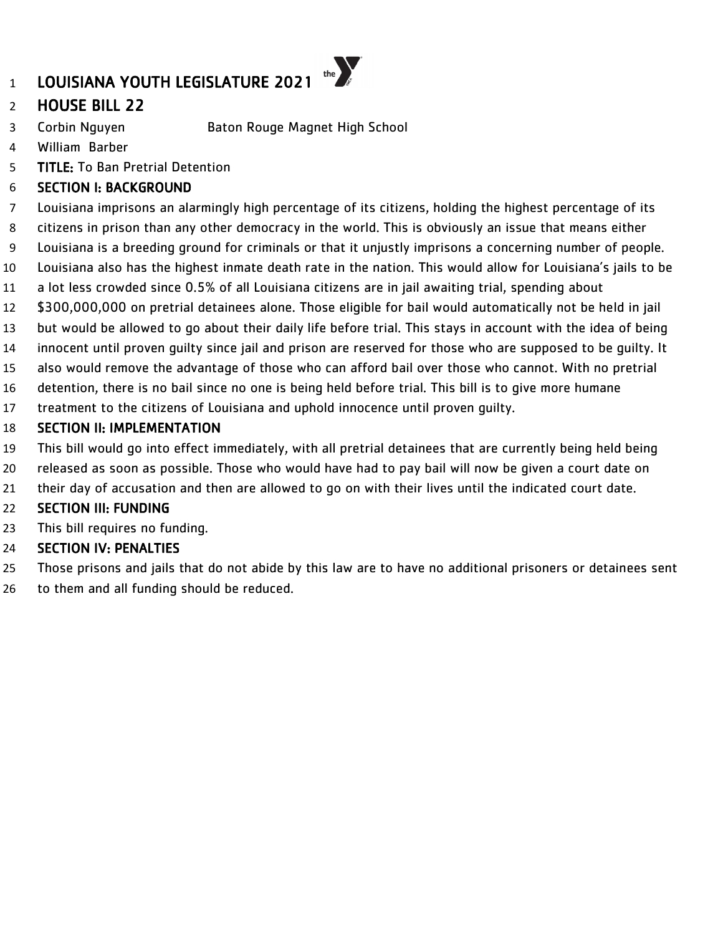

- HOUSE BILL 22
- Corbin Nguyen Baton Rouge Magnet High School
- William Barber
- TITLE: To Ban Pretrial Detention

# SECTION I: BACKGROUND

- Louisiana imprisons an alarmingly high percentage of its citizens, holding the highest percentage of its
- citizens in prison than any other democracy in the world. This is obviously an issue that means either
- Louisiana is a breeding ground for criminals or that it unjustly imprisons a concerning number of people.
- Louisiana also has the highest inmate death rate in the nation. This would allow for Louisiana's jails to be
- a lot less crowded since 0.5% of all Louisiana citizens are in jail awaiting trial, spending about
- \$300,000,000 on pretrial detainees alone. Those eligible for bail would automatically not be held in jail
- but would be allowed to go about their daily life before trial. This stays in account with the idea of being
- innocent until proven guilty since jail and prison are reserved for those who are supposed to be guilty. It
- also would remove the advantage of those who can afford bail over those who cannot. With no pretrial
- detention, there is no bail since no one is being held before trial. This bill is to give more humane
- treatment to the citizens of Louisiana and uphold innocence until proven guilty.

# SECTION II: IMPLEMENTATION

- This bill would go into effect immediately, with all pretrial detainees that are currently being held being
- released as soon as possible. Those who would have had to pay bail will now be given a court date on
- their day of accusation and then are allowed to go on with their lives until the indicated court date.

# SECTION III: FUNDING

This bill requires no funding.

- Those prisons and jails that do not abide by this law are to have no additional prisoners or detainees sent
- to them and all funding should be reduced.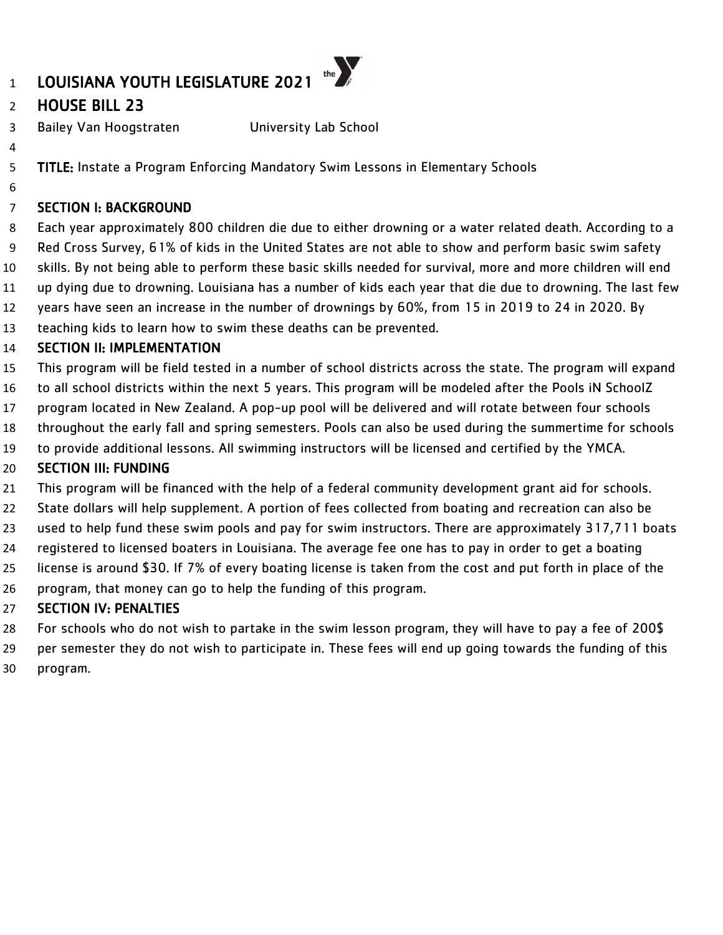# HOUSE BILL 23

Bailey Van Hoogstraten University Lab School

- TITLE: Instate a Program Enforcing Mandatory Swim Lessons in Elementary Schools
- 

# SECTION I: BACKGROUND

 Each year approximately 800 children die due to either drowning or a water related death. According to a Red Cross Survey, 61% of kids in the United States are not able to show and perform basic swim safety skills. By not being able to perform these basic skills needed for survival, more and more children will end up dying due to drowning. Louisiana has a number of kids each year that die due to drowning. The last few years have seen an increase in the number of drownings by 60%, from 15 in 2019 to 24 in 2020. By teaching kids to learn how to swim these deaths can be prevented.

### SECTION II: IMPLEMENTATION

- This program will be field tested in a number of school districts across the state. The program will expand
- to all school districts within the next 5 years. This program will be modeled after the Pools iN SchoolZ
- program located in New Zealand. A pop-up pool will be delivered and will rotate between four schools
- throughout the early fall and spring semesters. Pools can also be used during the summertime for schools
- to provide additional lessons. All swimming instructors will be licensed and certified by the YMCA.

### SECTION III: FUNDING

- This program will be financed with the help of a federal community development grant aid for schools.
- State dollars will help supplement. A portion of fees collected from boating and recreation can also be
- used to help fund these swim pools and pay for swim instructors. There are approximately 317,711 boats
- registered to licensed boaters in Louisiana. The average fee one has to pay in order to get a boating
- license is around \$30. If 7% of every boating license is taken from the cost and put forth in place of the
- program, that money can go to help the funding of this program.

- For schools who do not wish to partake in the swim lesson program, they will have to pay a fee of 200\$
- per semester they do not wish to participate in. These fees will end up going towards the funding of this
- program.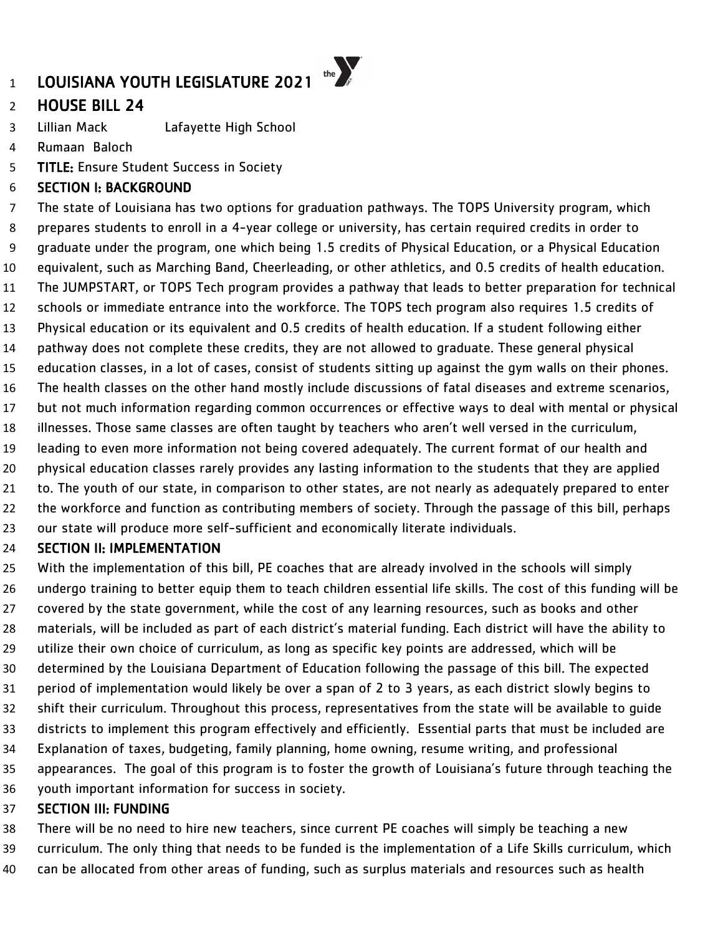# HOUSE BILL 24

Lillian Mack Lafayette High School

Rumaan Baloch

TITLE: Ensure Student Success in Society

### SECTION I: BACKGROUND

 The state of Louisiana has two options for graduation pathways. The TOPS University program, which prepares students to enroll in a 4-year college or university, has certain required credits in order to graduate under the program, one which being 1.5 credits of Physical Education, or a Physical Education equivalent, such as Marching Band, Cheerleading, or other athletics, and 0.5 credits of health education. The JUMPSTART, or TOPS Tech program provides a pathway that leads to better preparation for technical schools or immediate entrance into the workforce. The TOPS tech program also requires 1.5 credits of Physical education or its equivalent and 0.5 credits of health education. If a student following either pathway does not complete these credits, they are not allowed to graduate. These general physical education classes, in a lot of cases, consist of students sitting up against the gym walls on their phones. The health classes on the other hand mostly include discussions of fatal diseases and extreme scenarios, but not much information regarding common occurrences or effective ways to deal with mental or physical illnesses. Those same classes are often taught by teachers who aren't well versed in the curriculum, leading to even more information not being covered adequately. The current format of our health and physical education classes rarely provides any lasting information to the students that they are applied to. The youth of our state, in comparison to other states, are not nearly as adequately prepared to enter the workforce and function as contributing members of society. Through the passage of this bill, perhaps our state will produce more self-sufficient and economically literate individuals.

### SECTION II: IMPLEMENTATION

 With the implementation of this bill, PE coaches that are already involved in the schools will simply undergo training to better equip them to teach children essential life skills. The cost of this funding will be covered by the state government, while the cost of any learning resources, such as books and other materials, will be included as part of each district's material funding. Each district will have the ability to utilize their own choice of curriculum, as long as specific key points are addressed, which will be determined by the Louisiana Department of Education following the passage of this bill. The expected period of implementation would likely be over a span of 2 to 3 years, as each district slowly begins to shift their curriculum. Throughout this process, representatives from the state will be available to guide districts to implement this program effectively and efficiently. Essential parts that must be included are Explanation of taxes, budgeting, family planning, home owning, resume writing, and professional appearances. The goal of this program is to foster the growth of Louisiana's future through teaching the youth important information for success in society.

### SECTION III: FUNDING

There will be no need to hire new teachers, since current PE coaches will simply be teaching a new

curriculum. The only thing that needs to be funded is the implementation of a Life Skills curriculum, which

can be allocated from other areas of funding, such as surplus materials and resources such as health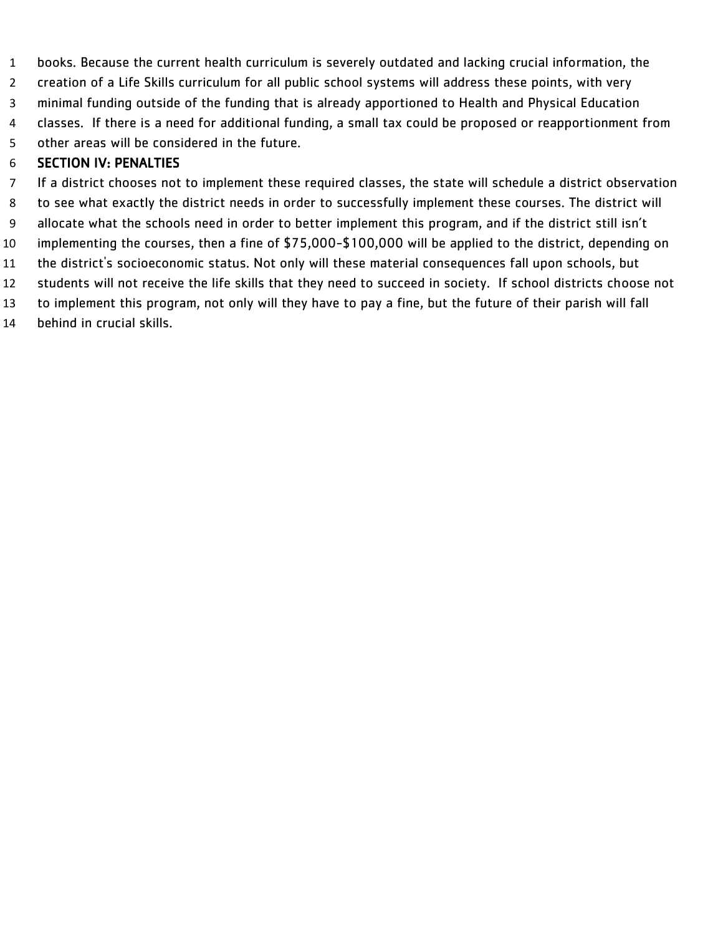books. Because the current health curriculum is severely outdated and lacking crucial information, the creation of a Life Skills curriculum for all public school systems will address these points, with very minimal funding outside of the funding that is already apportioned to Health and Physical Education classes. If there is a need for additional funding, a small tax could be proposed or reapportionment from other areas will be considered in the future.

### SECTION IV: PENALTIES

 If a district chooses not to implement these required classes, the state will schedule a district observation to see what exactly the district needs in order to successfully implement these courses. The district will allocate what the schools need in order to better implement this program, and if the district still isn't implementing the courses, then a fine of \$75,000-\$100,000 will be applied to the district, depending on the district's socioeconomic status. Not only will these material consequences fall upon schools, but students will not receive the life skills that they need to succeed in society. If school districts choose not to implement this program, not only will they have to pay a fine, but the future of their parish will fall behind in crucial skills.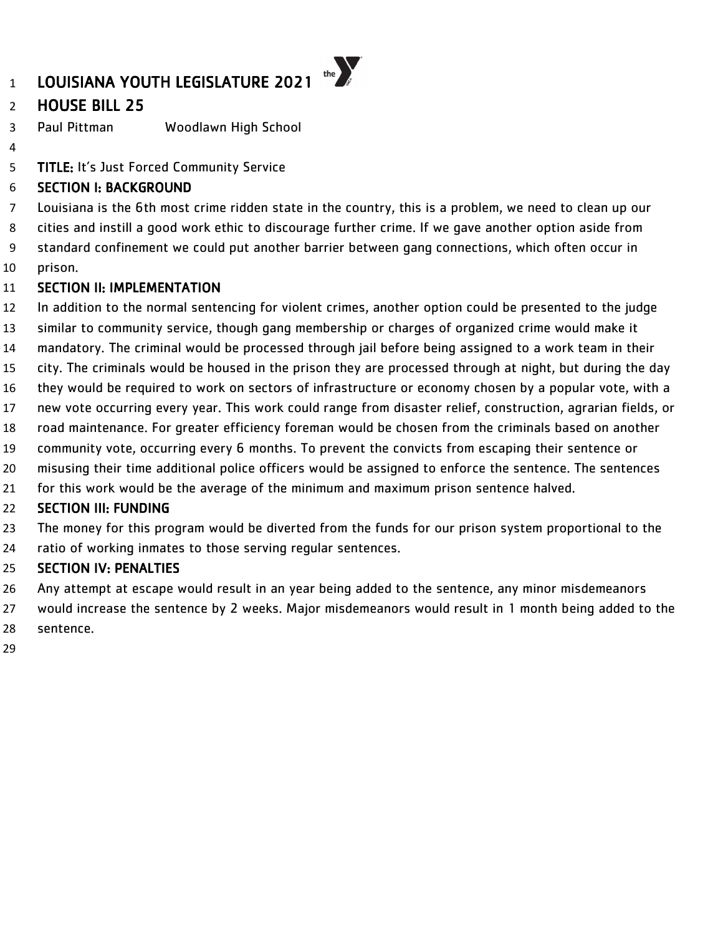# HOUSE BILL 25

Paul Pittman Woodlawn High School

TITLE: It's Just Forced Community Service

### SECTION I: BACKGROUND

Louisiana is the 6th most crime ridden state in the country, this is a problem, we need to clean up our

cities and instill a good work ethic to discourage further crime. If we gave another option aside from

standard confinement we could put another barrier between gang connections, which often occur in

prison.

### SECTION II: IMPLEMENTATION

- In addition to the normal sentencing for violent crimes, another option could be presented to the judge
- similar to community service, though gang membership or charges of organized crime would make it
- mandatory. The criminal would be processed through jail before being assigned to a work team in their
- city. The criminals would be housed in the prison they are processed through at night, but during the day
- they would be required to work on sectors of infrastructure or economy chosen by a popular vote, with a
- new vote occurring every year. This work could range from disaster relief, construction, agrarian fields, or
- road maintenance. For greater efficiency foreman would be chosen from the criminals based on another
- community vote, occurring every 6 months. To prevent the convicts from escaping their sentence or
- misusing their time additional police officers would be assigned to enforce the sentence. The sentences
- for this work would be the average of the minimum and maximum prison sentence halved.

### SECTION III: FUNDING

- The money for this program would be diverted from the funds for our prison system proportional to the
- ratio of working inmates to those serving regular sentences.

- Any attempt at escape would result in an year being added to the sentence, any minor misdemeanors
- would increase the sentence by 2 weeks. Major misdemeanors would result in 1 month being added to the sentence.
-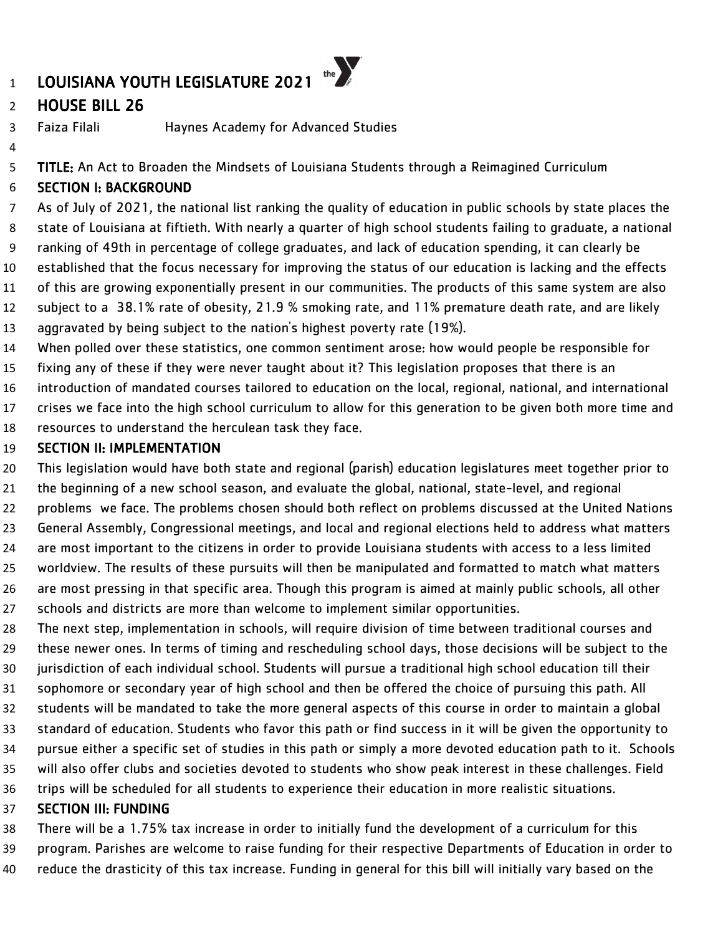# HOUSE BILL 26

Faiza Filali Haynes Academy for Advanced Studies

5 TITLE: An Act to Broaden the Mindsets of Louisiana Students through a Reimagined Curriculum

# SECTION I: BACKGROUND

 As of July of 2021, the national list ranking the quality of education in public schools by state places the state of Louisiana at fiftieth. With nearly a quarter of high school students failing to graduate, a national ranking of 49th in percentage of college graduates, and lack of education spending, it can clearly be established that the focus necessary for improving the status of our education is lacking and the effects of this are growing exponentially present in our communities. The products of this same system are also subject to a 38.1% rate of obesity, 21.9 % smoking rate, and 11% premature death rate, and are likely aggravated by being subject to the nation's highest poverty rate (19%).

- When polled over these statistics, one common sentiment arose: how would people be responsible for
- fixing any of these if they were never taught about it? This legislation proposes that there is an
- introduction of mandated courses tailored to education on the local, regional, national, and international
- crises we face into the high school curriculum to allow for this generation to be given both more time and
- resources to understand the herculean task they face.

### SECTION II: IMPLEMENTATION

This legislation would have both state and regional (parish) education legislatures meet together prior to

- the beginning of a new school season, and evaluate the global, national, state-level, and regional
- problems we face. The problems chosen should both reflect on problems discussed at the United Nations
- General Assembly, Congressional meetings, and local and regional elections held to address what matters are most important to the citizens in order to provide Louisiana students with access to a less limited worldview. The results of these pursuits will then be manipulated and formatted to match what matters
- are most pressing in that specific area. Though this program is aimed at mainly public schools, all other schools and districts are more than welcome to implement similar opportunities.
- The next step, implementation in schools, will require division of time between traditional courses and these newer ones. In terms of timing and rescheduling school days, those decisions will be subject to the jurisdiction of each individual school. Students will pursue a traditional high school education till their sophomore or secondary year of high school and then be offered the choice of pursuing this path. All students will be mandated to take the more general aspects of this course in order to maintain a global standard of education. Students who favor this path or find success in it will be given the opportunity to
- pursue either a specific set of studies in this path or simply a more devoted education path to it. Schools will also offer clubs and societies devoted to students who show peak interest in these challenges. Field
- trips will be scheduled for all students to experience their education in more realistic situations.

# SECTION III: FUNDING

- There will be a 1.75% tax increase in order to initially fund the development of a curriculum for this
- program. Parishes are welcome to raise funding for their respective Departments of Education in order to
	- reduce the drasticity of this tax increase. Funding in general for this bill will initially vary based on the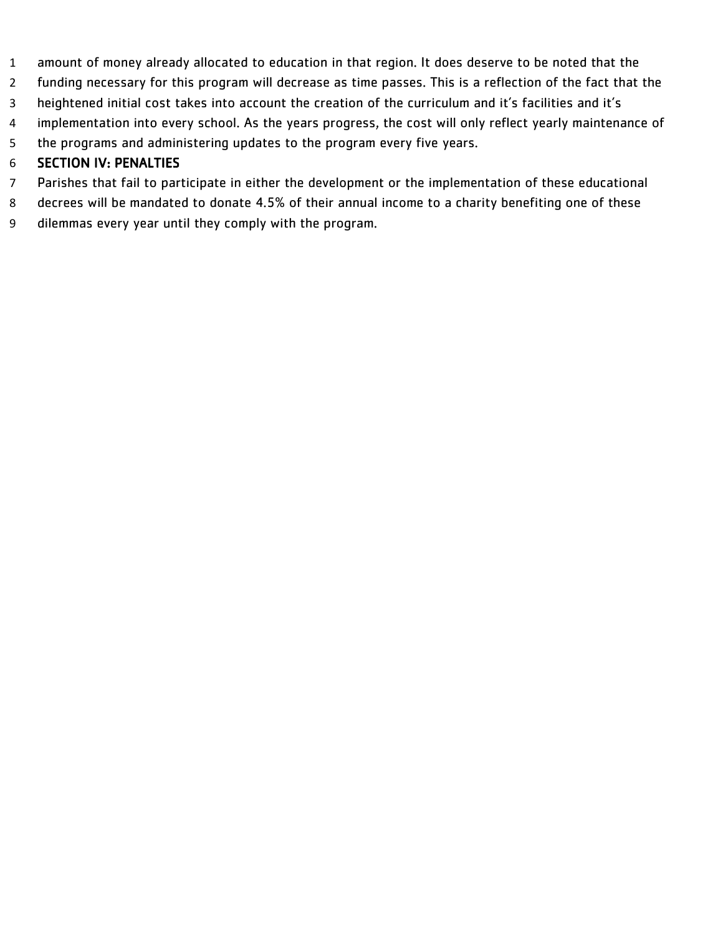- amount of money already allocated to education in that region. It does deserve to be noted that the
- funding necessary for this program will decrease as time passes. This is a reflection of the fact that the
- heightened initial cost takes into account the creation of the curriculum and it's facilities and it's
- implementation into every school. As the years progress, the cost will only reflect yearly maintenance of
- the programs and administering updates to the program every five years.

- Parishes that fail to participate in either the development or the implementation of these educational
- decrees will be mandated to donate 4.5% of their annual income to a charity benefiting one of these
- dilemmas every year until they comply with the program.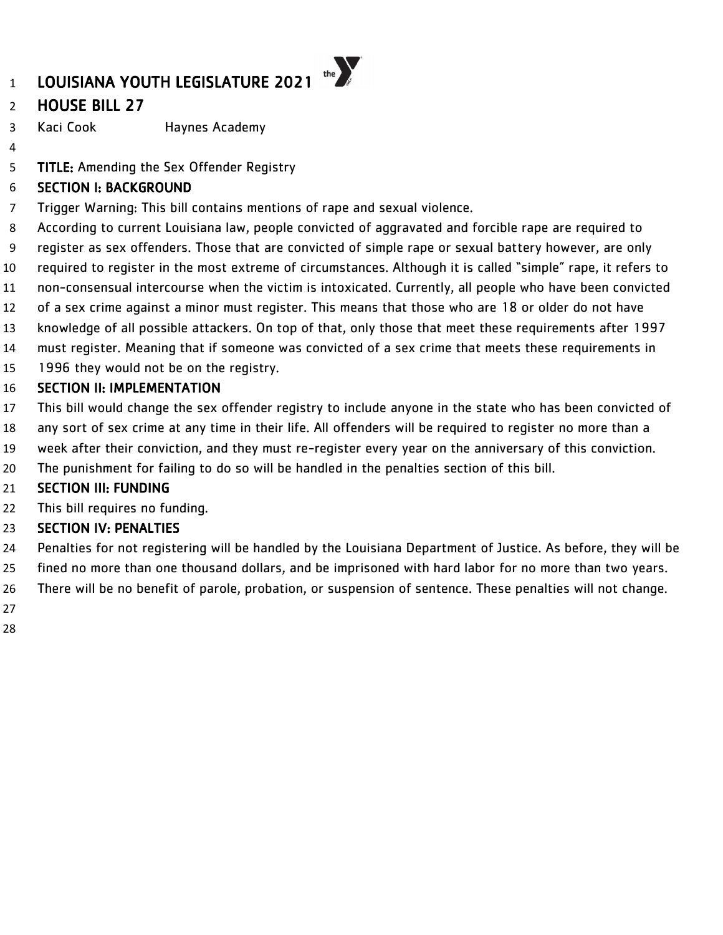# HOUSE BILL 27

Kaci Cook Haynes Academy

**TITLE:** Amending the Sex Offender Registry

# SECTION I: BACKGROUND

- Trigger Warning: This bill contains mentions of rape and sexual violence.
- According to current Louisiana law, people convicted of aggravated and forcible rape are required to
- register as sex offenders. Those that are convicted of simple rape or sexual battery however, are only
- required to register in the most extreme of circumstances. Although it is called "simple" rape, it refers to
- non-consensual intercourse when the victim is intoxicated. Currently, all people who have been convicted
- of a sex crime against a minor must register. This means that those who are 18 or older do not have
- knowledge of all possible attackers. On top of that, only those that meet these requirements after 1997
- must register. Meaning that if someone was convicted of a sex crime that meets these requirements in
- 1996 they would not be on the registry.

# SECTION II: IMPLEMENTATION

- This bill would change the sex offender registry to include anyone in the state who has been convicted of
- any sort of sex crime at any time in their life. All offenders will be required to register no more than a
- week after their conviction, and they must re-register every year on the anniversary of this conviction.
- The punishment for failing to do so will be handled in the penalties section of this bill.

# SECTION III: FUNDING

22 This bill requires no funding.

- Penalties for not registering will be handled by the Louisiana Department of Justice. As before, they will be
- fined no more than one thousand dollars, and be imprisoned with hard labor for no more than two years.
- There will be no benefit of parole, probation, or suspension of sentence. These penalties will not change.
- 
-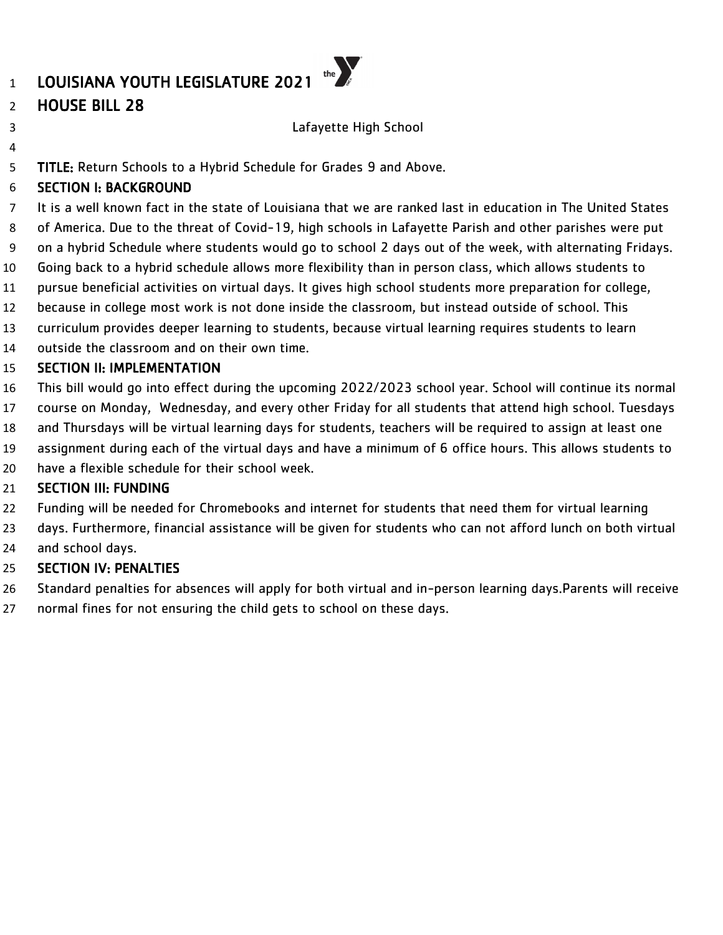# HOUSE BILL 28

### Lafayette High School

TITLE: Return Schools to a Hybrid Schedule for Grades 9 and Above.

# SECTION I: BACKGROUND

 It is a well known fact in the state of Louisiana that we are ranked last in education in The United States of America. Due to the threat of Covid-19, high schools in Lafayette Parish and other parishes were put on a hybrid Schedule where students would go to school 2 days out of the week, with alternating Fridays. Going back to a hybrid schedule allows more flexibility than in person class, which allows students to pursue beneficial activities on virtual days. It gives high school students more preparation for college, because in college most work is not done inside the classroom, but instead outside of school. This

- curriculum provides deeper learning to students, because virtual learning requires students to learn
- outside the classroom and on their own time.

### SECTION II: IMPLEMENTATION

- This bill would go into effect during the upcoming 2022/2023 school year. School will continue its normal
- course on Monday, Wednesday, and every other Friday for all students that attend high school. Tuesdays
- and Thursdays will be virtual learning days for students, teachers will be required to assign at least one
- assignment during each of the virtual days and have a minimum of 6 office hours. This allows students to
- have a flexible schedule for their school week.

# SECTION III: FUNDING

- Funding will be needed for Chromebooks and internet for students that need them for virtual learning
- days. Furthermore, financial assistance will be given for students who can not afford lunch on both virtual and school days.

- Standard penalties for absences will apply for both virtual and in-person learning days.Parents will receive
- normal fines for not ensuring the child gets to school on these days.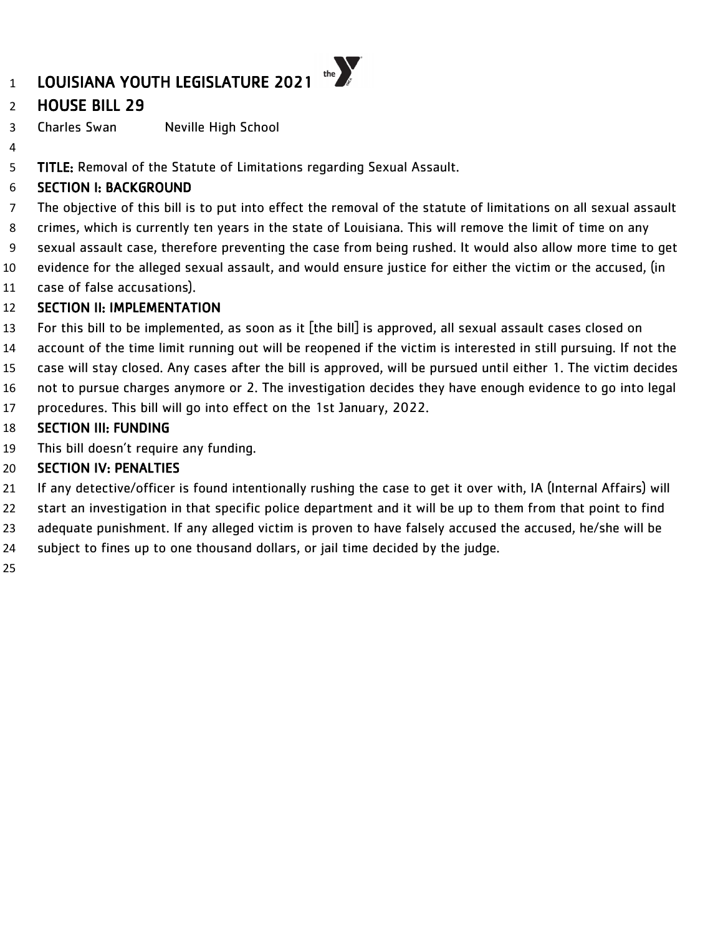# HOUSE BILL 29

Charles Swan Neville High School

5 TITLE: Removal of the Statute of Limitations regarding Sexual Assault.

### SECTION I: BACKGROUND

 The objective of this bill is to put into effect the removal of the statute of limitations on all sexual assault crimes, which is currently ten years in the state of Louisiana. This will remove the limit of time on any sexual assault case, therefore preventing the case from being rushed. It would also allow more time to get

- evidence for the alleged sexual assault, and would ensure justice for either the victim or the accused, (in
- case of false accusations).

# SECTION II: IMPLEMENTATION

- For this bill to be implemented, as soon as it [the bill] is approved, all sexual assault cases closed on
- account of the time limit running out will be reopened if the victim is interested in still pursuing. If not the
- case will stay closed. Any cases after the bill is approved, will be pursued until either 1. The victim decides
- not to pursue charges anymore or 2. The investigation decides they have enough evidence to go into legal
- procedures. This bill will go into effect on the 1st January, 2022.

# SECTION III: FUNDING

This bill doesn't require any funding.

- If any detective/officer is found intentionally rushing the case to get it over with, IA (Internal Affairs) will
- start an investigation in that specific police department and it will be up to them from that point to find
- adequate punishment. If any alleged victim is proven to have falsely accused the accused, he/she will be
- subject to fines up to one thousand dollars, or jail time decided by the judge.
-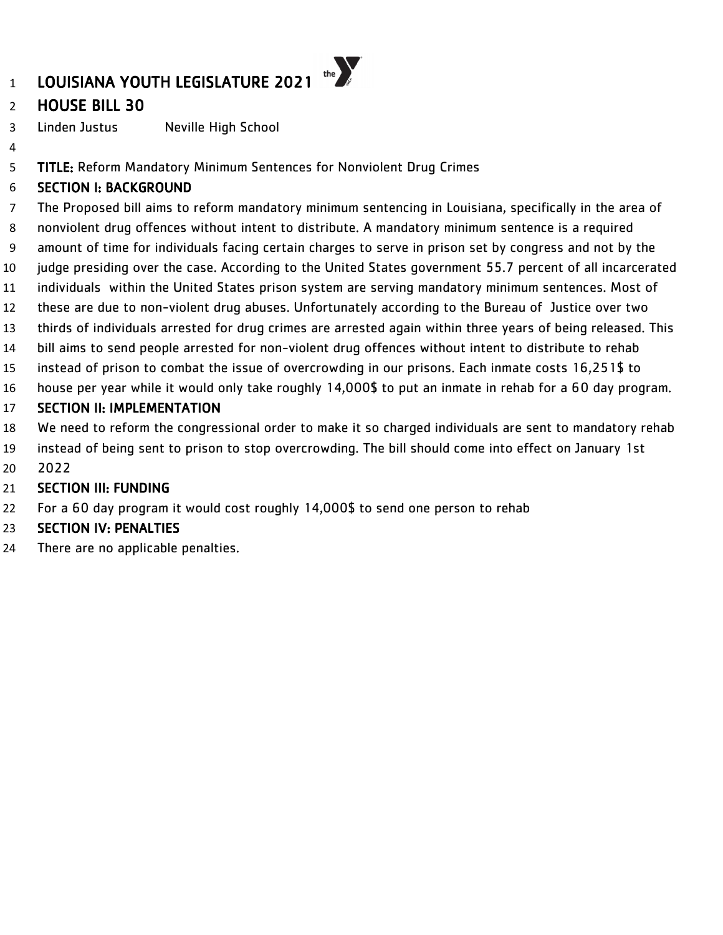

Linden Justus Neville High School

TITLE: Reform Mandatory Minimum Sentences for Nonviolent Drug Crimes

# SECTION I: BACKGROUND

 The Proposed bill aims to reform mandatory minimum sentencing in Louisiana, specifically in the area of nonviolent drug offences without intent to distribute. A mandatory minimum sentence is a required amount of time for individuals facing certain charges to serve in prison set by congress and not by the judge presiding over the case. According to the United States government 55.7 percent of all incarcerated individuals within the United States prison system are serving mandatory minimum sentences. Most of these are due to non-violent drug abuses. Unfortunately according to the Bureau of Justice over two thirds of individuals arrested for drug crimes are arrested again within three years of being released. This bill aims to send people arrested for non-violent drug offences without intent to distribute to rehab instead of prison to combat the issue of overcrowding in our prisons. Each inmate costs 16,251\$ to house per year while it would only take roughly 14,000\$ to put an inmate in rehab for a 60 day program. SECTION II: IMPLEMENTATION We need to reform the congressional order to make it so charged individuals are sent to mandatory rehab

- instead of being sent to prison to stop overcrowding. The bill should come into effect on January 1st
- 2022

# SECTION III: FUNDING

For a 60 day program it would cost roughly 14,000\$ to send one person to rehab

# SECTION IV: PENALTIES

There are no applicable penalties.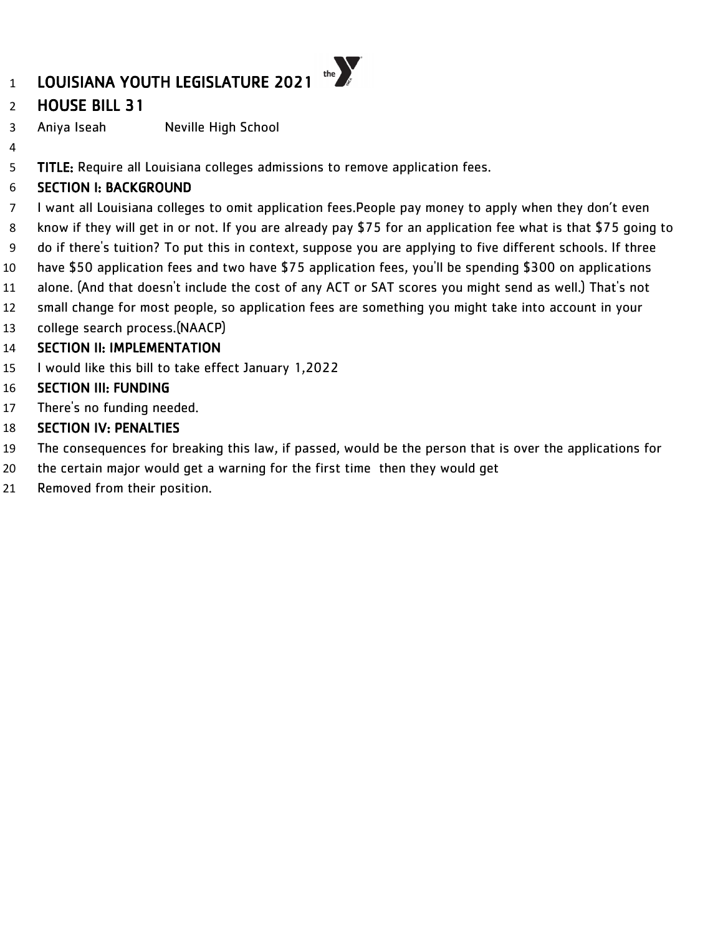# HOUSE BILL 31

- Aniya Iseah Neville High School
- 

5 TITLE: Require all Louisiana colleges admissions to remove application fees.

# SECTION I: BACKGROUND

- I want all Louisiana colleges to omit application fees.People pay money to apply when they don't even
- know if they will get in or not. If you are already pay \$75 for an application fee what is that \$75 going to
- do if there's tuition? To put this in context, suppose you are applying to five different schools. If three
- have \$50 application fees and two have \$75 application fees, you'll be spending \$300 on applications
- alone. (And that doesn't include the cost of any ACT or SAT scores you might send as well.) That's not
- small change for most people, so application fees are something you might take into account in your
- college search process.(NAACP)

# SECTION II: IMPLEMENTATION

- I would like this bill to take effect January 1,2022
- SECTION III: FUNDING
- There's no funding needed.
- SECTION IV: PENALTIES
- The consequences for breaking this law, if passed, would be the person that is over the applications for
- the certain major would get a warning for the first time then they would get
- Removed from their position.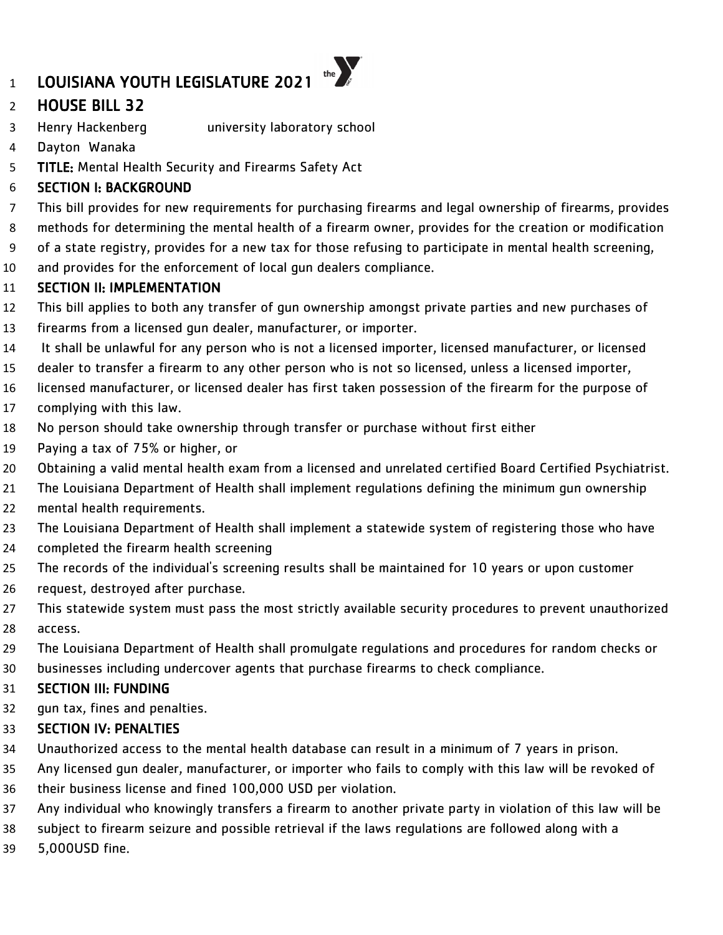# HOUSE BILL 32

- Henry Hackenberg university laboratory school
- Dayton Wanaka
- 5 TITLE: Mental Health Security and Firearms Safety Act

### SECTION I: BACKGROUND

- This bill provides for new requirements for purchasing firearms and legal ownership of firearms, provides
- methods for determining the mental health of a firearm owner, provides for the creation or modification
- of a state registry, provides for a new tax for those refusing to participate in mental health screening,
- and provides for the enforcement of local gun dealers compliance.

### SECTION II: IMPLEMENTATION

- This bill applies to both any transfer of gun ownership amongst private parties and new purchases of
- firearms from a licensed gun dealer, manufacturer, or importer.
- It shall be unlawful for any person who is not a licensed importer, licensed manufacturer, or licensed
- dealer to transfer a firearm to any other person who is not so licensed, unless a licensed importer,
- licensed manufacturer, or licensed dealer has first taken possession of the firearm for the purpose of
- complying with this law.
- No person should take ownership through transfer or purchase without first either
- Paying a tax of 75% or higher, or
- Obtaining a valid mental health exam from a licensed and unrelated certified Board Certified Psychiatrist.
- The Louisiana Department of Health shall implement regulations defining the minimum gun ownership
- 22 mental health requirements.
- The Louisiana Department of Health shall implement a statewide system of registering those who have
- completed the firearm health screening
- The records of the individual's screening results shall be maintained for 10 years or upon customer
- request, destroyed after purchase.
- This statewide system must pass the most strictly available security procedures to prevent unauthorized access.
- The Louisiana Department of Health shall promulgate regulations and procedures for random checks or
- businesses including undercover agents that purchase firearms to check compliance.

### SECTION III: FUNDING

gun tax, fines and penalties.

- Unauthorized access to the mental health database can result in a minimum of 7 years in prison.
- Any licensed gun dealer, manufacturer, or importer who fails to comply with this law will be revoked of their business license and fined 100,000 USD per violation.
- Any individual who knowingly transfers a firearm to another private party in violation of this law will be
- subject to firearm seizure and possible retrieval if the laws regulations are followed along with a
- 5,000USD fine.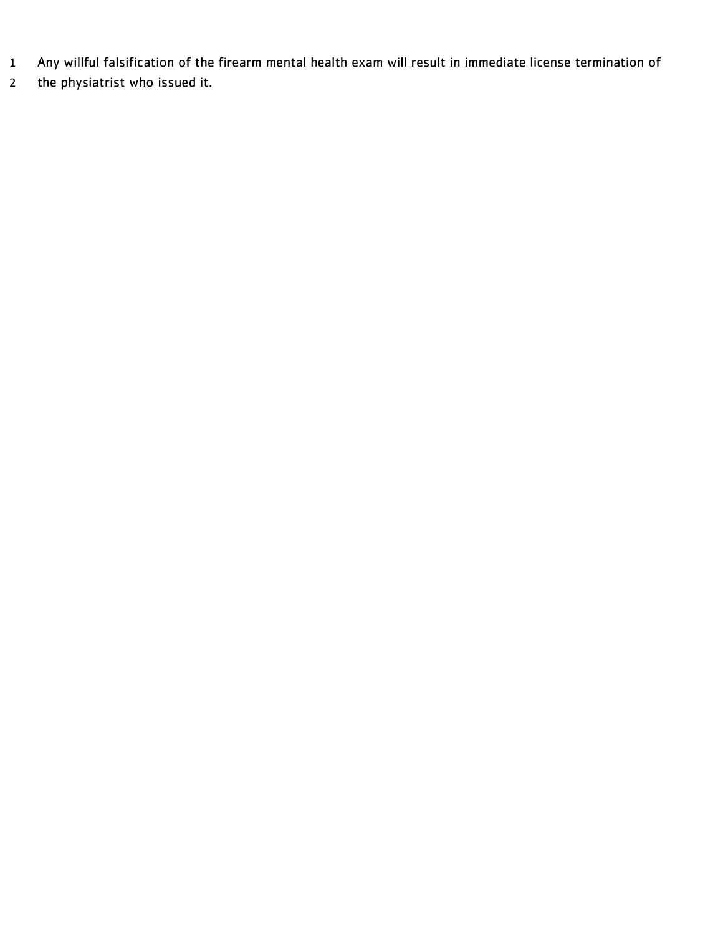- Any willful falsification of the firearm mental health exam will result in immediate license termination of
- the physiatrist who issued it.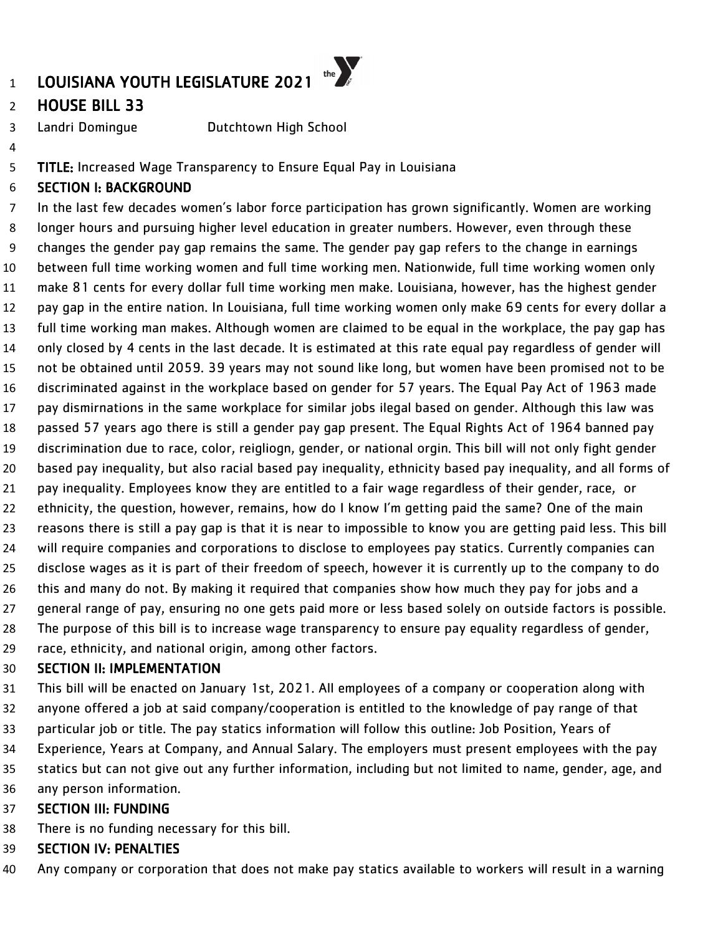# HOUSE BILL 33

Landri Domingue Dutchtown High School

#### TITLE: Increased Wage Transparency to Ensure Equal Pay in Louisiana

#### SECTION I: BACKGROUND

 In the last few decades women's labor force participation has grown significantly. Women are working longer hours and pursuing higher level education in greater numbers. However, even through these changes the gender pay gap remains the same. The gender pay gap refers to the change in earnings between full time working women and full time working men. Nationwide, full time working women only make 81 cents for every dollar full time working men make. Louisiana, however, has the highest gender pay gap in the entire nation. In Louisiana, full time working women only make 69 cents for every dollar a full time working man makes. Although women are claimed to be equal in the workplace, the pay gap has only closed by 4 cents in the last decade. It is estimated at this rate equal pay regardless of gender will not be obtained until 2059. 39 years may not sound like long, but women have been promised not to be discriminated against in the workplace based on gender for 57 years. The Equal Pay Act of 1963 made pay dismirnations in the same workplace for similar jobs ilegal based on gender. Although this law was passed 57 years ago there is still a gender pay gap present. The Equal Rights Act of 1964 banned pay discrimination due to race, color, reigliogn, gender, or national orgin. This bill will not only fight gender based pay inequality, but also racial based pay inequality, ethnicity based pay inequality, and all forms of pay inequality. Employees know they are entitled to a fair wage regardless of their gender, race, or ethnicity, the question, however, remains, how do I know I'm getting paid the same? One of the main reasons there is still a pay gap is that it is near to impossible to know you are getting paid less. This bill will require companies and corporations to disclose to employees pay statics. Currently companies can disclose wages as it is part of their freedom of speech, however it is currently up to the company to do this and many do not. By making it required that companies show how much they pay for jobs and a general range of pay, ensuring no one gets paid more or less based solely on outside factors is possible. The purpose of this bill is to increase wage transparency to ensure pay equality regardless of gender, race, ethnicity, and national origin, among other factors.

#### SECTION II: IMPLEMENTATION

This bill will be enacted on January 1st, 2021. All employees of a company or cooperation along with

- anyone offered a job at said company/cooperation is entitled to the knowledge of pay range of that
- particular job or title. The pay statics information will follow this outline: Job Position, Years of
- Experience, Years at Company, and Annual Salary. The employers must present employees with the pay
- statics but can not give out any further information, including but not limited to name, gender, age, and
- any person information.

#### SECTION III: FUNDING

- There is no funding necessary for this bill.
- SECTION IV: PENALTIES
- Any company or corporation that does not make pay statics available to workers will result in a warning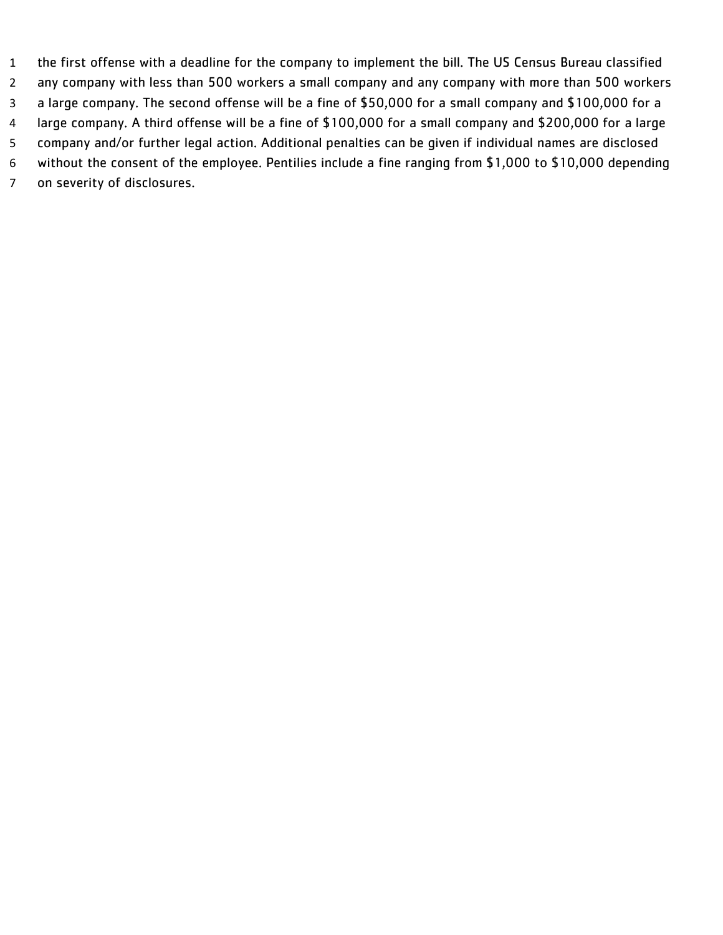the first offense with a deadline for the company to implement the bill. The US Census Bureau classified any company with less than 500 workers a small company and any company with more than 500 workers a large company. The second offense will be a fine of \$50,000 for a small company and \$100,000 for a large company. A third offense will be a fine of \$100,000 for a small company and \$200,000 for a large company and/or further legal action. Additional penalties can be given if individual names are disclosed without the consent of the employee. Pentilies include a fine ranging from \$1,000 to \$10,000 depending on severity of disclosures.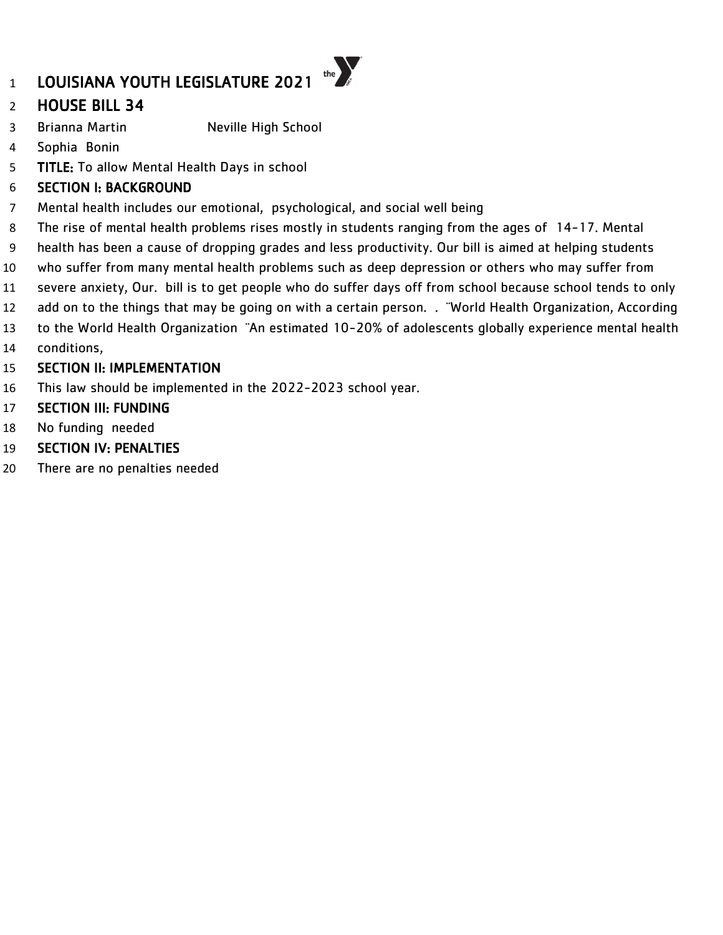# HOUSE BILL 34

- 3 Brianna Martin Neville High School
- Sophia Bonin
- TITLE: To allow Mental Health Days in school

### SECTION I: BACKGROUND

- Mental health includes our emotional, psychological, and social well being
- The rise of mental health problems rises mostly in students ranging from the ages of 14-17. Mental
- health has been a cause of dropping grades and less productivity. Our bill is aimed at helping students
- who suffer from many mental health problems such as deep depression or others who may suffer from
- severe anxiety, Our. bill is to get people who do suffer days off from school because school tends to only
- 12 add on to the things that may be going on with a certain person. . "World Health Organization, According
- to the World Health Organization ¨An estimated 10-20% of adolescents globally experience mental health conditions,
- SECTION II: IMPLEMENTATION
- This law should be implemented in the 2022-2023 school year.
- SECTION III: FUNDING
- No funding needed
- SECTION IV: PENALTIES
- There are no penalties needed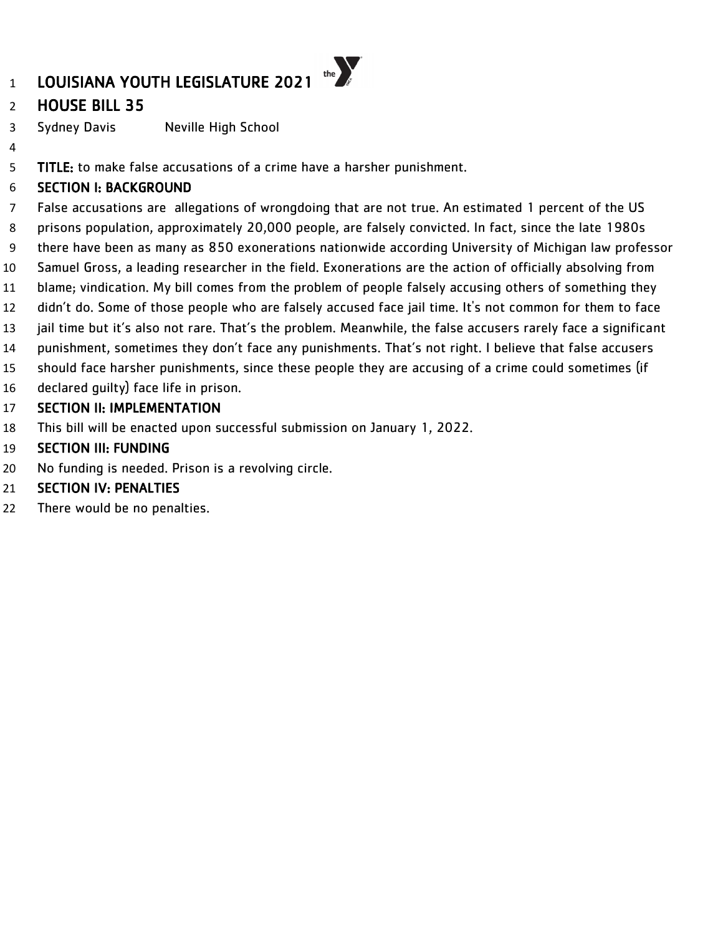# HOUSE BILL 35

Sydney Davis Neville High School

TITLE: to make false accusations of a crime have a harsher punishment.

# SECTION I: BACKGROUND

 False accusations are allegations of wrongdoing that are not true. An estimated 1 percent of the US prisons population, approximately 20,000 people, are falsely convicted. In fact, since the late 1980s there have been as many as 850 exonerations nationwide according University of Michigan law professor Samuel Gross, a leading researcher in the field. Exonerations are the action of officially absolving from blame; vindication. My bill comes from the problem of people falsely accusing others of something they didn't do. Some of those people who are falsely accused face jail time. It's not common for them to face 13 jail time but it's also not rare. That's the problem. Meanwhile, the false accusers rarely face a significant

- punishment, sometimes they don't face any punishments. That's not right. I believe that false accusers
- should face harsher punishments, since these people they are accusing of a crime could sometimes (if
- declared guilty) face life in prison.

### SECTION II: IMPLEMENTATION

This bill will be enacted upon successful submission on January 1, 2022.

### SECTION III: FUNDING

- No funding is needed. Prison is a revolving circle.
- SECTION IV: PENALTIES
- There would be no penalties.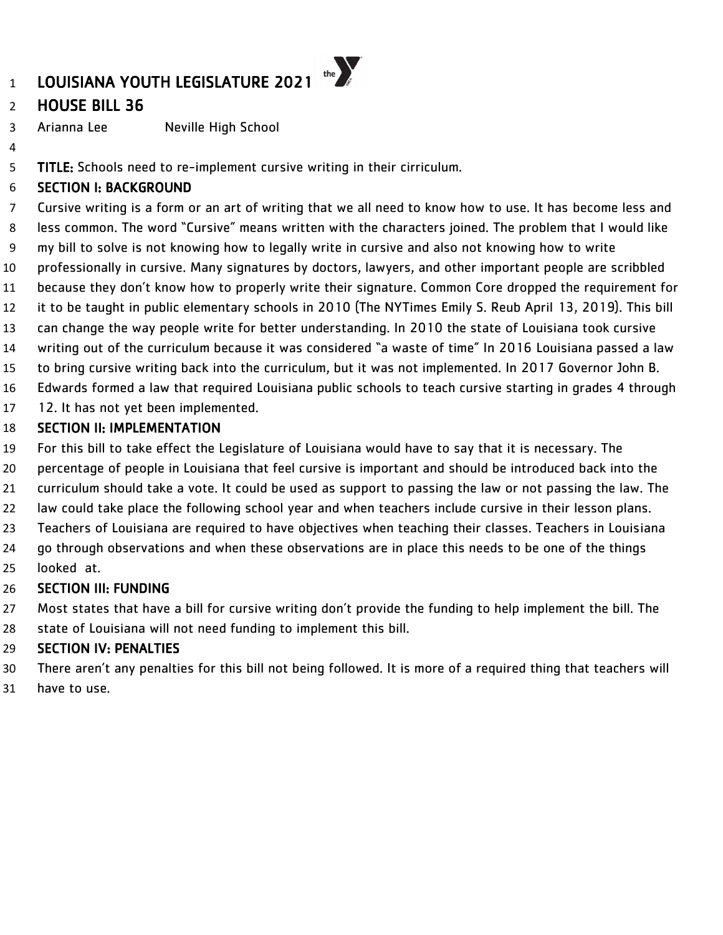# HOUSE BILL 36

Arianna Lee Neville High School

5 TITLE: Schools need to re-implement cursive writing in their cirriculum.

### SECTION I: BACKGROUND

 Cursive writing is a form or an art of writing that we all need to know how to use. It has become less and less common. The word "Cursive" means written with the characters joined. The problem that I would like my bill to solve is not knowing how to legally write in cursive and also not knowing how to write professionally in cursive. Many signatures by doctors, lawyers, and other important people are scribbled because they don't know how to properly write their signature. Common Core dropped the requirement for it to be taught in public elementary schools in 2010 (The NYTimes Emily S. Reub April 13, 2019). This bill can change the way people write for better understanding. In 2010 the state of Louisiana took cursive writing out of the curriculum because it was considered "a waste of time" In 2016 Louisiana passed a law to bring cursive writing back into the curriculum, but it was not implemented. In 2017 Governor John B. Edwards formed a law that required Louisiana public schools to teach cursive starting in grades 4 through

12. It has not yet been implemented.

#### SECTION II: IMPLEMENTATION

- For this bill to take effect the Legislature of Louisiana would have to say that it is necessary. The
- percentage of people in Louisiana that feel cursive is important and should be introduced back into the
- curriculum should take a vote. It could be used as support to passing the law or not passing the law. The
- law could take place the following school year and when teachers include cursive in their lesson plans.
- Teachers of Louisiana are required to have objectives when teaching their classes. Teachers in Louisiana
- go through observations and when these observations are in place this needs to be one of the things
- looked at.

# SECTION III: FUNDING

- Most states that have a bill for cursive writing don't provide the funding to help implement the bill. The
- state of Louisiana will not need funding to implement this bill.

- There aren't any penalties for this bill not being followed. It is more of a required thing that teachers will
- have to use.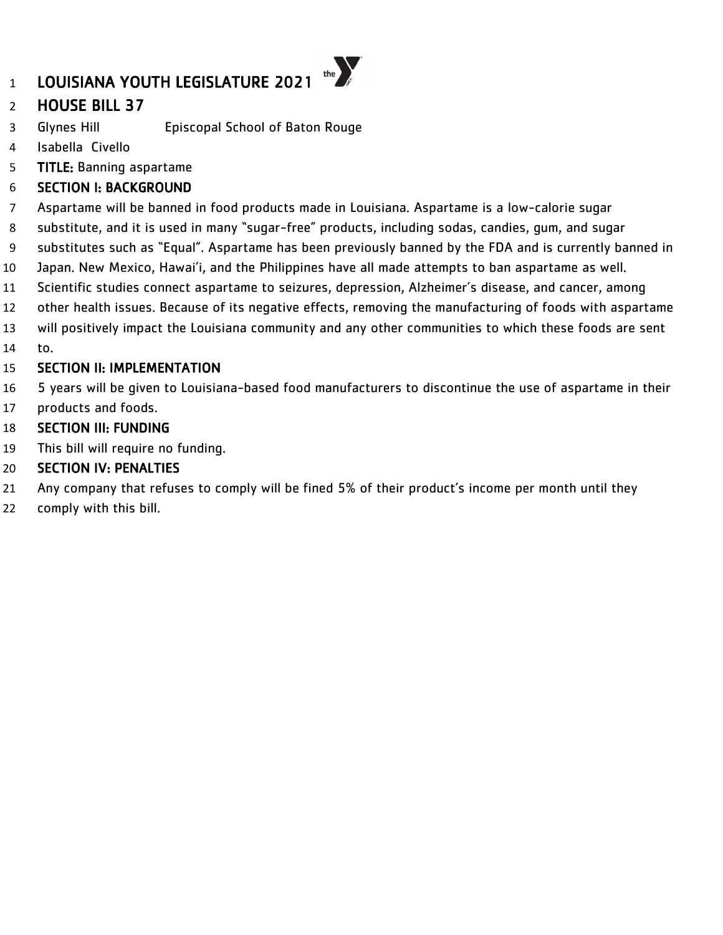# HOUSE BILL 37

- Glynes Hill Episcopal School of Baton Rouge
- Isabella Civello
- TITLE: Banning aspartame

# SECTION I: BACKGROUND

- Aspartame will be banned in food products made in Louisiana. Aspartame is a low-calorie sugar
- substitute, and it is used in many "sugar-free" products, including sodas, candies, gum, and sugar
- substitutes such as "Equal". Aspartame has been previously banned by the FDA and is currently banned in
- Japan. New Mexico, Hawai'i, and the Philippines have all made attempts to ban aspartame as well.
- Scientific studies connect aspartame to seizures, depression, Alzheimer's disease, and cancer, among
- other health issues. Because of its negative effects, removing the manufacturing of foods with aspartame
- will positively impact the Louisiana community and any other communities to which these foods are sent
- to.

#### SECTION II: IMPLEMENTATION

- 5 years will be given to Louisiana-based food manufacturers to discontinue the use of aspartame in their products and foods.
- 

# SECTION III: FUNDING

This bill will require no funding.

- Any company that refuses to comply will be fined 5% of their product's income per month until they
- comply with this bill.

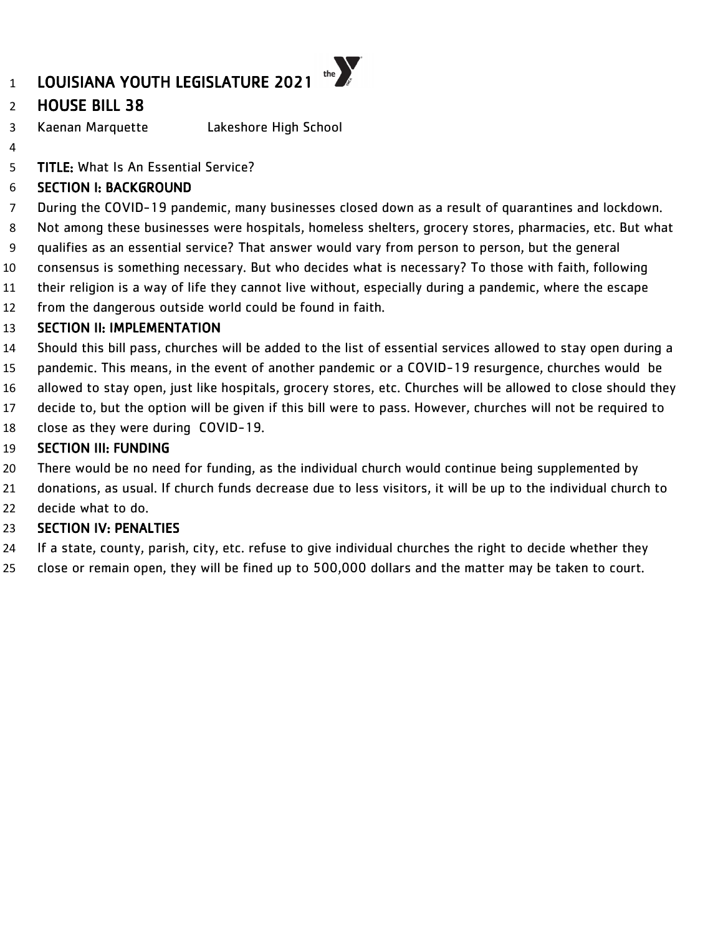# LOUISIANA YOUTH LEGISLATURE 2021

# HOUSE BILL 38

- Kaenan Marquette Lakeshore High School
- 

TITLE: What Is An Essential Service?

### SECTION I: BACKGROUND

During the COVID-19 pandemic, many businesses closed down as a result of quarantines and lockdown.

the  $\sum_{\beta}$ 

- Not among these businesses were hospitals, homeless shelters, grocery stores, pharmacies, etc. But what
- qualifies as an essential service? That answer would vary from person to person, but the general
- consensus is something necessary. But who decides what is necessary? To those with faith, following
- their religion is a way of life they cannot live without, especially during a pandemic, where the escape
- from the dangerous outside world could be found in faith.

# SECTION II: IMPLEMENTATION

- Should this bill pass, churches will be added to the list of essential services allowed to stay open during a
- pandemic. This means, in the event of another pandemic or a COVID-19 resurgence, churches would be
- allowed to stay open, just like hospitals, grocery stores, etc. Churches will be allowed to close should they
- decide to, but the option will be given if this bill were to pass. However, churches will not be required to
- close as they were during COVID-19.

# SECTION III: FUNDING

- There would be no need for funding, as the individual church would continue being supplemented by
- donations, as usual. If church funds decrease due to less visitors, it will be up to the individual church to
- decide what to do.

- If a state, county, parish, city, etc. refuse to give individual churches the right to decide whether they
- close or remain open, they will be fined up to 500,000 dollars and the matter may be taken to court.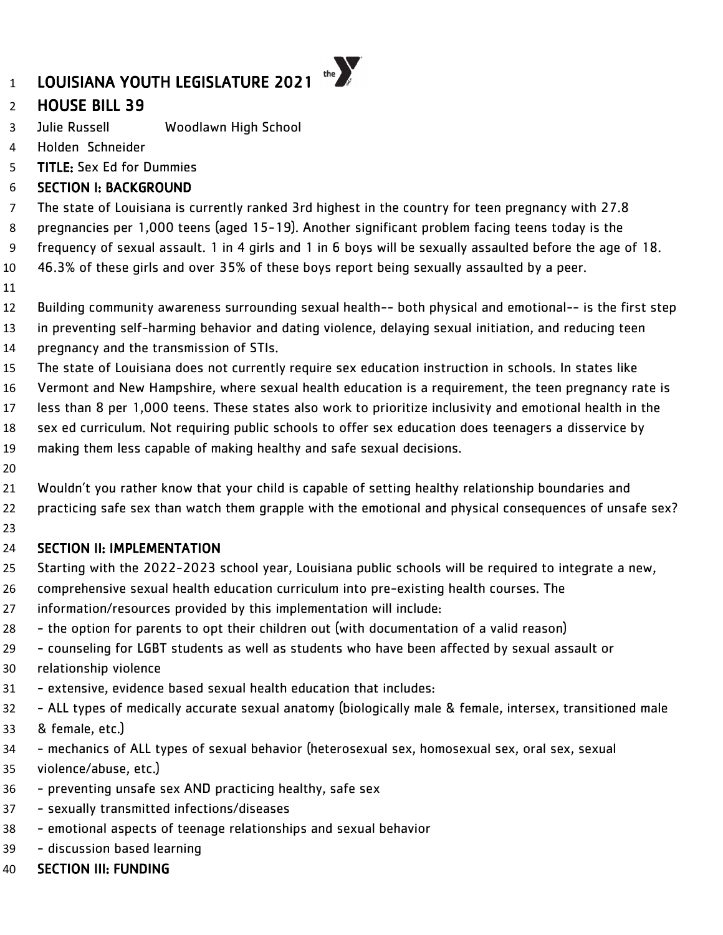# HOUSE BILL 39

- Julie Russell Woodlawn High School
- Holden Schneider
- TITLE: Sex Ed for Dummies

# SECTION I: BACKGROUND

The state of Louisiana is currently ranked 3rd highest in the country for teen pregnancy with 27.8

pregnancies per 1,000 teens (aged 15-19). Another significant problem facing teens today is the

frequency of sexual assault. 1 in 4 girls and 1 in 6 boys will be sexually assaulted before the age of 18.

- 46.3% of these girls and over 35% of these boys report being sexually assaulted by a peer.
- 
- Building community awareness surrounding sexual health-- both physical and emotional-- is the first step
- in preventing self-harming behavior and dating violence, delaying sexual initiation, and reducing teen
- pregnancy and the transmission of STIs.
- The state of Louisiana does not currently require sex education instruction in schools. In states like
- Vermont and New Hampshire, where sexual health education is a requirement, the teen pregnancy rate is
- less than 8 per 1,000 teens. These states also work to prioritize inclusivity and emotional health in the
- sex ed curriculum. Not requiring public schools to offer sex education does teenagers a disservice by
- making them less capable of making healthy and safe sexual decisions.
- 
- Wouldn't you rather know that your child is capable of setting healthy relationship boundaries and
- practicing safe sex than watch them grapple with the emotional and physical consequences of unsafe sex?
- 

# SECTION II: IMPLEMENTATION

- Starting with the 2022-2023 school year, Louisiana public schools will be required to integrate a new,
- comprehensive sexual health education curriculum into pre-existing health courses. The
- information/resources provided by this implementation will include:
- the option for parents to opt their children out (with documentation of a valid reason)
- counseling for LGBT students as well as students who have been affected by sexual assault or
- relationship violence
- extensive, evidence based sexual health education that includes:
- ALL types of medically accurate sexual anatomy (biologically male & female, intersex, transitioned male
- & female, etc.)
- mechanics of ALL types of sexual behavior (heterosexual sex, homosexual sex, oral sex, sexual violence/abuse, etc.)
- preventing unsafe sex AND practicing healthy, safe sex
- sexually transmitted infections/diseases
- emotional aspects of teenage relationships and sexual behavior
- discussion based learning
- SECTION III: FUNDING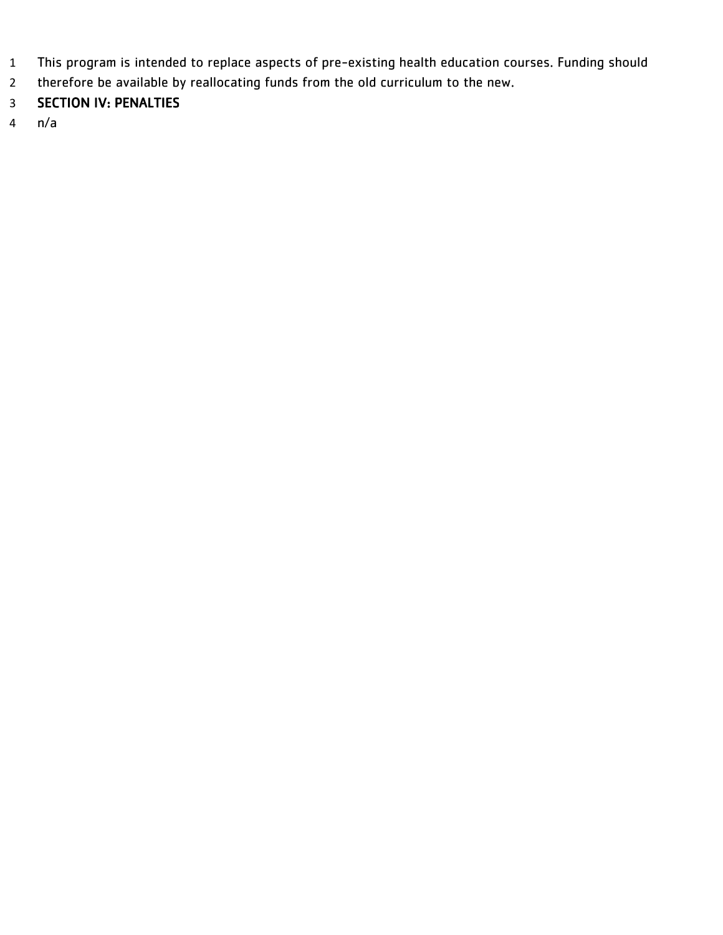- This program is intended to replace aspects of pre-existing health education courses. Funding should
- therefore be available by reallocating funds from the old curriculum to the new.

# SECTION IV: PENALTIES

n/a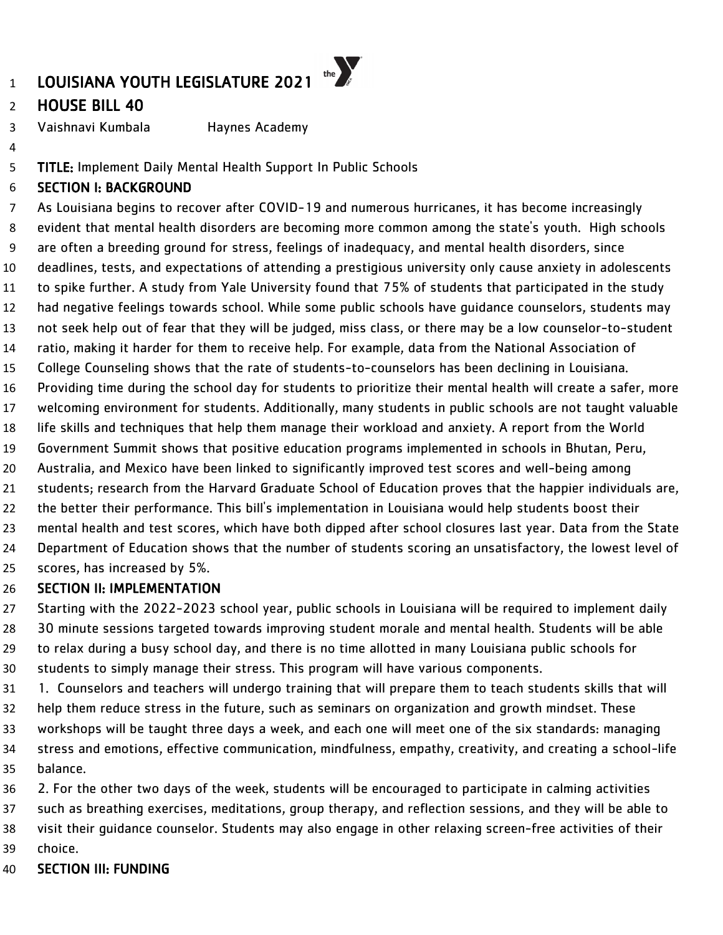# HOUSE BILL 40

Vaishnavi Kumbala Haynes Academy

TITLE: Implement Daily Mental Health Support In Public Schools

### SECTION I: BACKGROUND

 As Louisiana begins to recover after COVID-19 and numerous hurricanes, it has become increasingly evident that mental health disorders are becoming more common among the state's youth. High schools are often a breeding ground for stress, feelings of inadequacy, and mental health disorders, since deadlines, tests, and expectations of attending a prestigious university only cause anxiety in adolescents to spike further. A study from Yale University found that 75% of students that participated in the study had negative feelings towards school. While some public schools have guidance counselors, students may not seek help out of fear that they will be judged, miss class, or there may be a low counselor-to-student ratio, making it harder for them to receive help. For example, data from the National Association of College Counseling shows that the rate of students-to-counselors has been declining in Louisiana. Providing time during the school day for students to prioritize their mental health will create a safer, more welcoming environment for students. Additionally, many students in public schools are not taught valuable life skills and techniques that help them manage their workload and anxiety. A report from the World Government Summit shows that positive education programs implemented in schools in Bhutan, Peru, Australia, and Mexico have been linked to significantly improved test scores and well-being among students; research from the Harvard Graduate School of Education proves that the happier individuals are, the better their performance. This bill's implementation in Louisiana would help students boost their mental health and test scores, which have both dipped after school closures last year. Data from the State Department of Education shows that the number of students scoring an unsatisfactory, the lowest level of scores, has increased by 5%. SECTION II: IMPLEMENTATION

 Starting with the 2022-2023 school year, public schools in Louisiana will be required to implement daily 30 minute sessions targeted towards improving student morale and mental health. Students will be able to relax during a busy school day, and there is no time allotted in many Louisiana public schools for students to simply manage their stress. This program will have various components.

 1. Counselors and teachers will undergo training that will prepare them to teach students skills that will help them reduce stress in the future, such as seminars on organization and growth mindset. These workshops will be taught three days a week, and each one will meet one of the six standards: managing stress and emotions, effective communication, mindfulness, empathy, creativity, and creating a school-life balance.

 2. For the other two days of the week, students will be encouraged to participate in calming activities such as breathing exercises, meditations, group therapy, and reflection sessions, and they will be able to visit their guidance counselor. Students may also engage in other relaxing screen-free activities of their choice.

SECTION III: FUNDING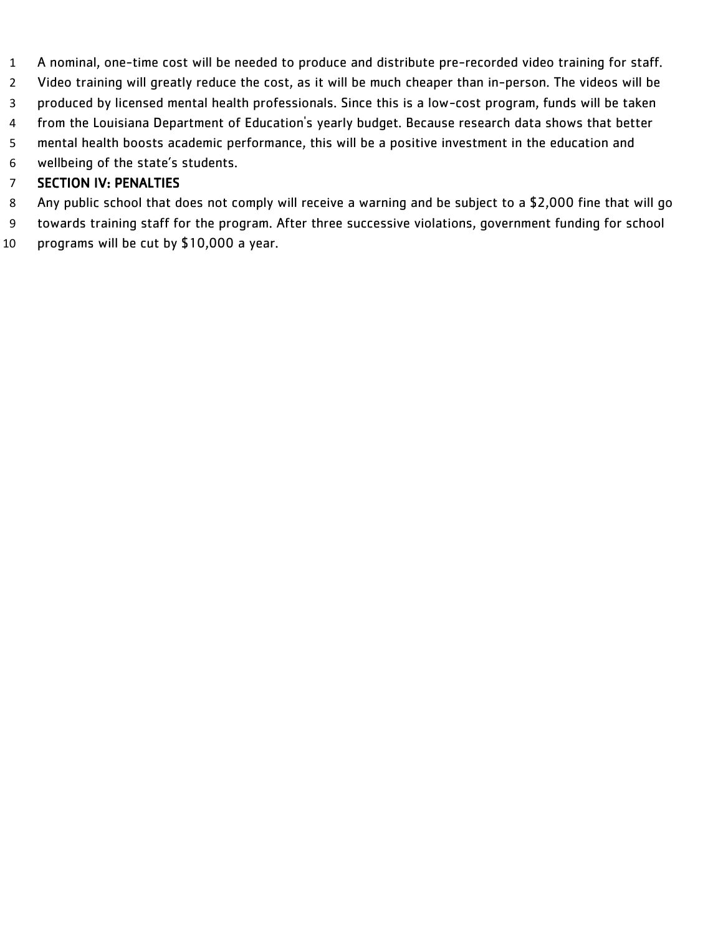- A nominal, one-time cost will be needed to produce and distribute pre-recorded video training for staff.
- Video training will greatly reduce the cost, as it will be much cheaper than in-person. The videos will be
- produced by licensed mental health professionals. Since this is a low-cost program, funds will be taken
- from the Louisiana Department of Education's yearly budget. Because research data shows that better
- mental health boosts academic performance, this will be a positive investment in the education and
- wellbeing of the state's students.

- Any public school that does not comply will receive a warning and be subject to a \$2,000 fine that will go
- towards training staff for the program. After three successive violations, government funding for school programs will be cut by \$10,000 a year.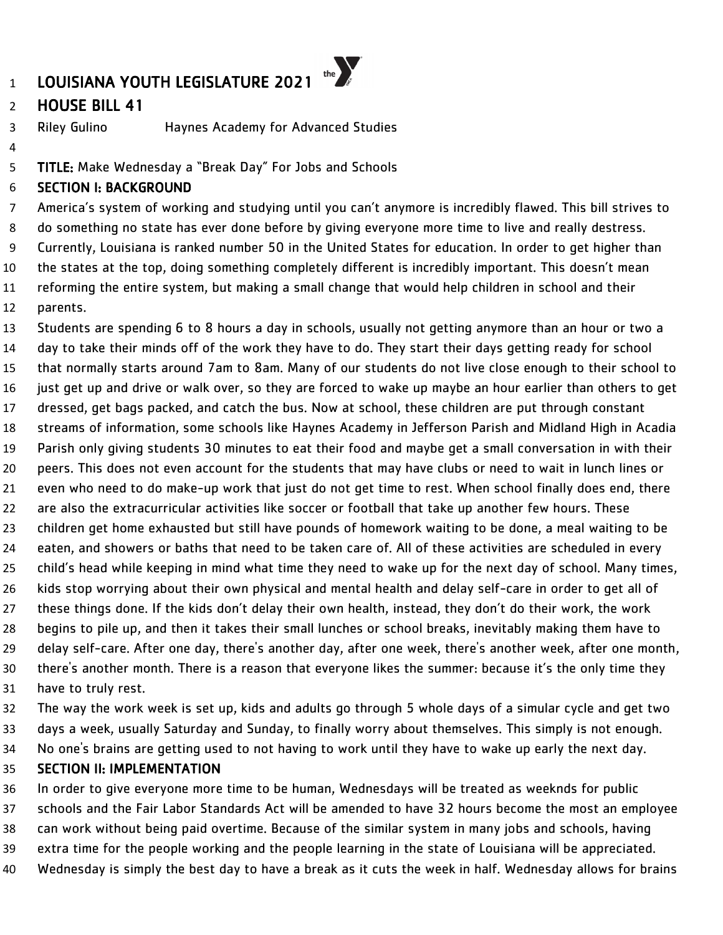# HOUSE BILL 41

Riley Gulino Haynes Academy for Advanced Studies

TITLE: Make Wednesday a "Break Day" For Jobs and Schools

### SECTION I: BACKGROUND

 America's system of working and studying until you can't anymore is incredibly flawed. This bill strives to do something no state has ever done before by giving everyone more time to live and really destress. Currently, Louisiana is ranked number 50 in the United States for education. In order to get higher than the states at the top, doing something completely different is incredibly important. This doesn't mean reforming the entire system, but making a small change that would help children in school and their parents.

 Students are spending 6 to 8 hours a day in schools, usually not getting anymore than an hour or two a day to take their minds off of the work they have to do. They start their days getting ready for school that normally starts around 7am to 8am. Many of our students do not live close enough to their school to just get up and drive or walk over, so they are forced to wake up maybe an hour earlier than others to get dressed, get bags packed, and catch the bus. Now at school, these children are put through constant streams of information, some schools like Haynes Academy in Jefferson Parish and Midland High in Acadia Parish only giving students 30 minutes to eat their food and maybe get a small conversation in with their peers. This does not even account for the students that may have clubs or need to wait in lunch lines or even who need to do make-up work that just do not get time to rest. When school finally does end, there are also the extracurricular activities like soccer or football that take up another few hours. These children get home exhausted but still have pounds of homework waiting to be done, a meal waiting to be eaten, and showers or baths that need to be taken care of. All of these activities are scheduled in every child's head while keeping in mind what time they need to wake up for the next day of school. Many times, kids stop worrying about their own physical and mental health and delay self-care in order to get all of these things done. If the kids don't delay their own health, instead, they don't do their work, the work begins to pile up, and then it takes their small lunches or school breaks, inevitably making them have to delay self-care. After one day, there's another day, after one week, there's another week, after one month, there's another month. There is a reason that everyone likes the summer: because it's the only time they have to truly rest.

 The way the work week is set up, kids and adults go through 5 whole days of a simular cycle and get two days a week, usually Saturday and Sunday, to finally worry about themselves. This simply is not enough.

No one's brains are getting used to not having to work until they have to wake up early the next day.

#### SECTION II: IMPLEMENTATION

 In order to give everyone more time to be human, Wednesdays will be treated as weeknds for public schools and the Fair Labor Standards Act will be amended to have 32 hours become the most an employee can work without being paid overtime. Because of the similar system in many jobs and schools, having extra time for the people working and the people learning in the state of Louisiana will be appreciated. Wednesday is simply the best day to have a break as it cuts the week in half. Wednesday allows for brains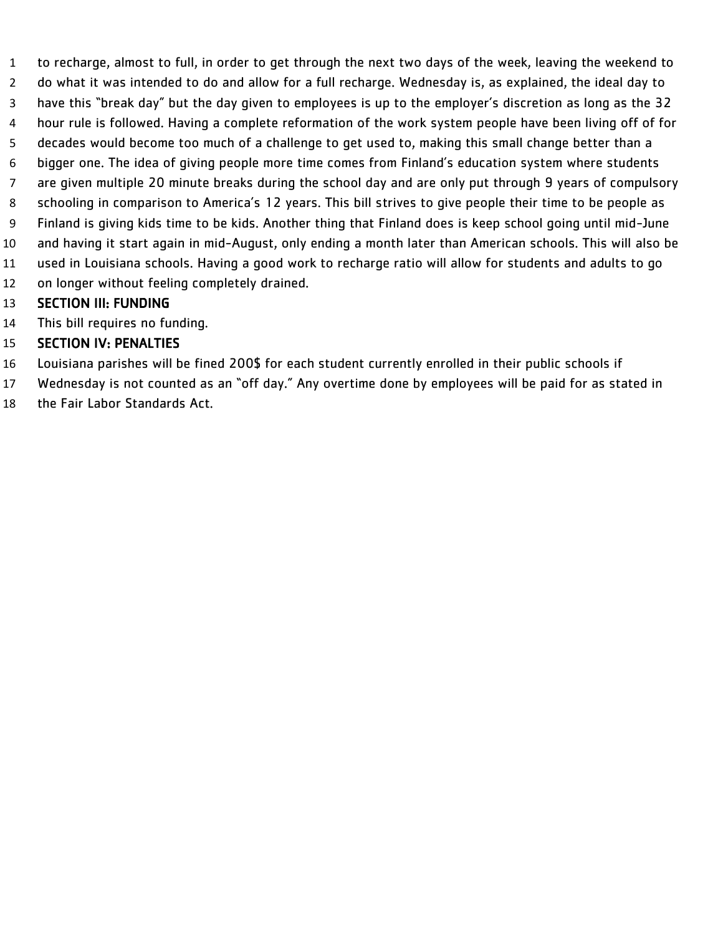to recharge, almost to full, in order to get through the next two days of the week, leaving the weekend to do what it was intended to do and allow for a full recharge. Wednesday is, as explained, the ideal day to have this "break day" but the day given to employees is up to the employer's discretion as long as the 32 hour rule is followed. Having a complete reformation of the work system people have been living off of for decades would become too much of a challenge to get used to, making this small change better than a bigger one. The idea of giving people more time comes from Finland's education system where students are given multiple 20 minute breaks during the school day and are only put through 9 years of compulsory schooling in comparison to America's 12 years. This bill strives to give people their time to be people as Finland is giving kids time to be kids. Another thing that Finland does is keep school going until mid-June and having it start again in mid-August, only ending a month later than American schools. This will also be used in Louisiana schools. Having a good work to recharge ratio will allow for students and adults to go on longer without feeling completely drained.

#### SECTION III: FUNDING

This bill requires no funding.

- Louisiana parishes will be fined 200\$ for each student currently enrolled in their public schools if
- Wednesday is not counted as an "off day." Any overtime done by employees will be paid for as stated in
- the Fair Labor Standards Act.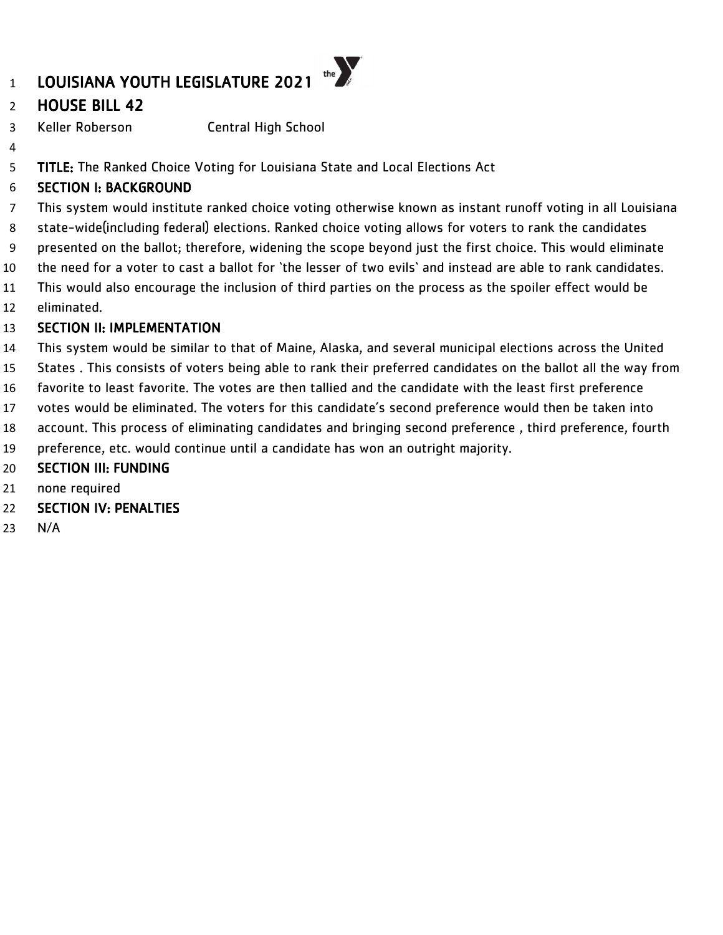# HOUSE BILL 42

Keller Roberson Central High School

5 TITLE: The Ranked Choice Voting for Louisiana State and Local Elections Act

### SECTION I: BACKGROUND

 This system would institute ranked choice voting otherwise known as instant runoff voting in all Louisiana state-wide(including federal) elections. Ranked choice voting allows for voters to rank the candidates presented on the ballot; therefore, widening the scope beyond just the first choice. This would eliminate

- the need for a voter to cast a ballot for 'the lesser of two evils' and instead are able to rank candidates.
- This would also encourage the inclusion of third parties on the process as the spoiler effect would be eliminated.

# SECTION II: IMPLEMENTATION

- This system would be similar to that of Maine, Alaska, and several municipal elections across the United
- States . This consists of voters being able to rank their preferred candidates on the ballot all the way from
- favorite to least favorite. The votes are then tallied and the candidate with the least first preference
- votes would be eliminated. The voters for this candidate's second preference would then be taken into
- account. This process of eliminating candidates and bringing second preference , third preference, fourth
- preference, etc. would continue until a candidate has won an outright majority.
- SECTION III: FUNDING
- none required
- SECTION IV: PENALTIES
- N/A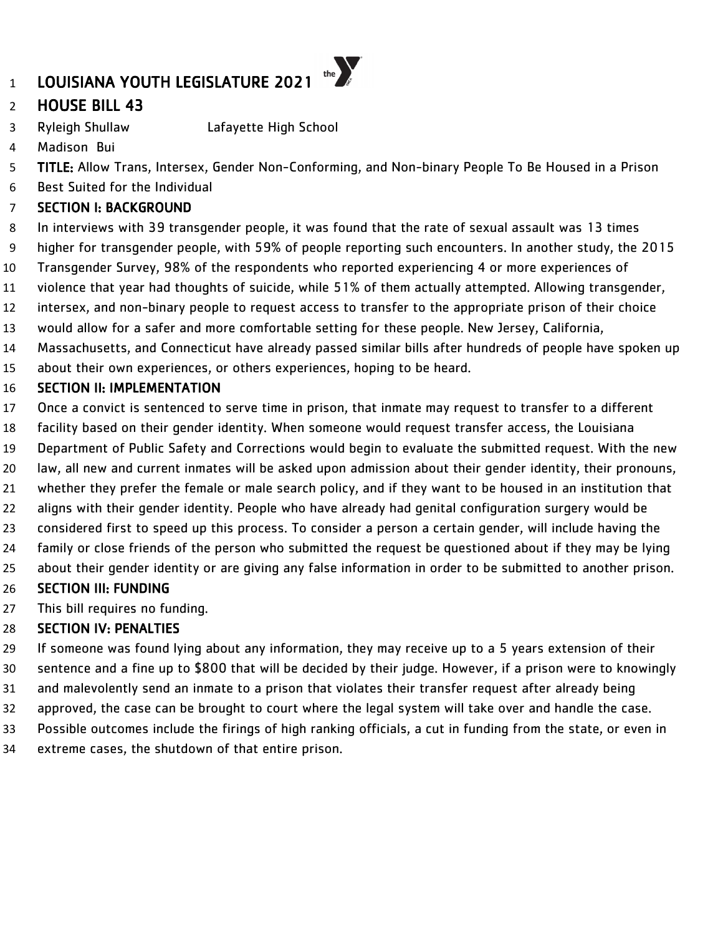# LOUISIANA YOUTH LEGISLATURE 2021

# HOUSE BILL 43

- Ryleigh Shullaw Lafayette High School
- Madison Bui
- TITLE: Allow Trans, Intersex, Gender Non-Conforming, and Non-binary People To Be Housed in a Prison

the  $\sum_{k}$ 

Best Suited for the Individual

### SECTION I: BACKGROUND

- In interviews with 39 transgender people, it was found that the rate of sexual assault was 13 times
- higher for transgender people, with 59% of people reporting such encounters. In another study, the 2015
- Transgender Survey, 98% of the respondents who reported experiencing 4 or more experiences of
- violence that year had thoughts of suicide, while 51% of them actually attempted. Allowing transgender,
- intersex, and non-binary people to request access to transfer to the appropriate prison of their choice
- would allow for a safer and more comfortable setting for these people. New Jersey, California,
- Massachusetts, and Connecticut have already passed similar bills after hundreds of people have spoken up
- about their own experiences, or others experiences, hoping to be heard.

### SECTION II: IMPLEMENTATION

- Once a convict is sentenced to serve time in prison, that inmate may request to transfer to a different
- facility based on their gender identity. When someone would request transfer access, the Louisiana
- Department of Public Safety and Corrections would begin to evaluate the submitted request. With the new
- law, all new and current inmates will be asked upon admission about their gender identity, their pronouns,
- whether they prefer the female or male search policy, and if they want to be housed in an institution that
- aligns with their gender identity. People who have already had genital configuration surgery would be
- considered first to speed up this process. To consider a person a certain gender, will include having the
- family or close friends of the person who submitted the request be questioned about if they may be lying
- about their gender identity or are giving any false information in order to be submitted to another prison.

# SECTION III: FUNDING

This bill requires no funding.

- If someone was found lying about any information, they may receive up to a 5 years extension of their sentence and a fine up to \$800 that will be decided by their judge. However, if a prison were to knowingly and malevolently send an inmate to a prison that violates their transfer request after already being approved, the case can be brought to court where the legal system will take over and handle the case.
- Possible outcomes include the firings of high ranking officials, a cut in funding from the state, or even in
- extreme cases, the shutdown of that entire prison.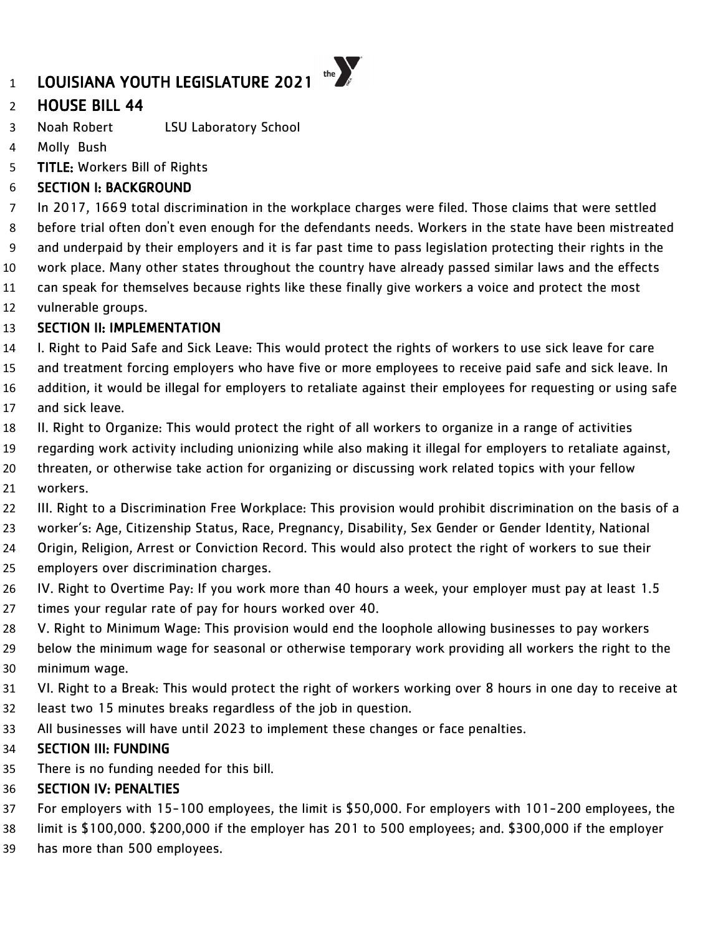# HOUSE BILL 44

- Noah Robert LSU Laboratory School
- Molly Bush
- TITLE: Workers Bill of Rights

# SECTION I: BACKGROUND

 In 2017, 1669 total discrimination in the workplace charges were filed. Those claims that were settled before trial often don't even enough for the defendants needs. Workers in the state have been mistreated and underpaid by their employers and it is far past time to pass legislation protecting their rights in the work place. Many other states throughout the country have already passed similar laws and the effects can speak for themselves because rights like these finally give workers a voice and protect the most

vulnerable groups.

#### SECTION II: IMPLEMENTATION

- I. Right to Paid Safe and Sick Leave: This would protect the rights of workers to use sick leave for care
- and treatment forcing employers who have five or more employees to receive paid safe and sick leave. In
- addition, it would be illegal for employers to retaliate against their employees for requesting or using safe and sick leave.
- II. Right to Organize: This would protect the right of all workers to organize in a range of activities
- regarding work activity including unionizing while also making it illegal for employers to retaliate against,
- threaten, or otherwise take action for organizing or discussing work related topics with your fellow workers.
- III. Right to a Discrimination Free Workplace: This provision would prohibit discrimination on the basis of a
- worker's: Age, Citizenship Status, Race, Pregnancy, Disability, Sex Gender or Gender Identity, National
- Origin, Religion, Arrest or Conviction Record. This would also protect the right of workers to sue their
- employers over discrimination charges.
- IV. Right to Overtime Pay: If you work more than 40 hours a week, your employer must pay at least 1.5
- times your regular rate of pay for hours worked over 40.
- V. Right to Minimum Wage: This provision would end the loophole allowing businesses to pay workers
- below the minimum wage for seasonal or otherwise temporary work providing all workers the right to the minimum wage.
- VI. Right to a Break: This would protect the right of workers working over 8 hours in one day to receive at
- least two 15 minutes breaks regardless of the job in question.
- All businesses will have until 2023 to implement these changes or face penalties.

#### SECTION III: FUNDING

There is no funding needed for this bill.

- For employers with 15-100 employees, the limit is \$50,000. For employers with 101-200 employees, the
- limit is \$100,000. \$200,000 if the employer has 201 to 500 employees; and. \$300,000 if the employer
- has more than 500 employees.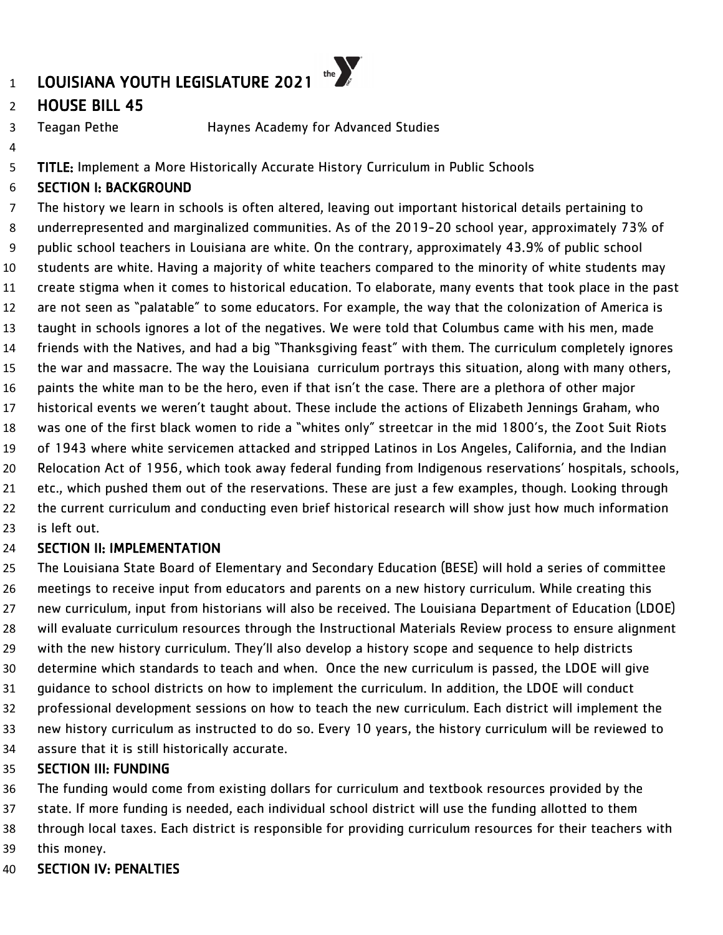# HOUSE BILL 45

Teagan Pethe Haynes Academy for Advanced Studies

TITLE: Implement a More Historically Accurate History Curriculum in Public Schools

### SECTION I: BACKGROUND

 The history we learn in schools is often altered, leaving out important historical details pertaining to underrepresented and marginalized communities. As of the 2019-20 school year, approximately 73% of public school teachers in Louisiana are white. On the contrary, approximately 43.9% of public school students are white. Having a majority of white teachers compared to the minority of white students may create stigma when it comes to historical education. To elaborate, many events that took place in the past are not seen as "palatable" to some educators. For example, the way that the colonization of America is taught in schools ignores a lot of the negatives. We were told that Columbus came with his men, made friends with the Natives, and had a big "Thanksgiving feast" with them. The curriculum completely ignores the war and massacre. The way the Louisiana curriculum portrays this situation, along with many others, paints the white man to be the hero, even if that isn't the case. There are a plethora of other major historical events we weren't taught about. These include the actions of Elizabeth Jennings Graham, who was one of the first black women to ride a "whites only" streetcar in the mid 1800's, the Zoot Suit Riots of 1943 where white servicemen attacked and stripped Latinos in Los Angeles, California, and the Indian Relocation Act of 1956, which took away federal funding from Indigenous reservations' hospitals, schools, etc., which pushed them out of the reservations. These are just a few examples, though. Looking through 22 the current curriculum and conducting even brief historical research will show just how much information is left out.

#### SECTION II: IMPLEMENTATION

 The Louisiana State Board of Elementary and Secondary Education (BESE) will hold a series of committee meetings to receive input from educators and parents on a new history curriculum. While creating this new curriculum, input from historians will also be received. The Louisiana Department of Education (LDOE) will evaluate curriculum resources through the Instructional Materials Review process to ensure alignment with the new history curriculum. They'll also develop a history scope and sequence to help districts determine which standards to teach and when. Once the new curriculum is passed, the LDOE will give guidance to school districts on how to implement the curriculum. In addition, the LDOE will conduct professional development sessions on how to teach the new curriculum. Each district will implement the new history curriculum as instructed to do so. Every 10 years, the history curriculum will be reviewed to assure that it is still historically accurate.

#### SECTION III: FUNDING

 The funding would come from existing dollars for curriculum and textbook resources provided by the state. If more funding is needed, each individual school district will use the funding allotted to them through local taxes. Each district is responsible for providing curriculum resources for their teachers with this money.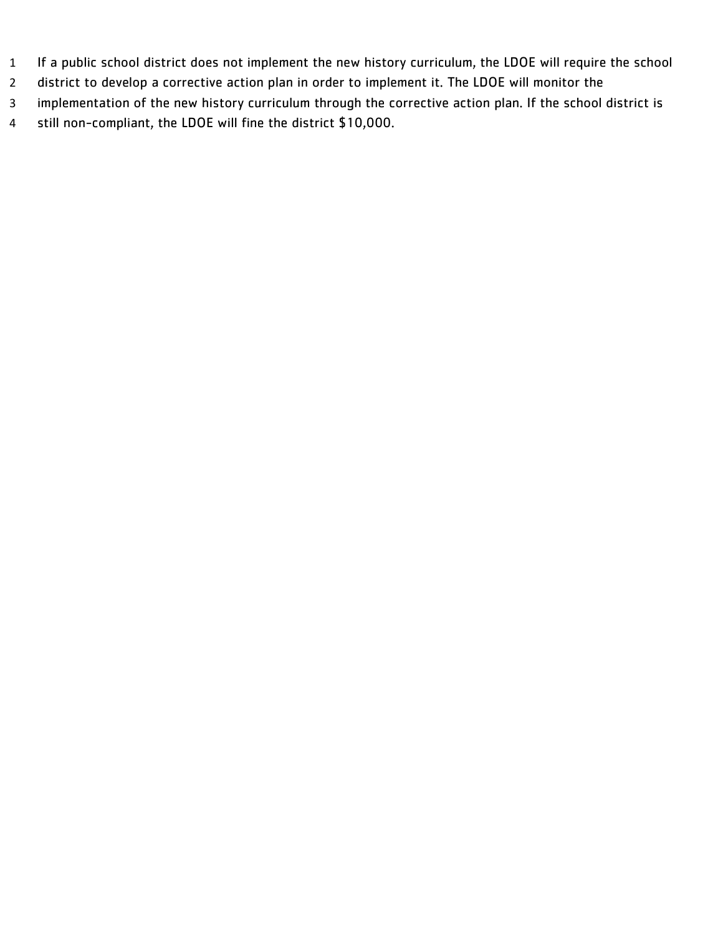- If a public school district does not implement the new history curriculum, the LDOE will require the school
- district to develop a corrective action plan in order to implement it. The LDOE will monitor the
- implementation of the new history curriculum through the corrective action plan. If the school district is
- still non-compliant, the LDOE will fine the district \$10,000.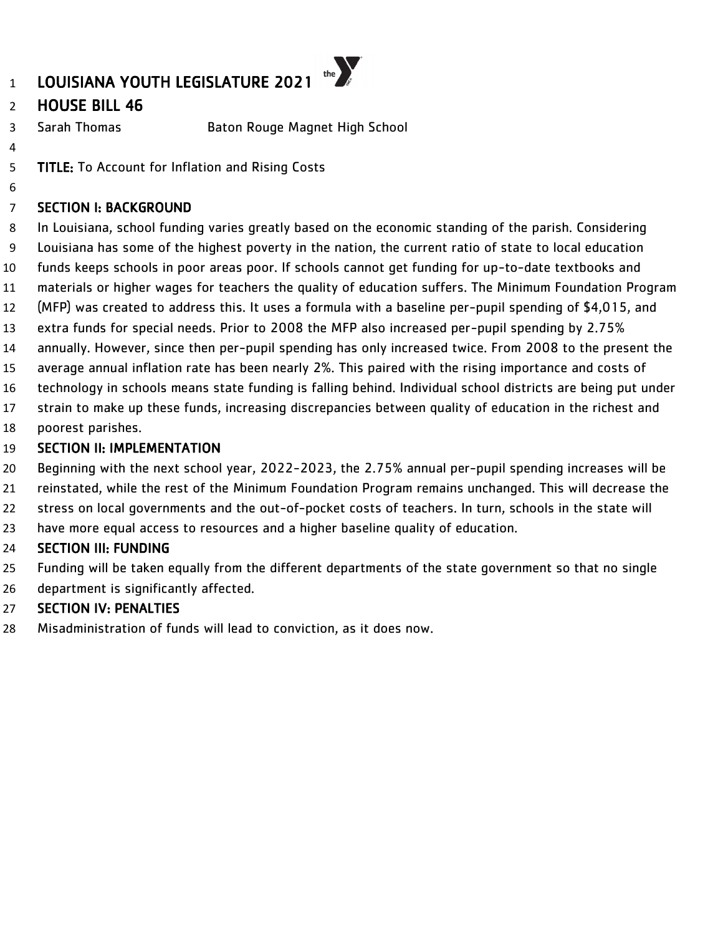

# HOUSE BILL 46

- Sarah Thomas Baton Rouge Magnet High School
- 

TITLE: To Account for Inflation and Rising Costs

### SECTION I: BACKGROUND

 In Louisiana, school funding varies greatly based on the economic standing of the parish. Considering Louisiana has some of the highest poverty in the nation, the current ratio of state to local education funds keeps schools in poor areas poor. If schools cannot get funding for up-to-date textbooks and materials or higher wages for teachers the quality of education suffers. The Minimum Foundation Program (MFP) was created to address this. It uses a formula with a baseline per-pupil spending of \$4,015, and extra funds for special needs. Prior to 2008 the MFP also increased per-pupil spending by 2.75% annually. However, since then per-pupil spending has only increased twice. From 2008 to the present the

- average annual inflation rate has been nearly 2%. This paired with the rising importance and costs of
- technology in schools means state funding is falling behind. Individual school districts are being put under
- strain to make up these funds, increasing discrepancies between quality of education in the richest and
- poorest parishes.

### SECTION II: IMPLEMENTATION

Beginning with the next school year, 2022-2023, the 2.75% annual per-pupil spending increases will be

- reinstated, while the rest of the Minimum Foundation Program remains unchanged. This will decrease the
- 22 stress on local governments and the out-of-pocket costs of teachers. In turn, schools in the state will
- have more equal access to resources and a higher baseline quality of education.

#### SECTION III: FUNDING

Funding will be taken equally from the different departments of the state government so that no single

department is significantly affected.

# SECTION IV: PENALTIES

Misadministration of funds will lead to conviction, as it does now.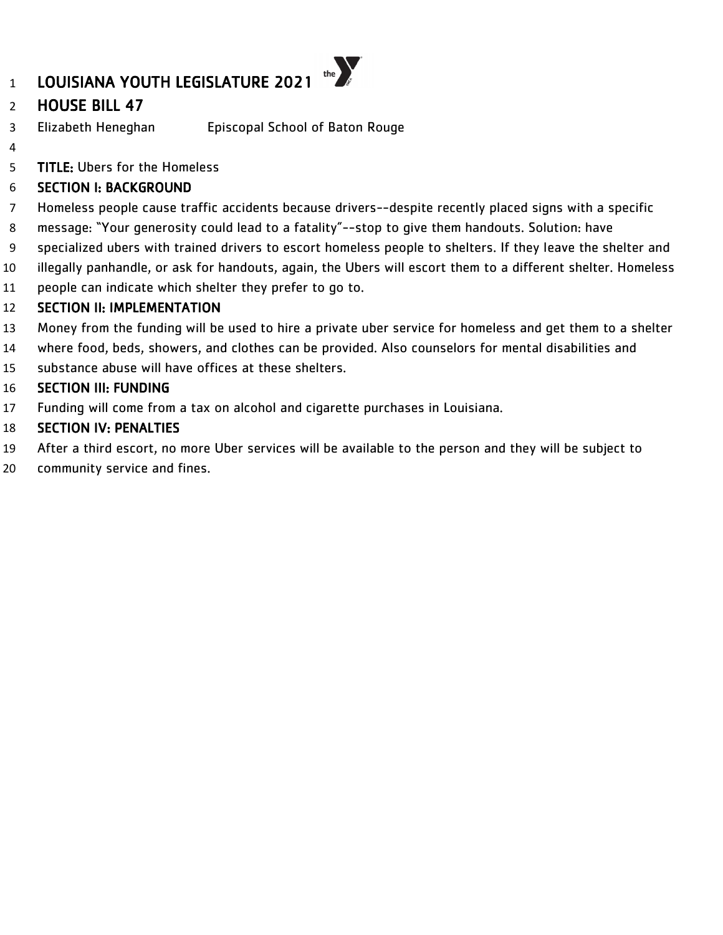# HOUSE BILL 47

- Elizabeth Heneghan Episcopal School of Baton Rouge
- 

TITLE: Ubers for the Homeless

### SECTION I: BACKGROUND

- Homeless people cause traffic accidents because drivers--despite recently placed signs with a specific
- message: "Your generosity could lead to a fatality"--stop to give them handouts. Solution: have
- specialized ubers with trained drivers to escort homeless people to shelters. If they leave the shelter and
- illegally panhandle, or ask for handouts, again, the Ubers will escort them to a different shelter. Homeless
- people can indicate which shelter they prefer to go to.

#### SECTION II: IMPLEMENTATION

- Money from the funding will be used to hire a private uber service for homeless and get them to a shelter
- where food, beds, showers, and clothes can be provided. Also counselors for mental disabilities and
- substance abuse will have offices at these shelters.

#### SECTION III: FUNDING

Funding will come from a tax on alcohol and cigarette purchases in Louisiana.

- After a third escort, no more Uber services will be available to the person and they will be subject to
- community service and fines.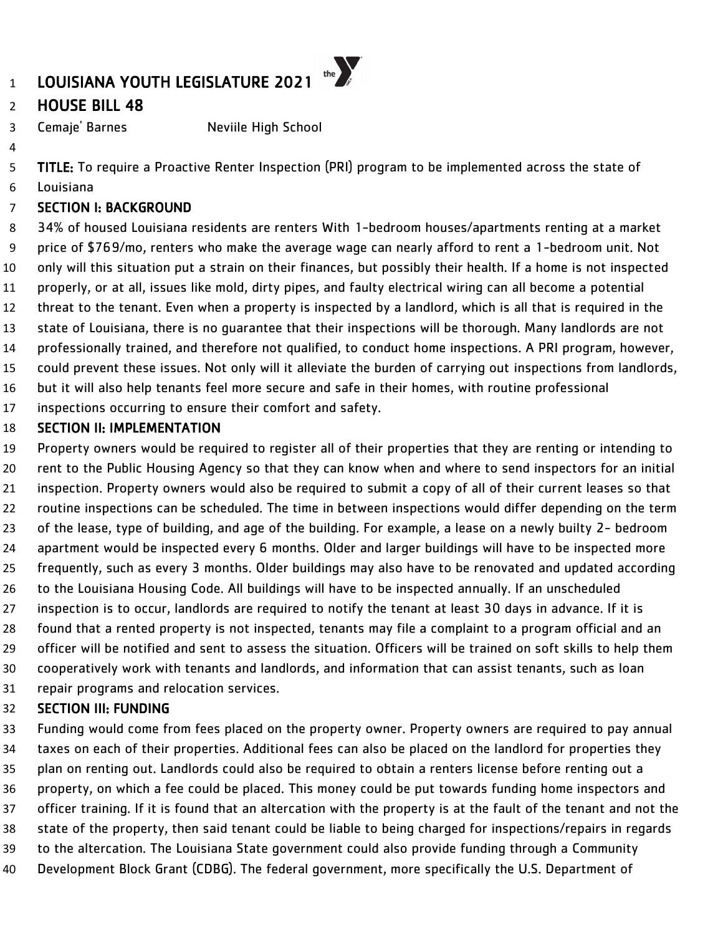# HOUSE BILL 48

Cemaje' Barnes Neviile High School

TITLE: To require a Proactive Renter Inspection (PRI) program to be implemented across the state of

Louisiana

#### SECTION I: BACKGROUND

 34% of housed Louisiana residents are renters With 1-bedroom houses/apartments renting at a market price of \$769/mo, renters who make the average wage can nearly afford to rent a 1-bedroom unit. Not only will this situation put a strain on their finances, but possibly their health. If a home is not inspected properly, or at all, issues like mold, dirty pipes, and faulty electrical wiring can all become a potential threat to the tenant. Even when a property is inspected by a landlord, which is all that is required in the state of Louisiana, there is no guarantee that their inspections will be thorough. Many landlords are not professionally trained, and therefore not qualified, to conduct home inspections. A PRI program, however, could prevent these issues. Not only will it alleviate the burden of carrying out inspections from landlords, but it will also help tenants feel more secure and safe in their homes, with routine professional

inspections occurring to ensure their comfort and safety.

#### SECTION II: IMPLEMENTATION

 Property owners would be required to register all of their properties that they are renting or intending to rent to the Public Housing Agency so that they can know when and where to send inspectors for an initial inspection. Property owners would also be required to submit a copy of all of their current leases so that routine inspections can be scheduled. The time in between inspections would differ depending on the term of the lease, type of building, and age of the building. For example, a lease on a newly builty 2- bedroom apartment would be inspected every 6 months. Older and larger buildings will have to be inspected more frequently, such as every 3 months. Older buildings may also have to be renovated and updated according to the Louisiana Housing Code. All buildings will have to be inspected annually. If an unscheduled inspection is to occur, landlords are required to notify the tenant at least 30 days in advance. If it is found that a rented property is not inspected, tenants may file a complaint to a program official and an officer will be notified and sent to assess the situation. Officers will be trained on soft skills to help them cooperatively work with tenants and landlords, and information that can assist tenants, such as loan repair programs and relocation services.

#### SECTION III: FUNDING

 Funding would come from fees placed on the property owner. Property owners are required to pay annual taxes on each of their properties. Additional fees can also be placed on the landlord for properties they plan on renting out. Landlords could also be required to obtain a renters license before renting out a property, on which a fee could be placed. This money could be put towards funding home inspectors and officer training. If it is found that an altercation with the property is at the fault of the tenant and not the state of the property, then said tenant could be liable to being charged for inspections/repairs in regards to the altercation. The Louisiana State government could also provide funding through a Community Development Block Grant (CDBG). The federal government, more specifically the U.S. Department of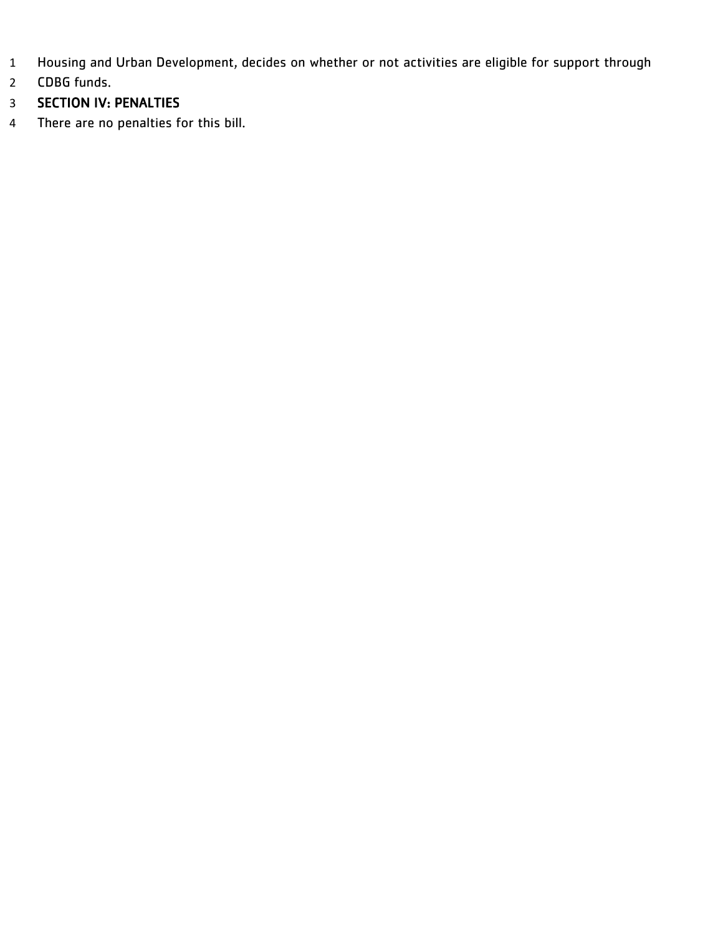- Housing and Urban Development, decides on whether or not activities are eligible for support through
- CDBG funds.
- SECTION IV: PENALTIES
- There are no penalties for this bill.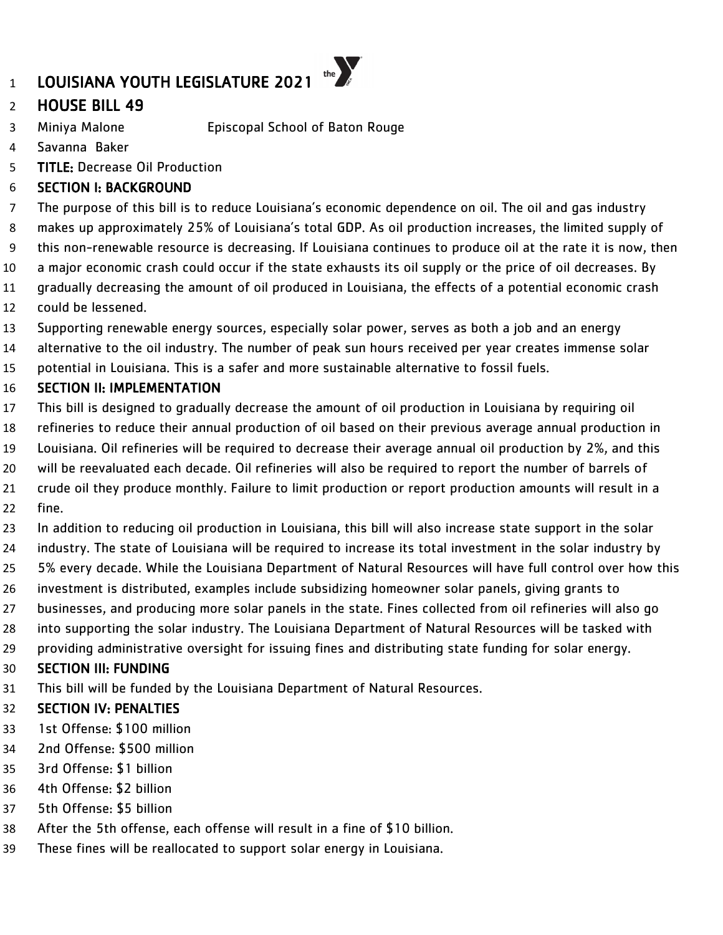# HOUSE BILL 49

- Miniya Malone Episcopal School of Baton Rouge
- Savanna Baker
- TITLE: Decrease Oil Production

# SECTION I: BACKGROUND

- The purpose of this bill is to reduce Louisiana's economic dependence on oil. The oil and gas industry makes up approximately 25% of Louisiana's total GDP. As oil production increases, the limited supply of
- this non-renewable resource is decreasing. If Louisiana continues to produce oil at the rate it is now, then
- a major economic crash could occur if the state exhausts its oil supply or the price of oil decreases. By
- gradually decreasing the amount of oil produced in Louisiana, the effects of a potential economic crash
- could be lessened.
- Supporting renewable energy sources, especially solar power, serves as both a job and an energy
- alternative to the oil industry. The number of peak sun hours received per year creates immense solar
- potential in Louisiana. This is a safer and more sustainable alternative to fossil fuels.

# SECTION II: IMPLEMENTATION

- This bill is designed to gradually decrease the amount of oil production in Louisiana by requiring oil
- refineries to reduce their annual production of oil based on their previous average annual production in
- Louisiana. Oil refineries will be required to decrease their average annual oil production by 2%, and this
- will be reevaluated each decade. Oil refineries will also be required to report the number of barrels of crude oil they produce monthly. Failure to limit production or report production amounts will result in a
- fine.
	- In addition to reducing oil production in Louisiana, this bill will also increase state support in the solar industry. The state of Louisiana will be required to increase its total investment in the solar industry by 5% every decade. While the Louisiana Department of Natural Resources will have full control over how this investment is distributed, examples include subsidizing homeowner solar panels, giving grants to
	- businesses, and producing more solar panels in the state. Fines collected from oil refineries will also go
	- into supporting the solar industry. The Louisiana Department of Natural Resources will be tasked with
	- providing administrative oversight for issuing fines and distributing state funding for solar energy.

# SECTION III: FUNDING

This bill will be funded by the Louisiana Department of Natural Resources.

- 1st Offense: \$100 million
- 2nd Offense: \$500 million
- 3rd Offense: \$1 billion
- 4th Offense: \$2 billion
- 5th Offense: \$5 billion
- After the 5th offense, each offense will result in a fine of \$10 billion.
- These fines will be reallocated to support solar energy in Louisiana.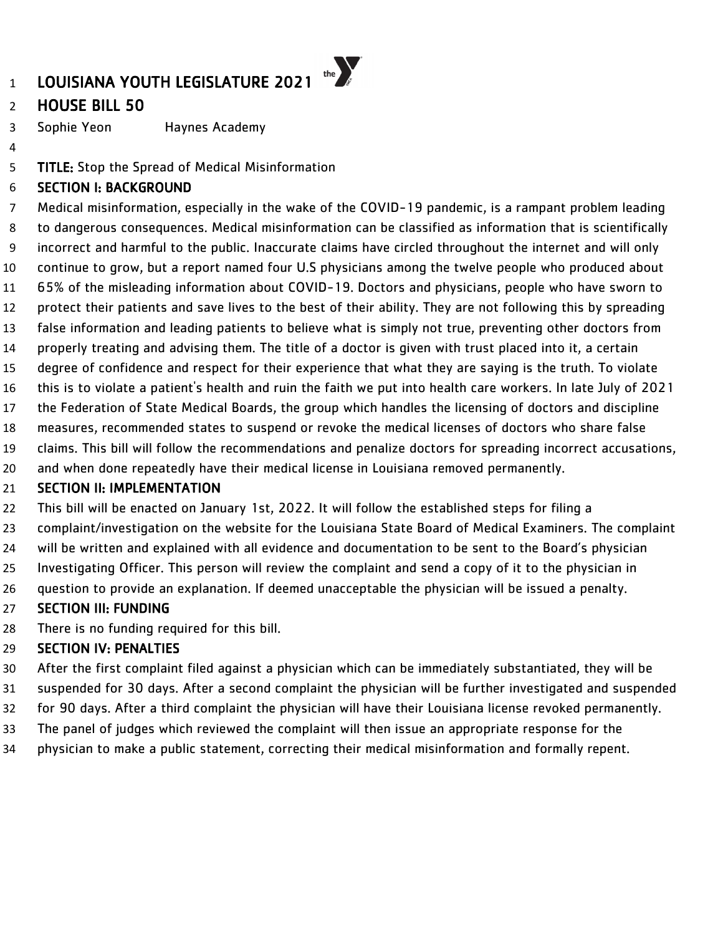# HOUSE BILL 50

Sophie Yeon Haynes Academy

TITLE: Stop the Spread of Medical Misinformation

### SECTION I: BACKGROUND

 Medical misinformation, especially in the wake of the COVID-19 pandemic, is a rampant problem leading to dangerous consequences. Medical misinformation can be classified as information that is scientifically incorrect and harmful to the public. Inaccurate claims have circled throughout the internet and will only continue to grow, but a report named four U.S physicians among the twelve people who produced about 65% of the misleading information about COVID-19. Doctors and physicians, people who have sworn to protect their patients and save lives to the best of their ability. They are not following this by spreading false information and leading patients to believe what is simply not true, preventing other doctors from properly treating and advising them. The title of a doctor is given with trust placed into it, a certain degree of confidence and respect for their experience that what they are saying is the truth. To violate this is to violate a patient's health and ruin the faith we put into health care workers. In late July of 2021 the Federation of State Medical Boards, the group which handles the licensing of doctors and discipline measures, recommended states to suspend or revoke the medical licenses of doctors who share false claims. This bill will follow the recommendations and penalize doctors for spreading incorrect accusations, and when done repeatedly have their medical license in Louisiana removed permanently.

#### **SECTION II: IMPLEMENTATION**

This bill will be enacted on January 1st, 2022. It will follow the established steps for filing a

- complaint/investigation on the website for the Louisiana State Board of Medical Examiners. The complaint
- will be written and explained with all evidence and documentation to be sent to the Board's physician
- Investigating Officer. This person will review the complaint and send a copy of it to the physician in
- question to provide an explanation. If deemed unacceptable the physician will be issued a penalty.

#### SECTION III: FUNDING

There is no funding required for this bill.

- After the first complaint filed against a physician which can be immediately substantiated, they will be
- suspended for 30 days. After a second complaint the physician will be further investigated and suspended for 90 days. After a third complaint the physician will have their Louisiana license revoked permanently.
- The panel of judges which reviewed the complaint will then issue an appropriate response for the
- physician to make a public statement, correcting their medical misinformation and formally repent.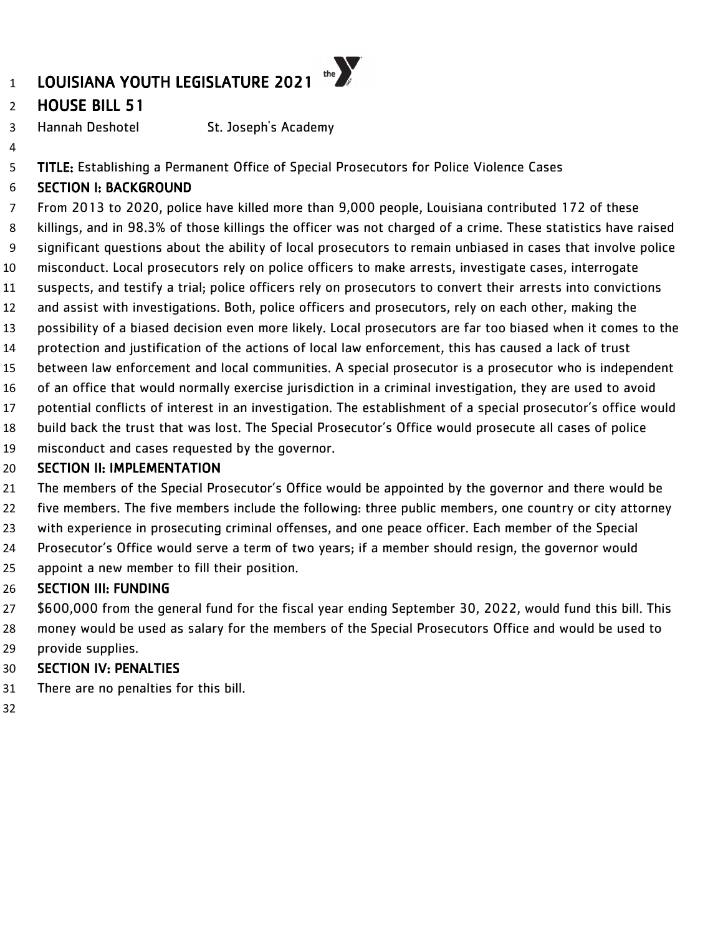# HOUSE BILL 51

Hannah Deshotel St. Joseph's Academy

5 TITLE: Establishing a Permanent Office of Special Prosecutors for Police Violence Cases

# SECTION I: BACKGROUND

 From 2013 to 2020, police have killed more than 9,000 people, Louisiana contributed 172 of these killings, and in 98.3% of those killings the officer was not charged of a crime. These statistics have raised significant questions about the ability of local prosecutors to remain unbiased in cases that involve police misconduct. Local prosecutors rely on police officers to make arrests, investigate cases, interrogate suspects, and testify a trial; police officers rely on prosecutors to convert their arrests into convictions and assist with investigations. Both, police officers and prosecutors, rely on each other, making the possibility of a biased decision even more likely. Local prosecutors are far too biased when it comes to the protection and justification of the actions of local law enforcement, this has caused a lack of trust between law enforcement and local communities. A special prosecutor is a prosecutor who is independent of an office that would normally exercise jurisdiction in a criminal investigation, they are used to avoid

- potential conflicts of interest in an investigation. The establishment of a special prosecutor's office would
- build back the trust that was lost. The Special Prosecutor's Office would prosecute all cases of police
- misconduct and cases requested by the governor.

### **SECTION II: IMPLEMENTATION**

- The members of the Special Prosecutor's Office would be appointed by the governor and there would be five members. The five members include the following: three public members, one country or city attorney with experience in prosecuting criminal offenses, and one peace officer. Each member of the Special Prosecutor's Office would serve a term of two years; if a member should resign, the governor would
- appoint a new member to fill their position.

#### SECTION III: FUNDING

 \$600,000 from the general fund for the fiscal year ending September 30, 2022, would fund this bill. This money would be used as salary for the members of the Special Prosecutors Office and would be used to provide supplies.

- There are no penalties for this bill.
-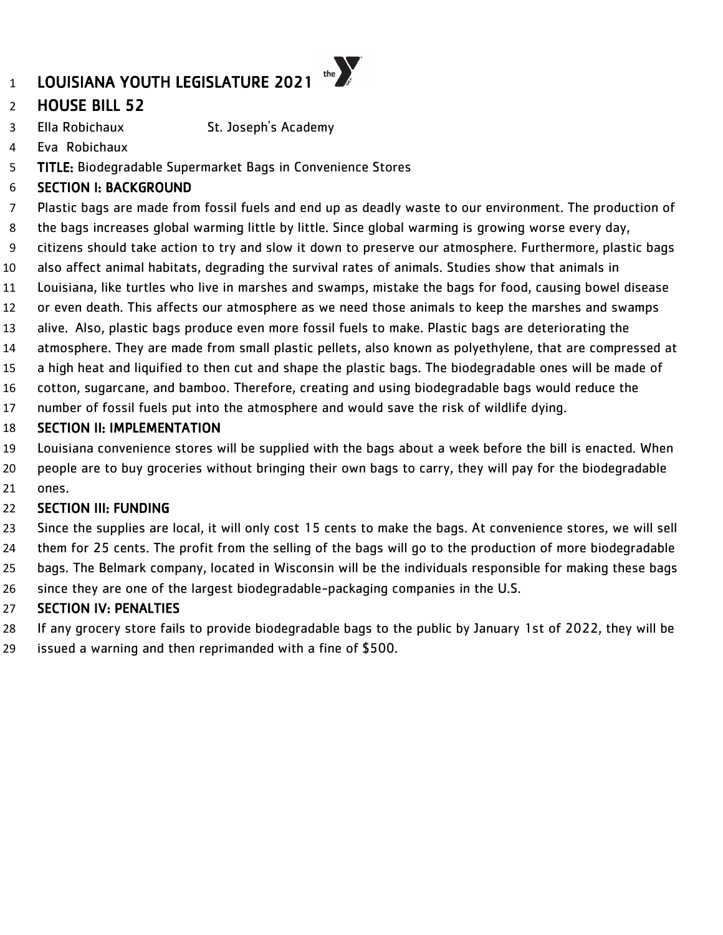# LOUISIANA YOUTH LEGISLATURE 2021

# HOUSE BILL 52

- Ella Robichaux St. Joseph's Academy
- Eva Robichaux
- TITLE: Biodegradable Supermarket Bags in Convenience Stores

### SECTION I: BACKGROUND

Plastic bags are made from fossil fuels and end up as deadly waste to our environment. The production of

the  $\sum_{s}$ 

- the bags increases global warming little by little. Since global warming is growing worse every day,
- citizens should take action to try and slow it down to preserve our atmosphere. Furthermore, plastic bags
- also affect animal habitats, degrading the survival rates of animals. Studies show that animals in
- Louisiana, like turtles who live in marshes and swamps, mistake the bags for food, causing bowel disease
- or even death. This affects our atmosphere as we need those animals to keep the marshes and swamps
- alive. Also, plastic bags produce even more fossil fuels to make. Plastic bags are deteriorating the
- atmosphere. They are made from small plastic pellets, also known as polyethylene, that are compressed at
- a high heat and liquified to then cut and shape the plastic bags. The biodegradable ones will be made of
- cotton, sugarcane, and bamboo. Therefore, creating and using biodegradable bags would reduce the
- number of fossil fuels put into the atmosphere and would save the risk of wildlife dying.

#### SECTION II: IMPLEMENTATION

- Louisiana convenience stores will be supplied with the bags about a week before the bill is enacted. When
- people are to buy groceries without bringing their own bags to carry, they will pay for the biodegradable ones.

#### **SECTION III: FUNDING**

- Since the supplies are local, it will only cost 15 cents to make the bags. At convenience stores, we will sell
- them for 25 cents. The profit from the selling of the bags will go to the production of more biodegradable
- bags. The Belmark company, located in Wisconsin will be the individuals responsible for making these bags
- since they are one of the largest biodegradable-packaging companies in the U.S.

- If any grocery store fails to provide biodegradable bags to the public by January 1st of 2022, they will be
- issued a warning and then reprimanded with a fine of \$500.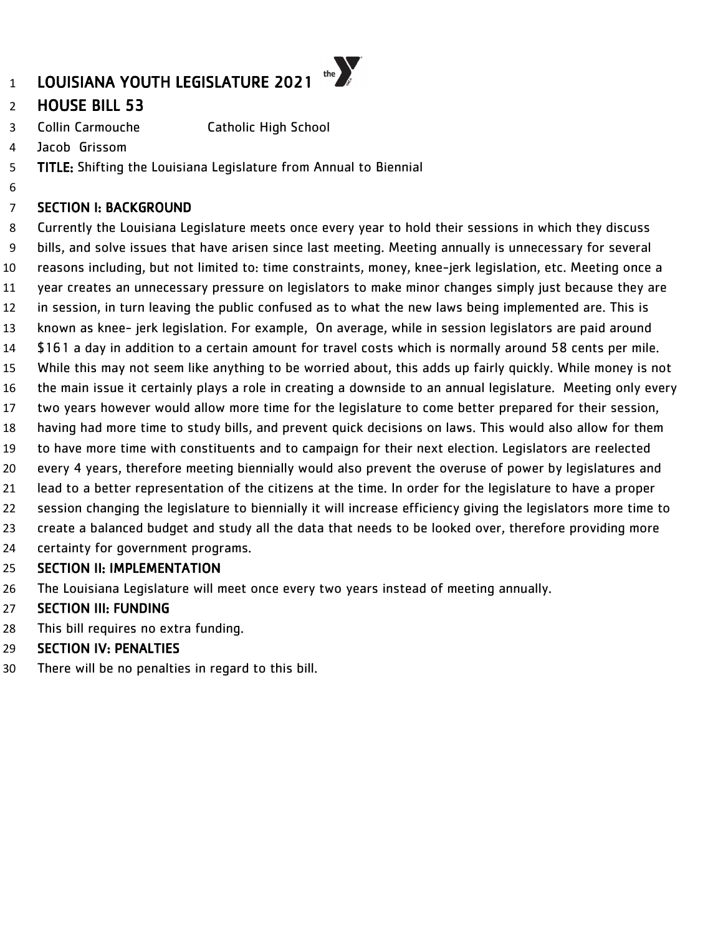# HOUSE BILL 53

- Collin Carmouche Catholic High School
- Jacob Grissom

- TITLE: Shifting the Louisiana Legislature from Annual to Biennial
- SECTION I: BACKGROUND

 Currently the Louisiana Legislature meets once every year to hold their sessions in which they discuss bills, and solve issues that have arisen since last meeting. Meeting annually is unnecessary for several reasons including, but not limited to: time constraints, money, knee-jerk legislation, etc. Meeting once a year creates an unnecessary pressure on legislators to make minor changes simply just because they are in session, in turn leaving the public confused as to what the new laws being implemented are. This is known as knee- jerk legislation. For example, On average, while in session legislators are paid around \$161 a day in addition to a certain amount for travel costs which is normally around 58 cents per mile. While this may not seem like anything to be worried about, this adds up fairly quickly. While money is not the main issue it certainly plays a role in creating a downside to an annual legislature. Meeting only every two years however would allow more time for the legislature to come better prepared for their session, having had more time to study bills, and prevent quick decisions on laws. This would also allow for them to have more time with constituents and to campaign for their next election. Legislators are reelected every 4 years, therefore meeting biennially would also prevent the overuse of power by legislatures and lead to a better representation of the citizens at the time. In order for the legislature to have a proper session changing the legislature to biennially it will increase efficiency giving the legislators more time to create a balanced budget and study all the data that needs to be looked over, therefore providing more certainty for government programs. SECTION II: IMPLEMENTATION

The Louisiana Legislature will meet once every two years instead of meeting annually.

#### SECTION III: FUNDING

- This bill requires no extra funding.
- SECTION IV: PENALTIES
- There will be no penalties in regard to this bill.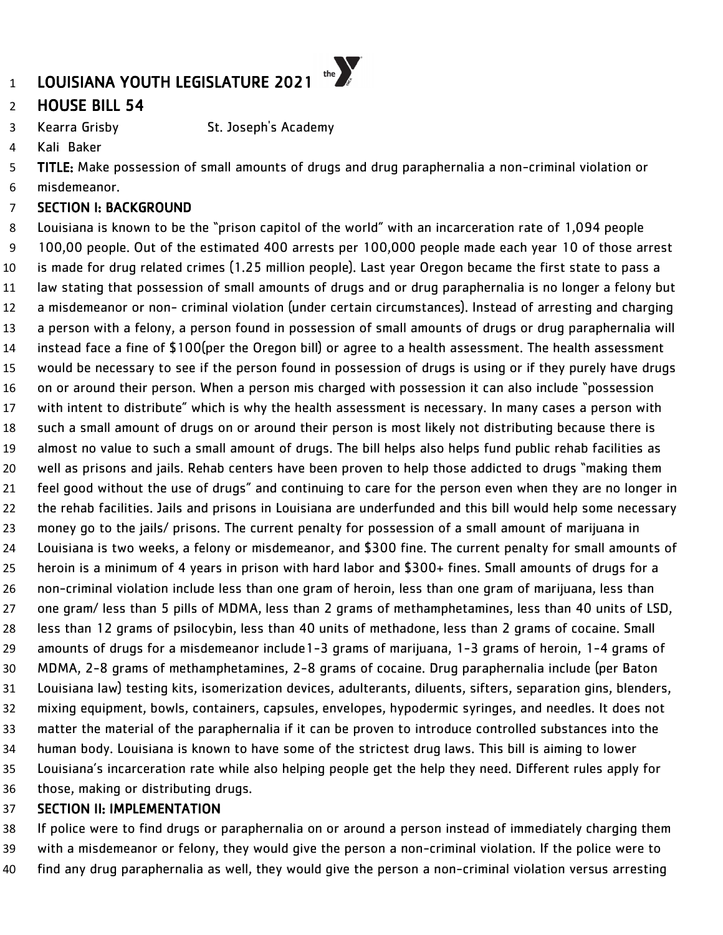# HOUSE BILL 54

Kearra Grisby St. Joseph's Academy

Kali Baker

TITLE: Make possession of small amounts of drugs and drug paraphernalia a non-criminal violation or

misdemeanor.

#### SECTION I: BACKGROUND

 Louisiana is known to be the "prison capitol of the world" with an incarceration rate of 1,094 people 100,00 people. Out of the estimated 400 arrests per 100,000 people made each year 10 of those arrest is made for drug related crimes (1.25 million people). Last year Oregon became the first state to pass a law stating that possession of small amounts of drugs and or drug paraphernalia is no longer a felony but a misdemeanor or non- criminal violation (under certain circumstances). Instead of arresting and charging a person with a felony, a person found in possession of small amounts of drugs or drug paraphernalia will instead face a fine of \$100(per the Oregon bill) or agree to a health assessment. The health assessment would be necessary to see if the person found in possession of drugs is using or if they purely have drugs on or around their person. When a person mis charged with possession it can also include "possession with intent to distribute" which is why the health assessment is necessary. In many cases a person with such a small amount of drugs on or around their person is most likely not distributing because there is almost no value to such a small amount of drugs. The bill helps also helps fund public rehab facilities as well as prisons and jails. Rehab centers have been proven to help those addicted to drugs "making them feel good without the use of drugs" and continuing to care for the person even when they are no longer in the rehab facilities. Jails and prisons in Louisiana are underfunded and this bill would help some necessary money go to the jails/ prisons. The current penalty for possession of a small amount of marijuana in Louisiana is two weeks, a felony or misdemeanor, and \$300 fine. The current penalty for small amounts of heroin is a minimum of 4 years in prison with hard labor and \$300+ fines. Small amounts of drugs for a non-criminal violation include less than one gram of heroin, less than one gram of marijuana, less than one gram/ less than 5 pills of MDMA, less than 2 grams of methamphetamines, less than 40 units of LSD, less than 12 grams of psilocybin, less than 40 units of methadone, less than 2 grams of cocaine. Small amounts of drugs for a misdemeanor include1-3 grams of marijuana, 1-3 grams of heroin, 1-4 grams of MDMA, 2-8 grams of methamphetamines, 2-8 grams of cocaine. Drug paraphernalia include (per Baton Louisiana law) testing kits, isomerization devices, adulterants, diluents, sifters, separation gins, blenders, mixing equipment, bowls, containers, capsules, envelopes, hypodermic syringes, and needles. It does not matter the material of the paraphernalia if it can be proven to introduce controlled substances into the human body. Louisiana is known to have some of the strictest drug laws. This bill is aiming to lower Louisiana's incarceration rate while also helping people get the help they need. Different rules apply for those, making or distributing drugs.

#### SECTION II: IMPLEMENTATION

 If police were to find drugs or paraphernalia on or around a person instead of immediately charging them with a misdemeanor or felony, they would give the person a non-criminal violation. If the police were to find any drug paraphernalia as well, they would give the person a non-criminal violation versus arresting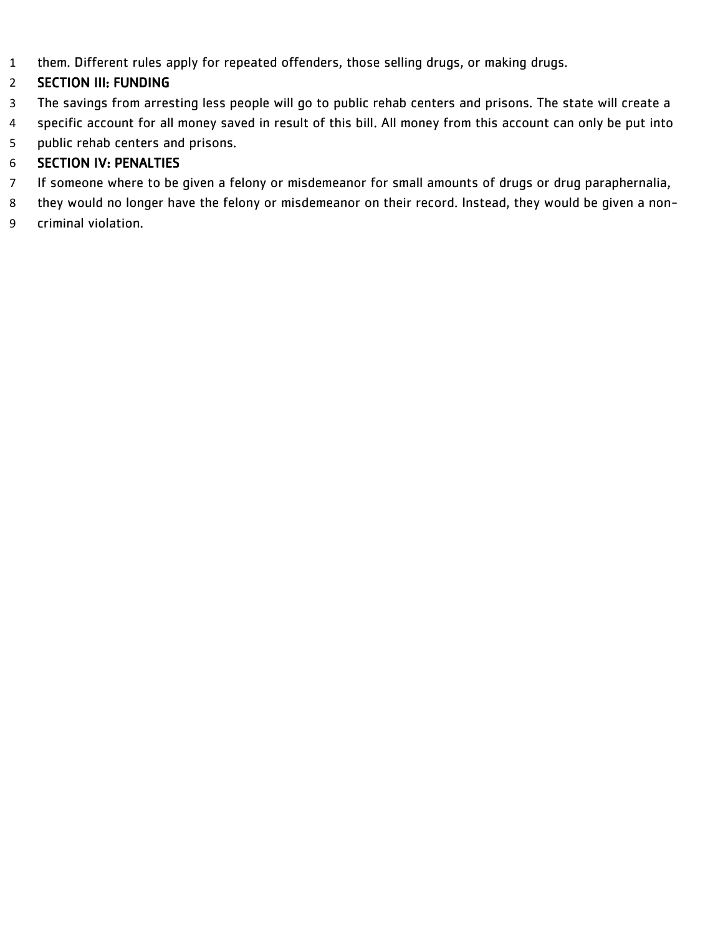them. Different rules apply for repeated offenders, those selling drugs, or making drugs.

# SECTION III: FUNDING

- The savings from arresting less people will go to public rehab centers and prisons. The state will create a
- specific account for all money saved in result of this bill. All money from this account can only be put into
- public rehab centers and prisons.

- If someone where to be given a felony or misdemeanor for small amounts of drugs or drug paraphernalia,
- they would no longer have the felony or misdemeanor on their record. Instead, they would be given a non-
- criminal violation.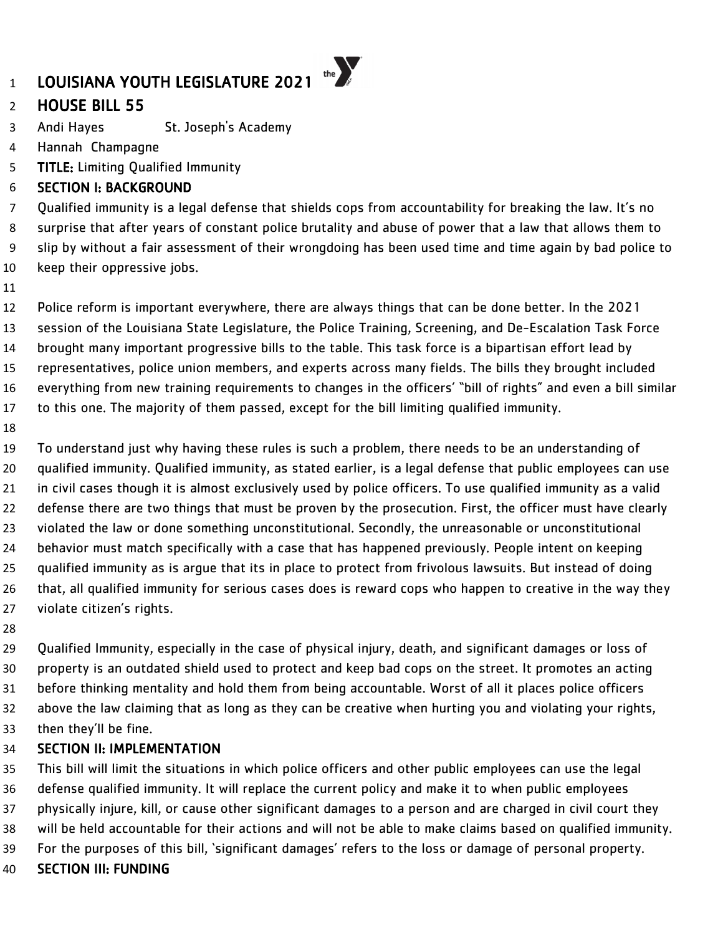# HOUSE BILL 55

- Andi Hayes St. Joseph's Academy
- Hannah Champagne
- TITLE: Limiting Qualified Immunity

#### SECTION I: BACKGROUND

 Qualified immunity is a legal defense that shields cops from accountability for breaking the law. It's no surprise that after years of constant police brutality and abuse of power that a law that allows them to slip by without a fair assessment of their wrongdoing has been used time and time again by bad police to keep their oppressive jobs.

 Police reform is important everywhere, there are always things that can be done better. In the 2021 session of the Louisiana State Legislature, the Police Training, Screening, and De-Escalation Task Force brought many important progressive bills to the table. This task force is a bipartisan effort lead by representatives, police union members, and experts across many fields. The bills they brought included everything from new training requirements to changes in the officers' "bill of rights" and even a bill similar to this one. The majority of them passed, except for the bill limiting qualified immunity.

 To understand just why having these rules is such a problem, there needs to be an understanding of qualified immunity. Qualified immunity, as stated earlier, is a legal defense that public employees can use in civil cases though it is almost exclusively used by police officers. To use qualified immunity as a valid defense there are two things that must be proven by the prosecution. First, the officer must have clearly violated the law or done something unconstitutional. Secondly, the unreasonable or unconstitutional behavior must match specifically with a case that has happened previously. People intent on keeping qualified immunity as is argue that its in place to protect from frivolous lawsuits. But instead of doing that, all qualified immunity for serious cases does is reward cops who happen to creative in the way they violate citizen's rights.

 Qualified Immunity, especially in the case of physical injury, death, and significant damages or loss of property is an outdated shield used to protect and keep bad cops on the street. It promotes an acting before thinking mentality and hold them from being accountable. Worst of all it places police officers above the law claiming that as long as they can be creative when hurting you and violating your rights, then they'll be fine.

#### SECTION II: IMPLEMENTATION

 This bill will limit the situations in which police officers and other public employees can use the legal defense qualified immunity. It will replace the current policy and make it to when public employees physically injure, kill, or cause other significant damages to a person and are charged in civil court they will be held accountable for their actions and will not be able to make claims based on qualified immunity. For the purposes of this bill, 'significant damages' refers to the loss or damage of personal property.

SECTION III: FUNDING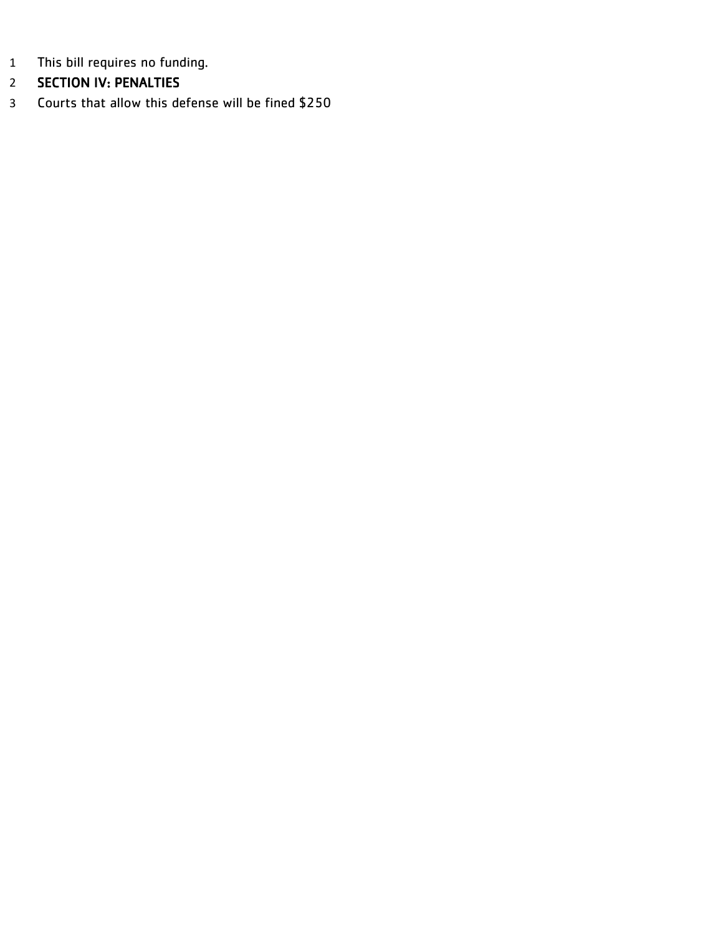- This bill requires no funding.
- SECTION IV: PENALTIES
- Courts that allow this defense will be fined \$250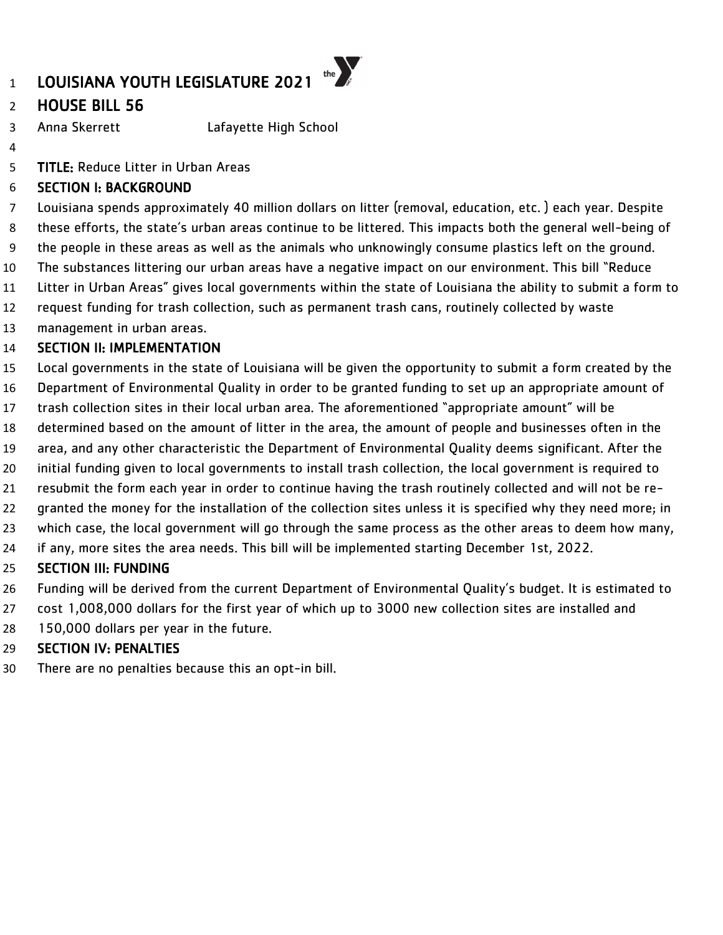# HOUSE BILL 56

Anna Skerrett Lafayette High School

TITLE: Reduce Litter in Urban Areas

### SECTION I: BACKGROUND

 Louisiana spends approximately 40 million dollars on litter (removal, education, etc. ) each year. Despite these efforts, the state's urban areas continue to be littered. This impacts both the general well-being of the people in these areas as well as the animals who unknowingly consume plastics left on the ground. The substances littering our urban areas have a negative impact on our environment. This bill "Reduce Litter in Urban Areas" gives local governments within the state of Louisiana the ability to submit a form to request funding for trash collection, such as permanent trash cans, routinely collected by waste

management in urban areas.

### SECTION II: IMPLEMENTATION

Local governments in the state of Louisiana will be given the opportunity to submit a form created by the

- Department of Environmental Quality in order to be granted funding to set up an appropriate amount of
- trash collection sites in their local urban area. The aforementioned "appropriate amount" will be
- determined based on the amount of litter in the area, the amount of people and businesses often in the
- area, and any other characteristic the Department of Environmental Quality deems significant. After the
- initial funding given to local governments to install trash collection, the local government is required to
- resubmit the form each year in order to continue having the trash routinely collected and will not be re-
- granted the money for the installation of the collection sites unless it is specified why they need more; in
- which case, the local government will go through the same process as the other areas to deem how many,
- if any, more sites the area needs. This bill will be implemented starting December 1st, 2022.

# SECTION III: FUNDING

- Funding will be derived from the current Department of Environmental Quality's budget. It is estimated to
- cost 1,008,000 dollars for the first year of which up to 3000 new collection sites are installed and
- 150,000 dollars per year in the future.

# SECTION IV: PENALTIES

There are no penalties because this an opt-in bill.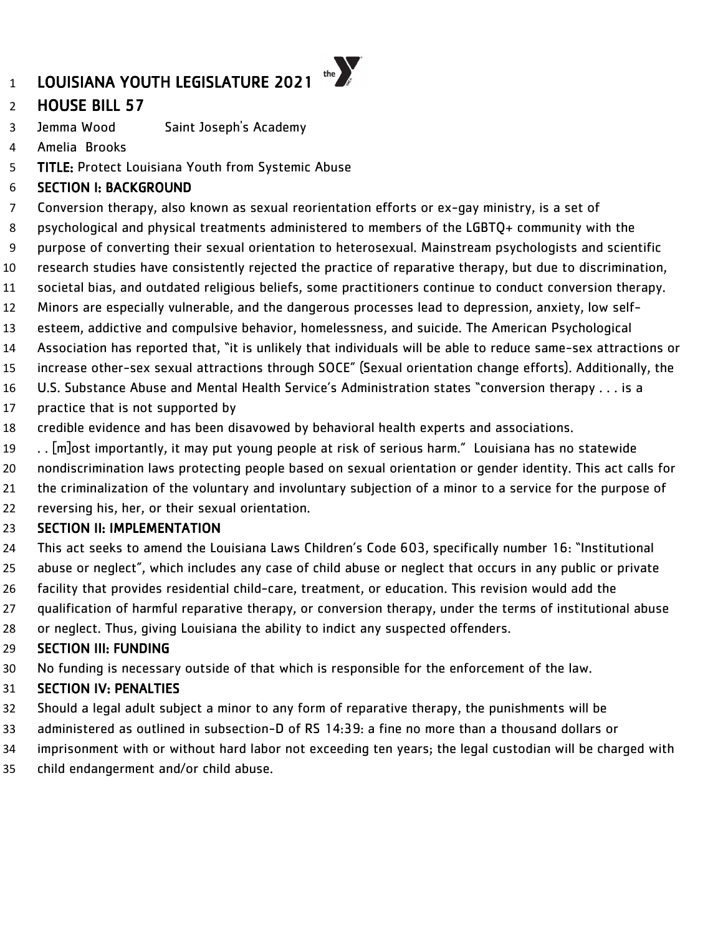# HOUSE BILL 57

- Jemma Wood Saint Joseph's Academy
- Amelia Brooks
- TITLE: Protect Louisiana Youth from Systemic Abuse

### SECTION I: BACKGROUND

- Conversion therapy, also known as sexual reorientation efforts or ex-gay ministry, is a set of
- psychological and physical treatments administered to members of the LGBTQ+ community with the
- purpose of converting their sexual orientation to heterosexual. Mainstream psychologists and scientific
- research studies have consistently rejected the practice of reparative therapy, but due to discrimination,
- societal bias, and outdated religious beliefs, some practitioners continue to conduct conversion therapy.
- Minors are especially vulnerable, and the dangerous processes lead to depression, anxiety, low self-
- esteem, addictive and compulsive behavior, homelessness, and suicide. The American Psychological
- Association has reported that, "it is unlikely that individuals will be able to reduce same-sex attractions or
- increase other-sex sexual attractions through SOCE" (Sexual orientation change efforts). Additionally, the
- U.S. Substance Abuse and Mental Health Service's Administration states "conversion therapy . . . is a
- practice that is not supported by
- credible evidence and has been disavowed by behavioral health experts and associations.
- . . [m]ost importantly, it may put young people at risk of serious harm." Louisiana has no statewide
- nondiscrimination laws protecting people based on sexual orientation or gender identity. This act calls for
- the criminalization of the voluntary and involuntary subjection of a minor to a service for the purpose of
- reversing his, her, or their sexual orientation.

#### SECTION II: IMPLEMENTATION

- This act seeks to amend the Louisiana Laws Children's Code 603, specifically number 16: "Institutional
- abuse or neglect", which includes any case of child abuse or neglect that occurs in any public or private
- facility that provides residential child-care, treatment, or education. This revision would add the
- qualification of harmful reparative therapy, or conversion therapy, under the terms of institutional abuse
- or neglect. Thus, giving Louisiana the ability to indict any suspected offenders.

# SECTION III: FUNDING

No funding is necessary outside of that which is responsible for the enforcement of the law.

- Should a legal adult subject a minor to any form of reparative therapy, the punishments will be
- administered as outlined in subsection-D of RS 14:39: a fine no more than a thousand dollars or
- imprisonment with or without hard labor not exceeding ten years; the legal custodian will be charged with
- child endangerment and/or child abuse.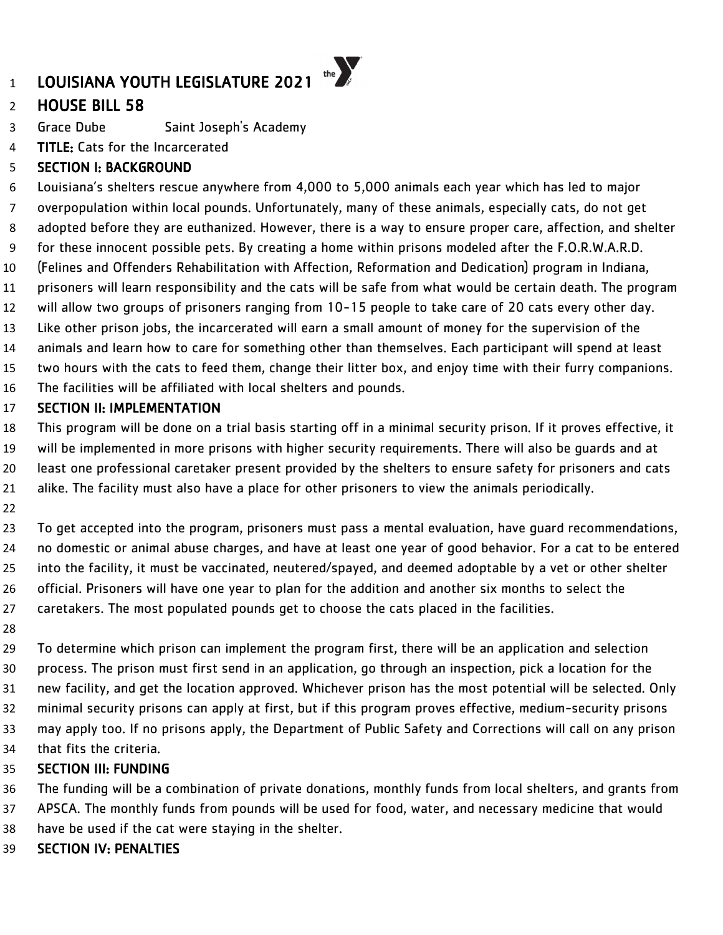# HOUSE BILL 58

Grace Dube Saint Joseph's Academy

**TITLE:** Cats for the Incarcerated

# SECTION I: BACKGROUND

 Louisiana's shelters rescue anywhere from 4,000 to 5,000 animals each year which has led to major overpopulation within local pounds. Unfortunately, many of these animals, especially cats, do not get adopted before they are euthanized. However, there is a way to ensure proper care, affection, and shelter for these innocent possible pets. By creating a home within prisons modeled after the F.O.R.W.A.R.D. (Felines and Offenders Rehabilitation with Affection, Reformation and Dedication) program in Indiana, prisoners will learn responsibility and the cats will be safe from what would be certain death. The program will allow two groups of prisoners ranging from 10-15 people to take care of 20 cats every other day. Like other prison jobs, the incarcerated will earn a small amount of money for the supervision of the animals and learn how to care for something other than themselves. Each participant will spend at least two hours with the cats to feed them, change their litter box, and enjoy time with their furry companions. The facilities will be affiliated with local shelters and pounds. SECTION II: IMPLEMENTATION

 This program will be done on a trial basis starting off in a minimal security prison. If it proves effective, it will be implemented in more prisons with higher security requirements. There will also be guards and at least one professional caretaker present provided by the shelters to ensure safety for prisoners and cats alike. The facility must also have a place for other prisoners to view the animals periodically.

 To get accepted into the program, prisoners must pass a mental evaluation, have guard recommendations, no domestic or animal abuse charges, and have at least one year of good behavior. For a cat to be entered into the facility, it must be vaccinated, neutered/spayed, and deemed adoptable by a vet or other shelter official. Prisoners will have one year to plan for the addition and another six months to select the caretakers. The most populated pounds get to choose the cats placed in the facilities.

 To determine which prison can implement the program first, there will be an application and selection process. The prison must first send in an application, go through an inspection, pick a location for the new facility, and get the location approved. Whichever prison has the most potential will be selected. Only minimal security prisons can apply at first, but if this program proves effective, medium-security prisons may apply too. If no prisons apply, the Department of Public Safety and Corrections will call on any prison that fits the criteria.

# SECTION III: FUNDING

The funding will be a combination of private donations, monthly funds from local shelters, and grants from

- APSCA. The monthly funds from pounds will be used for food, water, and necessary medicine that would
- have be used if the cat were staying in the shelter.
- SECTION IV: PENALTIES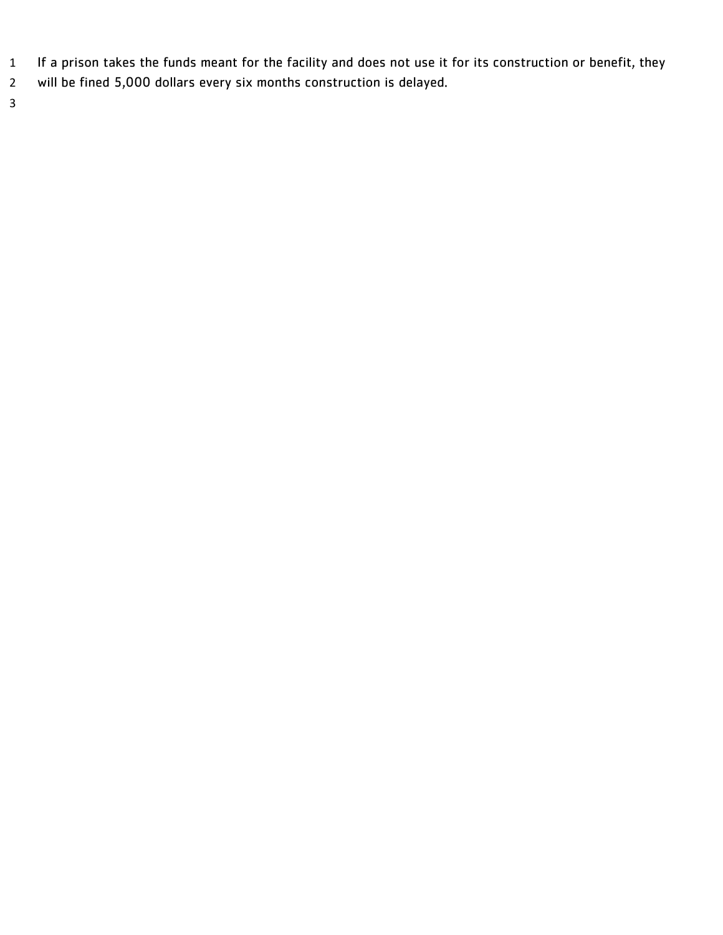- If a prison takes the funds meant for the facility and does not use it for its construction or benefit, they
- will be fined 5,000 dollars every six months construction is delayed.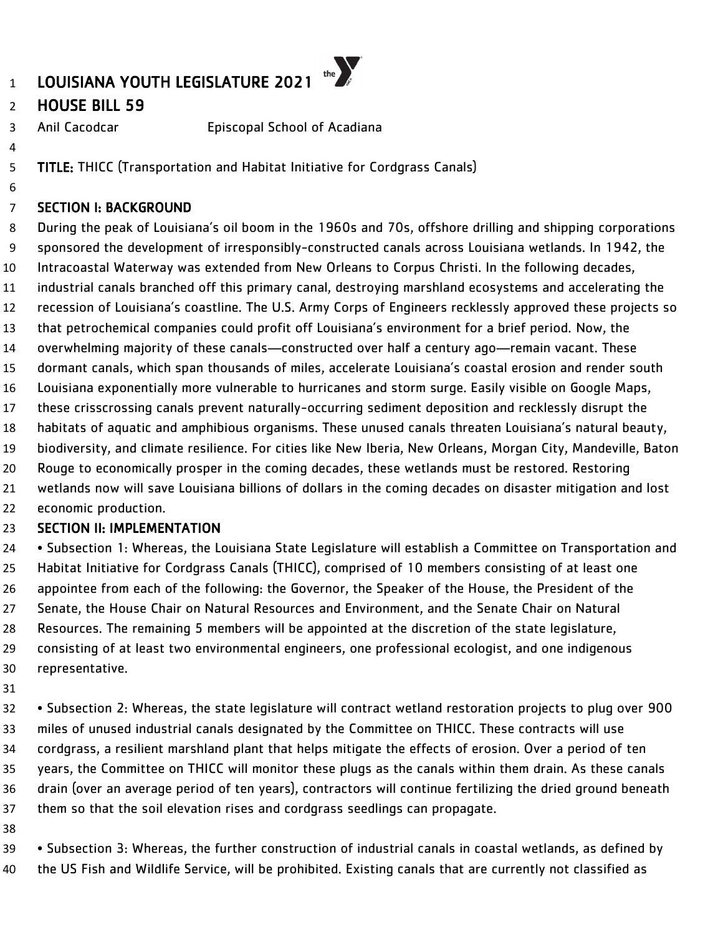### HOUSE BILL 59

Anil Cacodcar Episcopal School of Acadiana

TITLE: THICC (Transportation and Habitat Initiative for Cordgrass Canals)

### SECTION I: BACKGROUND

 During the peak of Louisiana's oil boom in the 1960s and 70s, offshore drilling and shipping corporations sponsored the development of irresponsibly-constructed canals across Louisiana wetlands. In 1942, the Intracoastal Waterway was extended from New Orleans to Corpus Christi. In the following decades, industrial canals branched off this primary canal, destroying marshland ecosystems and accelerating the recession of Louisiana's coastline. The U.S. Army Corps of Engineers recklessly approved these projects so that petrochemical companies could profit off Louisiana's environment for a brief period. Now, the overwhelming majority of these canals—constructed over half a century ago—remain vacant. These dormant canals, which span thousands of miles, accelerate Louisiana's coastal erosion and render south Louisiana exponentially more vulnerable to hurricanes and storm surge. Easily visible on Google Maps, these crisscrossing canals prevent naturally-occurring sediment deposition and recklessly disrupt the habitats of aquatic and amphibious organisms. These unused canals threaten Louisiana's natural beauty, biodiversity, and climate resilience. For cities like New Iberia, New Orleans, Morgan City, Mandeville, Baton Rouge to economically prosper in the coming decades, these wetlands must be restored. Restoring wetlands now will save Louisiana billions of dollars in the coming decades on disaster mitigation and lost economic production.

### SECTION II: IMPLEMENTATION

 • Subsection 1: Whereas, the Louisiana State Legislature will establish a Committee on Transportation and Habitat Initiative for Cordgrass Canals (THICC), comprised of 10 members consisting of at least one appointee from each of the following: the Governor, the Speaker of the House, the President of the Senate, the House Chair on Natural Resources and Environment, and the Senate Chair on Natural Resources. The remaining 5 members will be appointed at the discretion of the state legislature, consisting of at least two environmental engineers, one professional ecologist, and one indigenous representative.

 • Subsection 2: Whereas, the state legislature will contract wetland restoration projects to plug over 900 miles of unused industrial canals designated by the Committee on THICC. These contracts will use cordgrass, a resilient marshland plant that helps mitigate the effects of erosion. Over a period of ten years, the Committee on THICC will monitor these plugs as the canals within them drain. As these canals drain (over an average period of ten years), contractors will continue fertilizing the dried ground beneath them so that the soil elevation rises and cordgrass seedlings can propagate.

 • Subsection 3: Whereas, the further construction of industrial canals in coastal wetlands, as defined by the US Fish and Wildlife Service, will be prohibited. Existing canals that are currently not classified as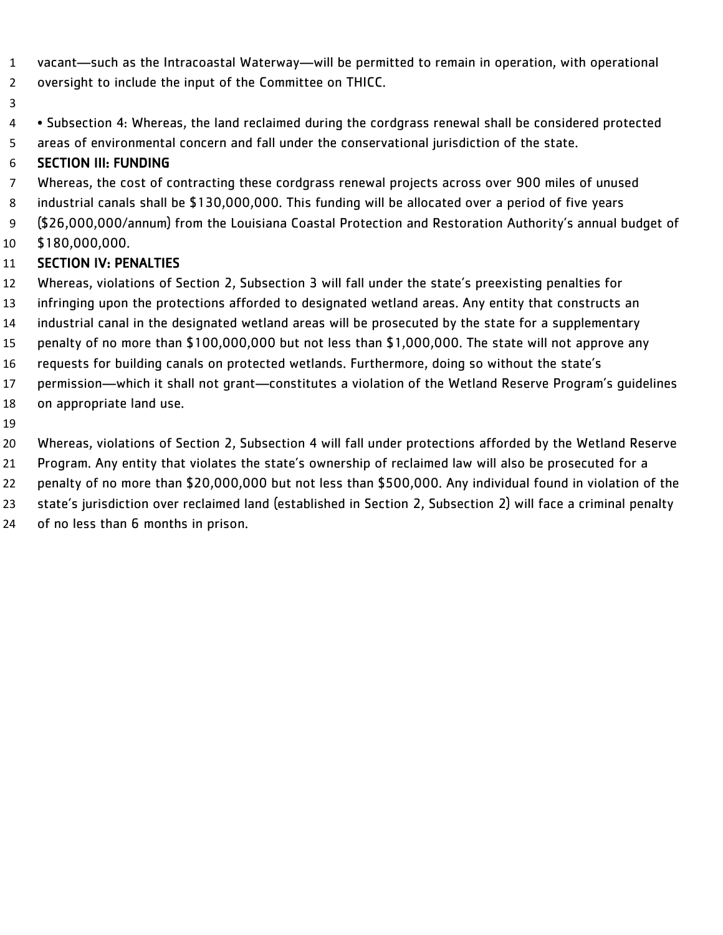- vacant—such as the Intracoastal Waterway—will be permitted to remain in operation, with operational
- oversight to include the input of the Committee on THICC.
- 
- Subsection 4: Whereas, the land reclaimed during the cordgrass renewal shall be considered protected
- areas of environmental concern and fall under the conservational jurisdiction of the state.

### SECTION III: FUNDING

- Whereas, the cost of contracting these cordgrass renewal projects across over 900 miles of unused
- industrial canals shall be \$130,000,000. This funding will be allocated over a period of five years
- (\$26,000,000/annum) from the Louisiana Coastal Protection and Restoration Authority's annual budget of
- \$180,000,000.

- Whereas, violations of Section 2, Subsection 3 will fall under the state's preexisting penalties for
- infringing upon the protections afforded to designated wetland areas. Any entity that constructs an
- industrial canal in the designated wetland areas will be prosecuted by the state for a supplementary
- penalty of no more than \$100,000,000 but not less than \$1,000,000. The state will not approve any
- requests for building canals on protected wetlands. Furthermore, doing so without the state's
- permission—which it shall not grant—constitutes a violation of the Wetland Reserve Program's guidelines
- on appropriate land use.
- 
- Whereas, violations of Section 2, Subsection 4 will fall under protections afforded by the Wetland Reserve
- Program. Any entity that violates the state's ownership of reclaimed law will also be prosecuted for a
- penalty of no more than \$20,000,000 but not less than \$500,000. Any individual found in violation of the
- state's jurisdiction over reclaimed land (established in Section 2, Subsection 2) will face a criminal penalty
- of no less than 6 months in prison.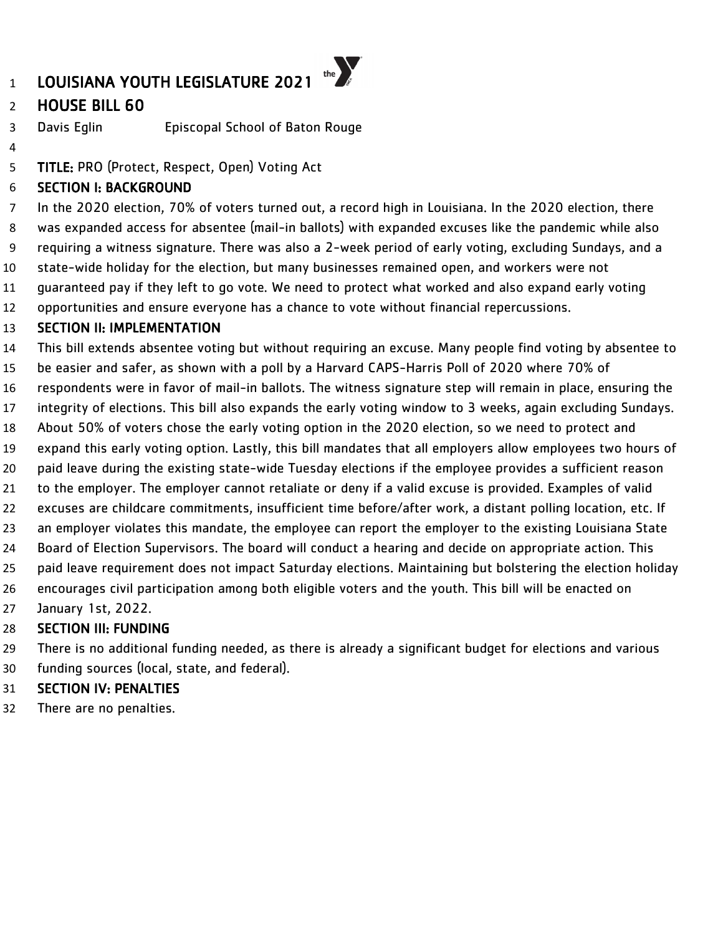## HOUSE BILL 60

Davis Eglin Episcopal School of Baton Rouge

TITLE: PRO (Protect, Respect, Open) Voting Act

### SECTION I: BACKGROUND

 In the 2020 election, 70% of voters turned out, a record high in Louisiana. In the 2020 election, there was expanded access for absentee (mail-in ballots) with expanded excuses like the pandemic while also requiring a witness signature. There was also a 2-week period of early voting, excluding Sundays, and a state-wide holiday for the election, but many businesses remained open, and workers were not guaranteed pay if they left to go vote. We need to protect what worked and also expand early voting

opportunities and ensure everyone has a chance to vote without financial repercussions.

### SECTION II: IMPLEMENTATION

This bill extends absentee voting but without requiring an excuse. Many people find voting by absentee to

be easier and safer, as shown with a poll by a Harvard CAPS-Harris Poll of 2020 where 70% of

respondents were in favor of mail-in ballots. The witness signature step will remain in place, ensuring the

integrity of elections. This bill also expands the early voting window to 3 weeks, again excluding Sundays.

About 50% of voters chose the early voting option in the 2020 election, so we need to protect and

expand this early voting option. Lastly, this bill mandates that all employers allow employees two hours of

paid leave during the existing state-wide Tuesday elections if the employee provides a sufficient reason

to the employer. The employer cannot retaliate or deny if a valid excuse is provided. Examples of valid

excuses are childcare commitments, insufficient time before/after work, a distant polling location, etc. If

an employer violates this mandate, the employee can report the employer to the existing Louisiana State

Board of Election Supervisors. The board will conduct a hearing and decide on appropriate action. This

 paid leave requirement does not impact Saturday elections. Maintaining but bolstering the election holiday encourages civil participation among both eligible voters and the youth. This bill will be enacted on

January 1st, 2022.

### SECTION III: FUNDING

 There is no additional funding needed, as there is already a significant budget for elections and various funding sources (local, state, and federal).

### SECTION IV: PENALTIES

There are no penalties.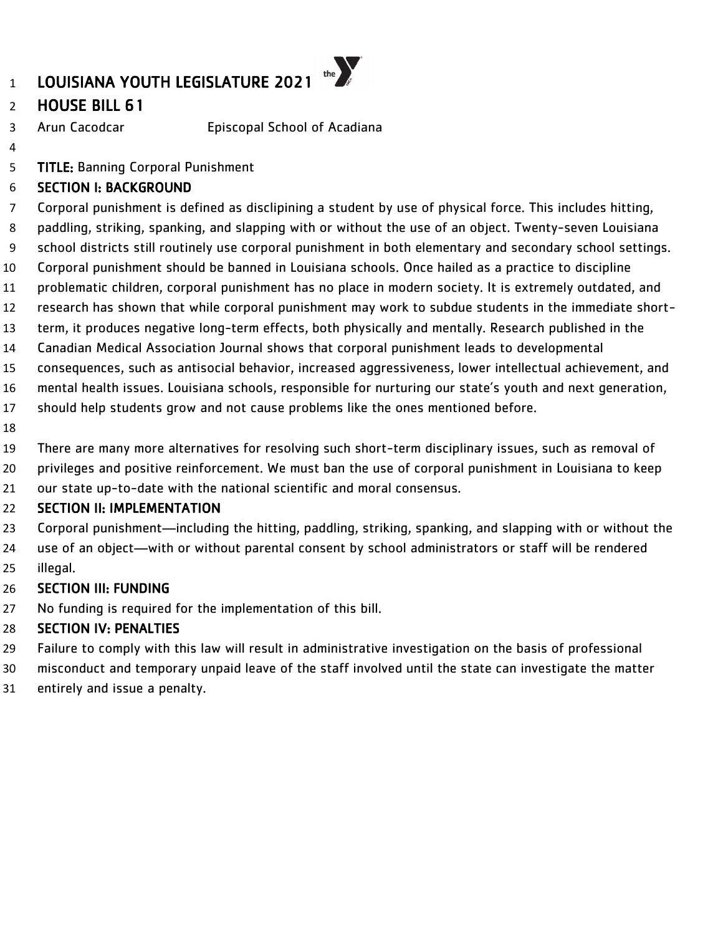## HOUSE BILL 61

- Arun Cacodcar Episcopal School of Acadiana
- 

TITLE: Banning Corporal Punishment

### SECTION I: BACKGROUND

 Corporal punishment is defined as disclipining a student by use of physical force. This includes hitting, paddling, striking, spanking, and slapping with or without the use of an object. Twenty-seven Louisiana school districts still routinely use corporal punishment in both elementary and secondary school settings. Corporal punishment should be banned in Louisiana schools. Once hailed as a practice to discipline

- problematic children, corporal punishment has no place in modern society. It is extremely outdated, and
- research has shown that while corporal punishment may work to subdue students in the immediate short-
- term, it produces negative long-term effects, both physically and mentally. Research published in the
- Canadian Medical Association Journal shows that corporal punishment leads to developmental
- consequences, such as antisocial behavior, increased aggressiveness, lower intellectual achievement, and
- mental health issues. Louisiana schools, responsible for nurturing our state's youth and next generation,
- should help students grow and not cause problems like the ones mentioned before.
- 
- There are many more alternatives for resolving such short-term disciplinary issues, such as removal of
- privileges and positive reinforcement. We must ban the use of corporal punishment in Louisiana to keep
- our state up-to-date with the national scientific and moral consensus.

### SECTION II: IMPLEMENTATION

- Corporal punishment—including the hitting, paddling, striking, spanking, and slapping with or without the
- use of an object—with or without parental consent by school administrators or staff will be rendered illegal.

## SECTION III: FUNDING

No funding is required for the implementation of this bill.

- Failure to comply with this law will result in administrative investigation on the basis of professional
- misconduct and temporary unpaid leave of the staff involved until the state can investigate the matter
- entirely and issue a penalty.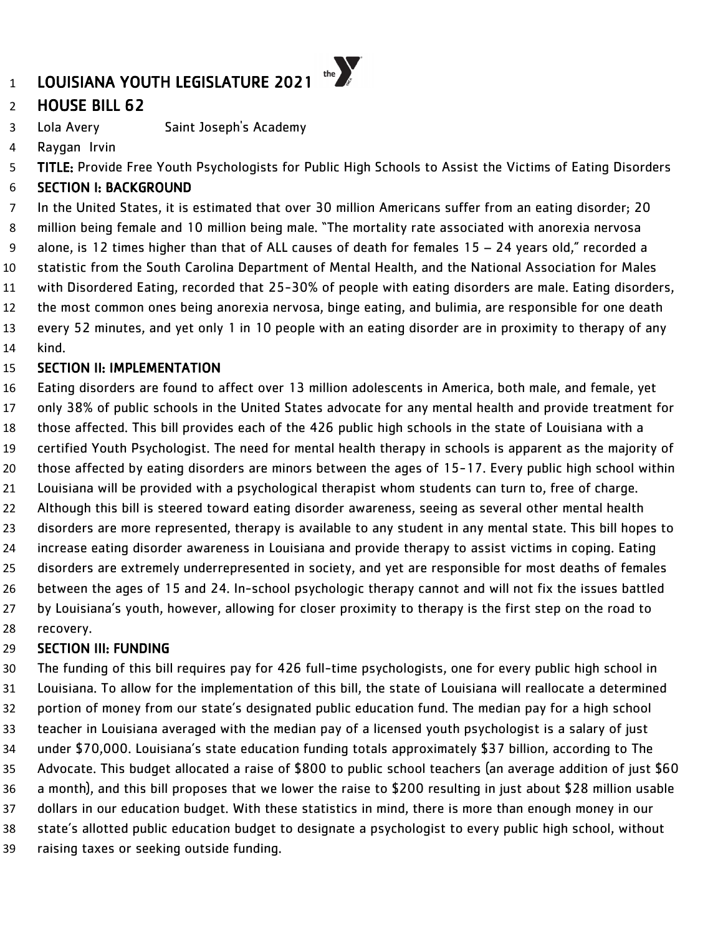## LOUISIANA YOUTH LEGISLATURE 2021

## HOUSE BILL 62

Lola Avery Saint Joseph's Academy

Raygan Irvin

TITLE: Provide Free Youth Psychologists for Public High Schools to Assist the Victims of Eating Disorders

the  $\sum_{k}$ 

### SECTION I: BACKGROUND

 In the United States, it is estimated that over 30 million Americans suffer from an eating disorder; 20 million being female and 10 million being male. "The mortality rate associated with anorexia nervosa alone, is 12 times higher than that of ALL causes of death for females 15 – 24 years old," recorded a statistic from the South Carolina Department of Mental Health, and the National Association for Males with Disordered Eating, recorded that 25-30% of people with eating disorders are male. Eating disorders, the most common ones being anorexia nervosa, binge eating, and bulimia, are responsible for one death every 52 minutes, and yet only 1 in 10 people with an eating disorder are in proximity to therapy of any kind.

### SECTION II: IMPLEMENTATION

 Eating disorders are found to affect over 13 million adolescents in America, both male, and female, yet only 38% of public schools in the United States advocate for any mental health and provide treatment for those affected. This bill provides each of the 426 public high schools in the state of Louisiana with a certified Youth Psychologist. The need for mental health therapy in schools is apparent as the majority of those affected by eating disorders are minors between the ages of 15-17. Every public high school within Louisiana will be provided with a psychological therapist whom students can turn to, free of charge. Although this bill is steered toward eating disorder awareness, seeing as several other mental health disorders are more represented, therapy is available to any student in any mental state. This bill hopes to increase eating disorder awareness in Louisiana and provide therapy to assist victims in coping. Eating disorders are extremely underrepresented in society, and yet are responsible for most deaths of females between the ages of 15 and 24. In-school psychologic therapy cannot and will not fix the issues battled by Louisiana's youth, however, allowing for closer proximity to therapy is the first step on the road to recovery.

### SECTION III: FUNDING

 The funding of this bill requires pay for 426 full-time psychologists, one for every public high school in Louisiana. To allow for the implementation of this bill, the state of Louisiana will reallocate a determined portion of money from our state's designated public education fund. The median pay for a high school teacher in Louisiana averaged with the median pay of a licensed youth psychologist is a salary of just under \$70,000. Louisiana's state education funding totals approximately \$37 billion, according to The Advocate. This budget allocated a raise of \$800 to public school teachers (an average addition of just \$60 a month), and this bill proposes that we lower the raise to \$200 resulting in just about \$28 million usable dollars in our education budget. With these statistics in mind, there is more than enough money in our state's allotted public education budget to designate a psychologist to every public high school, without raising taxes or seeking outside funding.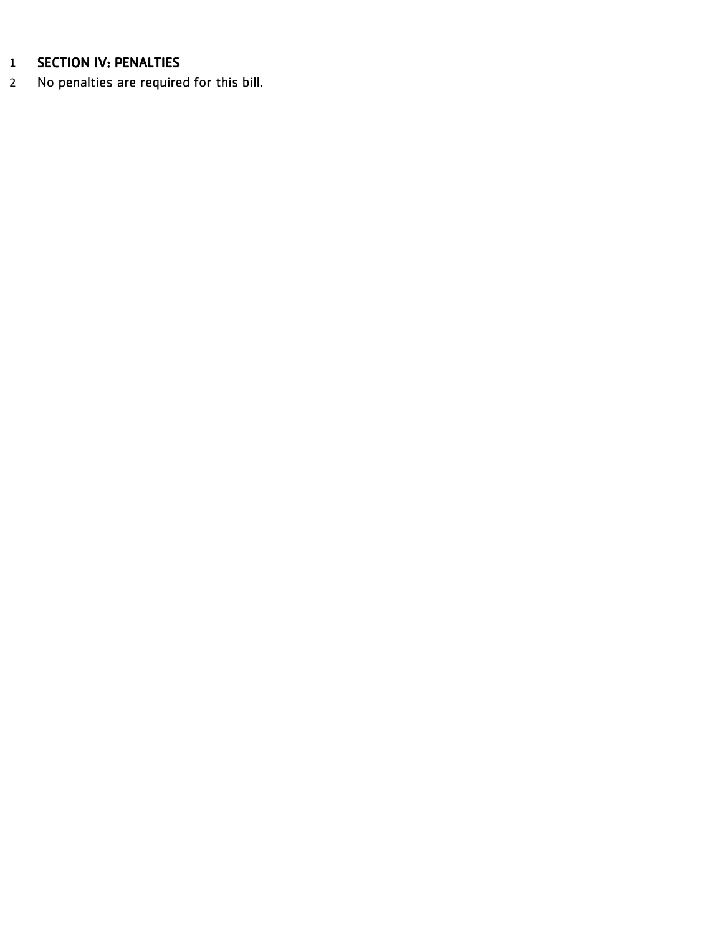## SECTION IV: PENALTIES

No penalties are required for this bill.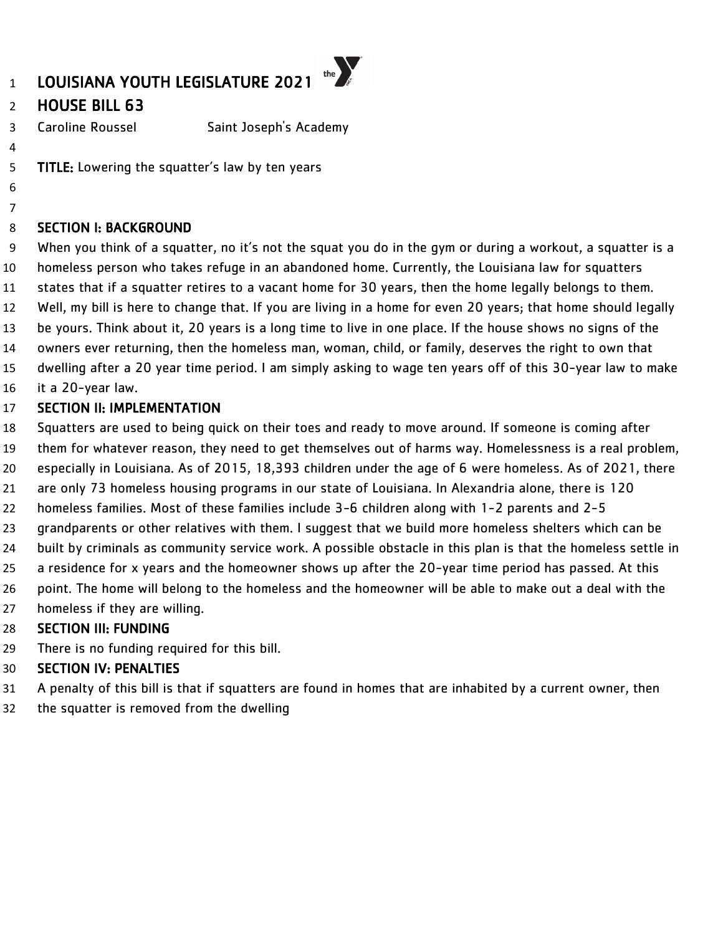## HOUSE BILL 63

 

Caroline Roussel Saint Joseph's Academy

**TITLE:** Lowering the squatter's law by ten years

#### SECTION I: BACKGROUND

 When you think of a squatter, no it's not the squat you do in the gym or during a workout, a squatter is a homeless person who takes refuge in an abandoned home. Currently, the Louisiana law for squatters states that if a squatter retires to a vacant home for 30 years, then the home legally belongs to them. Well, my bill is here to change that. If you are living in a home for even 20 years; that home should legally be yours. Think about it, 20 years is a long time to live in one place. If the house shows no signs of the owners ever returning, then the homeless man, woman, child, or family, deserves the right to own that dwelling after a 20 year time period. I am simply asking to wage ten years off of this 30-year law to make

it a 20-year law.

#### SECTION II: IMPLEMENTATION

- Squatters are used to being quick on their toes and ready to move around. If someone is coming after
- them for whatever reason, they need to get themselves out of harms way. Homelessness is a real problem,
- especially in Louisiana. As of 2015, 18,393 children under the age of 6 were homeless. As of 2021, there
- are only 73 homeless housing programs in our state of Louisiana. In Alexandria alone, there is 120
- homeless families. Most of these families include 3-6 children along with 1-2 parents and 2-5
- grandparents or other relatives with them. I suggest that we build more homeless shelters which can be
- built by criminals as community service work. A possible obstacle in this plan is that the homeless settle in
- a residence for x years and the homeowner shows up after the 20-year time period has passed. At this
- point. The home will belong to the homeless and the homeowner will be able to make out a deal with the
- homeless if they are willing.

### SECTION III: FUNDING

There is no funding required for this bill.

- A penalty of this bill is that if squatters are found in homes that are inhabited by a current owner, then
- the squatter is removed from the dwelling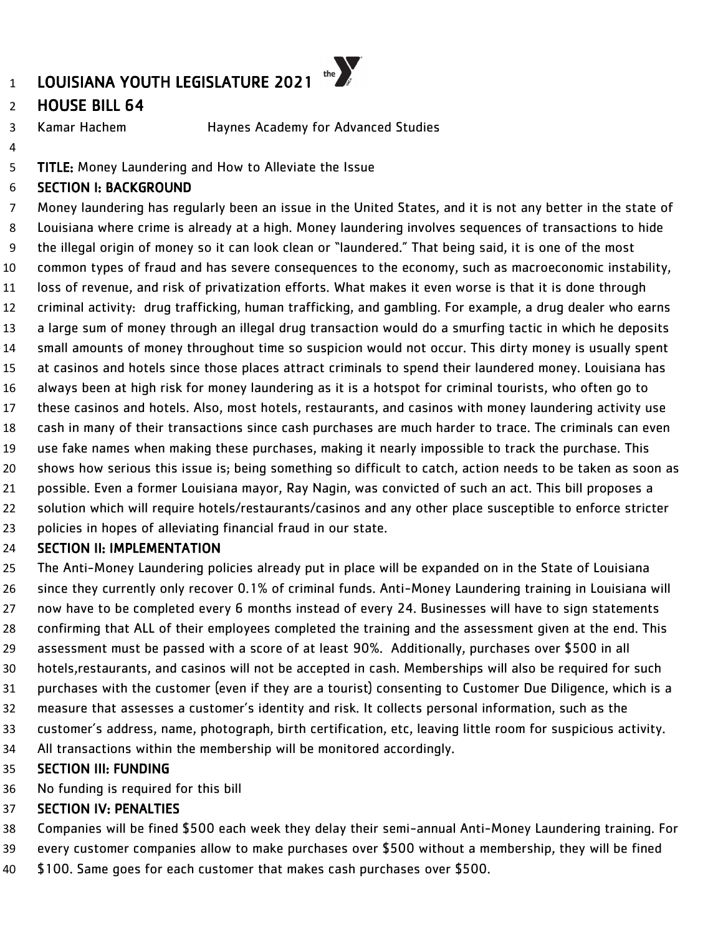## HOUSE BILL 64

Kamar Hachem Haynes Academy for Advanced Studies

- 
- TITLE: Money Laundering and How to Alleviate the Issue

### SECTION I: BACKGROUND

 Money laundering has regularly been an issue in the United States, and it is not any better in the state of Louisiana where crime is already at a high. Money laundering involves sequences of transactions to hide the illegal origin of money so it can look clean or "laundered." That being said, it is one of the most common types of fraud and has severe consequences to the economy, such as macroeconomic instability, loss of revenue, and risk of privatization efforts. What makes it even worse is that it is done through criminal activity: drug trafficking, human trafficking, and gambling. For example, a drug dealer who earns a large sum of money through an illegal drug transaction would do a smurfing tactic in which he deposits small amounts of money throughout time so suspicion would not occur. This dirty money is usually spent at casinos and hotels since those places attract criminals to spend their laundered money. Louisiana has always been at high risk for money laundering as it is a hotspot for criminal tourists, who often go to these casinos and hotels. Also, most hotels, restaurants, and casinos with money laundering activity use cash in many of their transactions since cash purchases are much harder to trace. The criminals can even use fake names when making these purchases, making it nearly impossible to track the purchase. This shows how serious this issue is; being something so difficult to catch, action needs to be taken as soon as possible. Even a former Louisiana mayor, Ray Nagin, was convicted of such an act. This bill proposes a solution which will require hotels/restaurants/casinos and any other place susceptible to enforce stricter policies in hopes of alleviating financial fraud in our state. SECTION II: IMPLEMENTATION

 The Anti-Money Laundering policies already put in place will be expanded on in the State of Louisiana since they currently only recover 0.1% of criminal funds. Anti-Money Laundering training in Louisiana will now have to be completed every 6 months instead of every 24. Businesses will have to sign statements confirming that ALL of their employees completed the training and the assessment given at the end. This assessment must be passed with a score of at least 90%. Additionally, purchases over \$500 in all hotels,restaurants, and casinos will not be accepted in cash. Memberships will also be required for such purchases with the customer (even if they are a tourist) consenting to Customer Due Diligence, which is a measure that assesses a customer's identity and risk. It collects personal information, such as the customer's address, name, photograph, birth certification, etc, leaving little room for suspicious activity. All transactions within the membership will be monitored accordingly.

### SECTION III: FUNDING

No funding is required for this bill

- Companies will be fined \$500 each week they delay their semi-annual Anti-Money Laundering training. For
- every customer companies allow to make purchases over \$500 without a membership, they will be fined
- \$100. Same goes for each customer that makes cash purchases over \$500.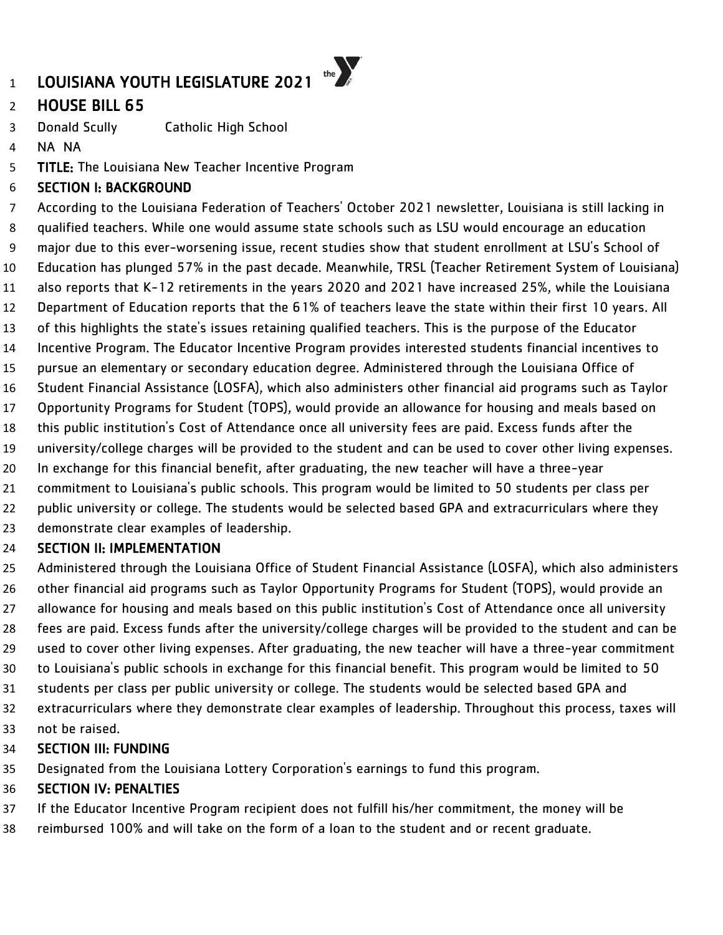## HOUSE BILL 65

Donald Scully Catholic High School

NA NA

TITLE: The Louisiana New Teacher Incentive Program

### SECTION I: BACKGROUND

 According to the Louisiana Federation of Teachers' October 2021 newsletter, Louisiana is still lacking in qualified teachers. While one would assume state schools such as LSU would encourage an education major due to this ever-worsening issue, recent studies show that student enrollment at LSU's School of Education has plunged 57% in the past decade. Meanwhile, TRSL (Teacher Retirement System of Louisiana) also reports that K-12 retirements in the years 2020 and 2021 have increased 25%, while the Louisiana Department of Education reports that the 61% of teachers leave the state within their first 10 years. All of this highlights the state's issues retaining qualified teachers. This is the purpose of the Educator Incentive Program. The Educator Incentive Program provides interested students financial incentives to pursue an elementary or secondary education degree. Administered through the Louisiana Office of Student Financial Assistance (LOSFA), which also administers other financial aid programs such as Taylor Opportunity Programs for Student (TOPS), would provide an allowance for housing and meals based on this public institution's Cost of Attendance once all university fees are paid. Excess funds after the university/college charges will be provided to the student and can be used to cover other living expenses. 20 In exchange for this financial benefit, after graduating, the new teacher will have a three-year commitment to Louisiana's public schools. This program would be limited to 50 students per class per 22 public university or college. The students would be selected based GPA and extracurriculars where they demonstrate clear examples of leadership.

### SECTION II: IMPLEMENTATION

 Administered through the Louisiana Office of Student Financial Assistance (LOSFA), which also administers other financial aid programs such as Taylor Opportunity Programs for Student (TOPS), would provide an allowance for housing and meals based on this public institution's Cost of Attendance once all university fees are paid. Excess funds after the university/college charges will be provided to the student and can be used to cover other living expenses. After graduating, the new teacher will have a three-year commitment to Louisiana's public schools in exchange for this financial benefit. This program would be limited to 50 students per class per public university or college. The students would be selected based GPA and extracurriculars where they demonstrate clear examples of leadership. Throughout this process, taxes will

not be raised.

### SECTION III: FUNDING

Designated from the Louisiana Lottery Corporation's earnings to fund this program.

- If the Educator Incentive Program recipient does not fulfill his/her commitment, the money will be
- reimbursed 100% and will take on the form of a loan to the student and or recent graduate.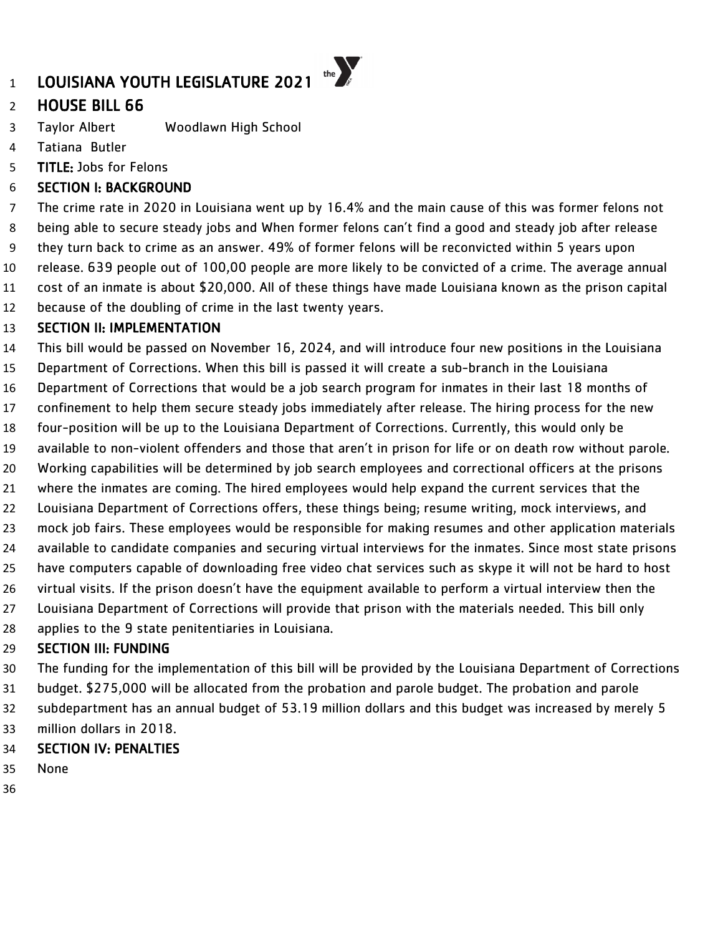## HOUSE BILL 66

- Taylor Albert Woodlawn High School
- Tatiana Butler
- TITLE: Jobs for Felons

### SECTION I: BACKGROUND

 The crime rate in 2020 in Louisiana went up by 16.4% and the main cause of this was former felons not being able to secure steady jobs and When former felons can't find a good and steady job after release they turn back to crime as an answer. 49% of former felons will be reconvicted within 5 years upon release. 639 people out of 100,00 people are more likely to be convicted of a crime. The average annual cost of an inmate is about \$20,000. All of these things have made Louisiana known as the prison capital because of the doubling of crime in the last twenty years.

### SECTION II: IMPLEMENTATION

- This bill would be passed on November 16, 2024, and will introduce four new positions in the Louisiana
- Department of Corrections. When this bill is passed it will create a sub-branch in the Louisiana
- Department of Corrections that would be a job search program for inmates in their last 18 months of
- confinement to help them secure steady jobs immediately after release. The hiring process for the new
- four-position will be up to the Louisiana Department of Corrections. Currently, this would only be
- available to non-violent offenders and those that aren't in prison for life or on death row without parole.
- Working capabilities will be determined by job search employees and correctional officers at the prisons
- where the inmates are coming. The hired employees would help expand the current services that the
- Louisiana Department of Corrections offers, these things being; resume writing, mock interviews, and
- mock job fairs. These employees would be responsible for making resumes and other application materials
- available to candidate companies and securing virtual interviews for the inmates. Since most state prisons
- have computers capable of downloading free video chat services such as skype it will not be hard to host
- virtual visits. If the prison doesn't have the equipment available to perform a virtual interview then the
- Louisiana Department of Corrections will provide that prison with the materials needed. This bill only
- applies to the 9 state penitentiaries in Louisiana.

### SECTION III: FUNDING

- The funding for the implementation of this bill will be provided by the Louisiana Department of Corrections
- budget. \$275,000 will be allocated from the probation and parole budget. The probation and parole
- subdepartment has an annual budget of 53.19 million dollars and this budget was increased by merely 5
- million dollars in 2018.

- None
-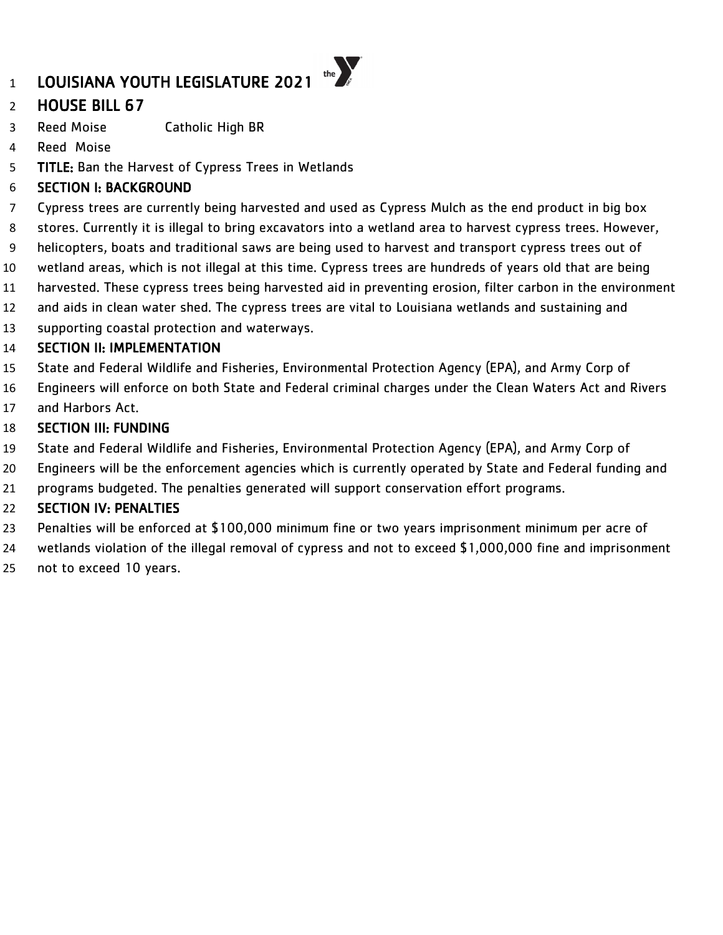## HOUSE BILL 67

Reed Moise Catholic High BR

- Reed Moise
- TITLE: Ban the Harvest of Cypress Trees in Wetlands

### SECTION I: BACKGROUND

- Cypress trees are currently being harvested and used as Cypress Mulch as the end product in big box
- stores. Currently it is illegal to bring excavators into a wetland area to harvest cypress trees. However,
- helicopters, boats and traditional saws are being used to harvest and transport cypress trees out of
- wetland areas, which is not illegal at this time. Cypress trees are hundreds of years old that are being
- harvested. These cypress trees being harvested aid in preventing erosion, filter carbon in the environment
- and aids in clean water shed. The cypress trees are vital to Louisiana wetlands and sustaining and
- supporting coastal protection and waterways.

### SECTION II: IMPLEMENTATION

- State and Federal Wildlife and Fisheries, Environmental Protection Agency (EPA), and Army Corp of
- Engineers will enforce on both State and Federal criminal charges under the Clean Waters Act and Rivers
- and Harbors Act.

### SECTION III: FUNDING

- State and Federal Wildlife and Fisheries, Environmental Protection Agency (EPA), and Army Corp of
- Engineers will be the enforcement agencies which is currently operated by State and Federal funding and
- programs budgeted. The penalties generated will support conservation effort programs.

- Penalties will be enforced at \$100,000 minimum fine or two years imprisonment minimum per acre of
- wetlands violation of the illegal removal of cypress and not to exceed \$1,000,000 fine and imprisonment
- not to exceed 10 years.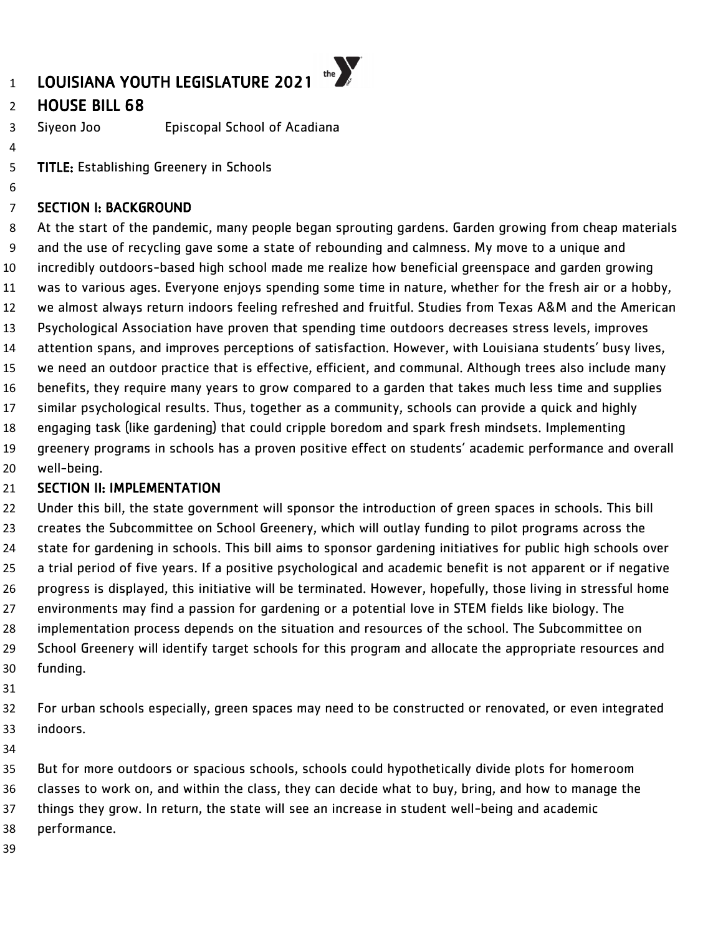### HOUSE BILL 68

Siyeon Joo Episcopal School of Acadiana

TITLE: Establishing Greenery in Schools

### SECTION I: BACKGROUND

 At the start of the pandemic, many people began sprouting gardens. Garden growing from cheap materials and the use of recycling gave some a state of rebounding and calmness. My move to a unique and incredibly outdoors-based high school made me realize how beneficial greenspace and garden growing was to various ages. Everyone enjoys spending some time in nature, whether for the fresh air or a hobby, we almost always return indoors feeling refreshed and fruitful. Studies from Texas A&M and the American Psychological Association have proven that spending time outdoors decreases stress levels, improves attention spans, and improves perceptions of satisfaction. However, with Louisiana students' busy lives, we need an outdoor practice that is effective, efficient, and communal. Although trees also include many benefits, they require many years to grow compared to a garden that takes much less time and supplies similar psychological results. Thus, together as a community, schools can provide a quick and highly engaging task (like gardening) that could cripple boredom and spark fresh mindsets. Implementing greenery programs in schools has a proven positive effect on students' academic performance and overall well-being.

### 21 SECTION II: IMPLEMENTATION

 Under this bill, the state government will sponsor the introduction of green spaces in schools. This bill creates the Subcommittee on School Greenery, which will outlay funding to pilot programs across the state for gardening in schools. This bill aims to sponsor gardening initiatives for public high schools over a trial period of five years. If a positive psychological and academic benefit is not apparent or if negative progress is displayed, this initiative will be terminated. However, hopefully, those living in stressful home environments may find a passion for gardening or a potential love in STEM fields like biology. The implementation process depends on the situation and resources of the school. The Subcommittee on School Greenery will identify target schools for this program and allocate the appropriate resources and funding.

 For urban schools especially, green spaces may need to be constructed or renovated, or even integrated indoors.

 But for more outdoors or spacious schools, schools could hypothetically divide plots for homeroom classes to work on, and within the class, they can decide what to buy, bring, and how to manage the things they grow. In return, the state will see an increase in student well-being and academic performance.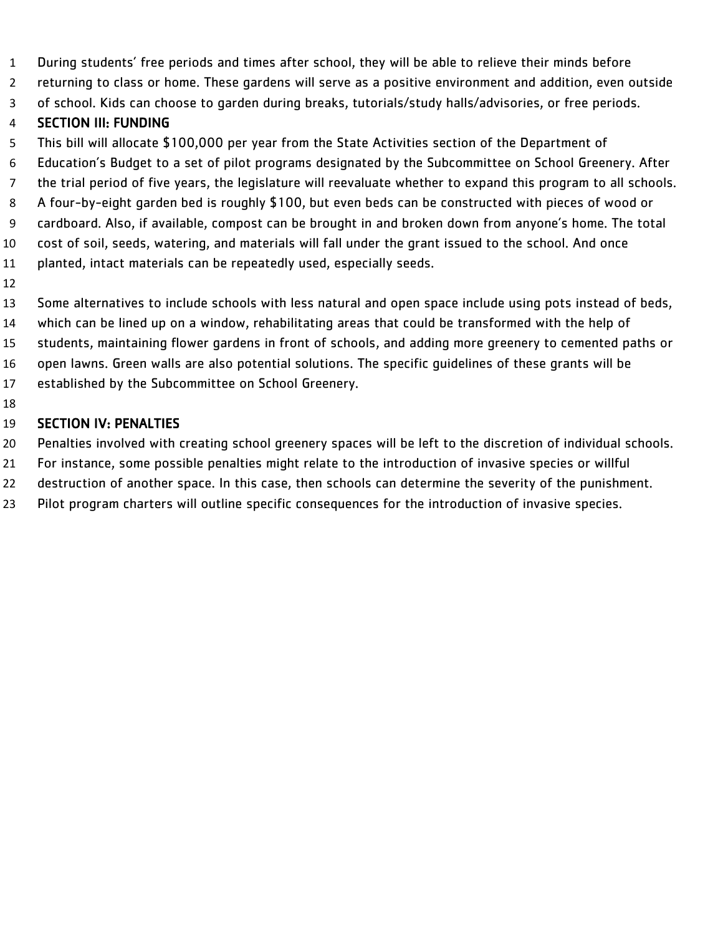- During students' free periods and times after school, they will be able to relieve their minds before
- returning to class or home. These gardens will serve as a positive environment and addition, even outside
- of school. Kids can choose to garden during breaks, tutorials/study halls/advisories, or free periods.

### SECTION III: FUNDING

- This bill will allocate \$100,000 per year from the State Activities section of the Department of
- Education's Budget to a set of pilot programs designated by the Subcommittee on School Greenery. After
- the trial period of five years, the legislature will reevaluate whether to expand this program to all schools.
- A four-by-eight garden bed is roughly \$100, but even beds can be constructed with pieces of wood or
- cardboard. Also, if available, compost can be brought in and broken down from anyone's home. The total
- cost of soil, seeds, watering, and materials will fall under the grant issued to the school. And once
- planted, intact materials can be repeatedly used, especially seeds.
- 
- Some alternatives to include schools with less natural and open space include using pots instead of beds,
- which can be lined up on a window, rehabilitating areas that could be transformed with the help of
- students, maintaining flower gardens in front of schools, and adding more greenery to cemented paths or
- open lawns. Green walls are also potential solutions. The specific guidelines of these grants will be
- established by the Subcommittee on School Greenery.
- 

- Penalties involved with creating school greenery spaces will be left to the discretion of individual schools.
- For instance, some possible penalties might relate to the introduction of invasive species or willful
- destruction of another space. In this case, then schools can determine the severity of the punishment.
- Pilot program charters will outline specific consequences for the introduction of invasive species.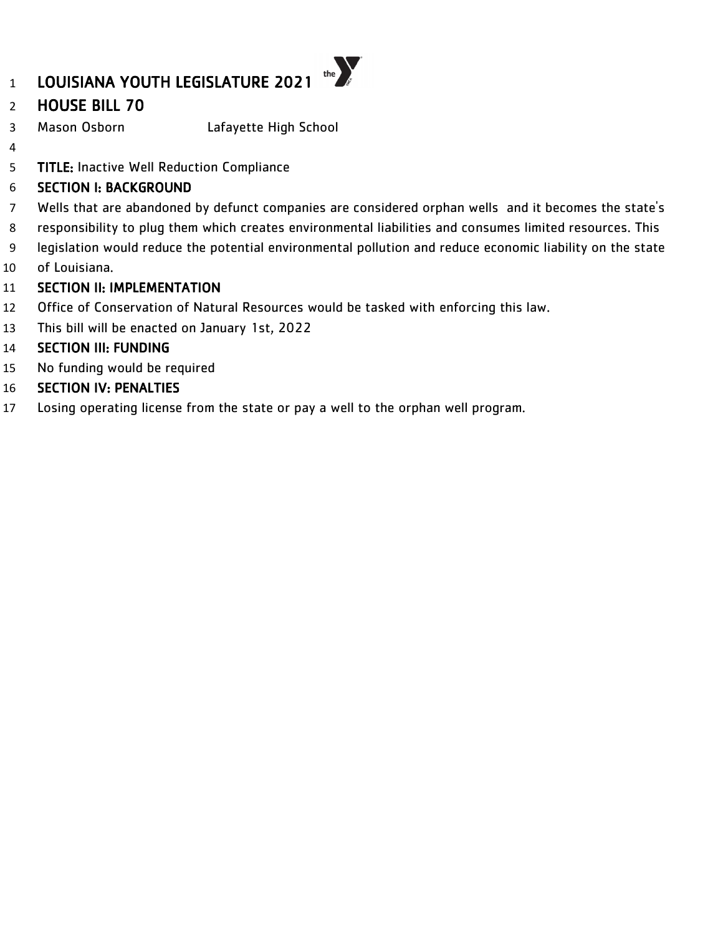## HOUSE BILL 70

- Mason Osborn Lafayette High School
- 

TITLE: Inactive Well Reduction Compliance

### SECTION I: BACKGROUND

- Wells that are abandoned by defunct companies are considered orphan wells and it becomes the state's
- responsibility to plug them which creates environmental liabilities and consumes limited resources. This
- legislation would reduce the potential environmental pollution and reduce economic liability on the state
- of Louisiana.

### SECTION II: IMPLEMENTATION

- Office of Conservation of Natural Resources would be tasked with enforcing this law.
- This bill will be enacted on January 1st, 2022

### SECTION III: FUNDING

- No funding would be required
- SECTION IV: PENALTIES
- Losing operating license from the state or pay a well to the orphan well program.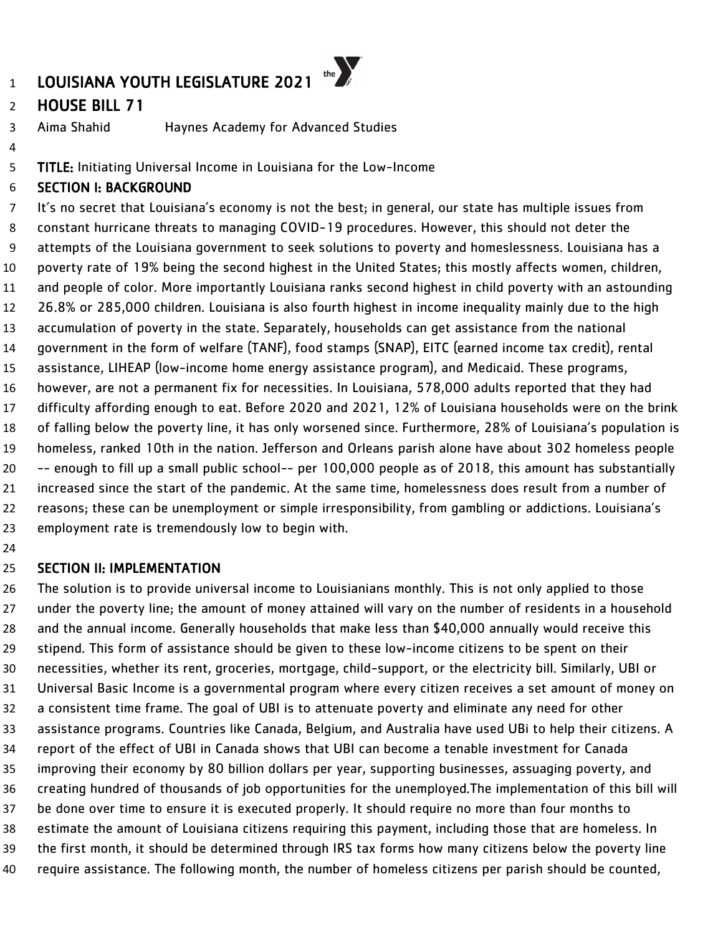### HOUSE BILL 71

Aima Shahid Haynes Academy for Advanced Studies

TITLE: Initiating Universal Income in Louisiana for the Low-Income

#### SECTION I: BACKGROUND

 It's no secret that Louisiana's economy is not the best; in general, our state has multiple issues from constant hurricane threats to managing COVID-19 procedures. However, this should not deter the attempts of the Louisiana government to seek solutions to poverty and homeslessness. Louisiana has a poverty rate of 19% being the second highest in the United States; this mostly affects women, children, and people of color. More importantly Louisiana ranks second highest in child poverty with an astounding 26.8% or 285,000 children. Louisiana is also fourth highest in income inequality mainly due to the high accumulation of poverty in the state. Separately, households can get assistance from the national government in the form of welfare (TANF), food stamps (SNAP), EITC (earned income tax credit), rental assistance, LIHEAP (low-income home energy assistance program), and Medicaid. These programs, however, are not a permanent fix for necessities. In Louisiana, 578,000 adults reported that they had difficulty affording enough to eat. Before 2020 and 2021, 12% of Louisiana households were on the brink of falling below the poverty line, it has only worsened since. Furthermore, 28% of Louisiana's population is homeless, ranked 10th in the nation. Jefferson and Orleans parish alone have about 302 homeless people -- enough to fill up a small public school-- per 100,000 people as of 2018, this amount has substantially increased since the start of the pandemic. At the same time, homelessness does result from a number of reasons; these can be unemployment or simple irresponsibility, from gambling or addictions. Louisiana's employment rate is tremendously low to begin with.

#### SECTION II: IMPLEMENTATION

 The solution is to provide universal income to Louisianians monthly. This is not only applied to those under the poverty line; the amount of money attained will vary on the number of residents in a household and the annual income. Generally households that make less than \$40,000 annually would receive this stipend. This form of assistance should be given to these low-income citizens to be spent on their necessities, whether its rent, groceries, mortgage, child-support, or the electricity bill. Similarly, UBI or Universal Basic Income is a governmental program where every citizen receives a set amount of money on a consistent time frame. The goal of UBI is to attenuate poverty and eliminate any need for other assistance programs. Countries like Canada, Belgium, and Australia have used UBi to help their citizens. A report of the effect of UBI in Canada shows that UBI can become a tenable investment for Canada improving their economy by 80 billion dollars per year, supporting businesses, assuaging poverty, and creating hundred of thousands of job opportunities for the unemployed.The implementation of this bill will be done over time to ensure it is executed properly. It should require no more than four months to estimate the amount of Louisiana citizens requiring this payment, including those that are homeless. In the first month, it should be determined through IRS tax forms how many citizens below the poverty line require assistance. The following month, the number of homeless citizens per parish should be counted,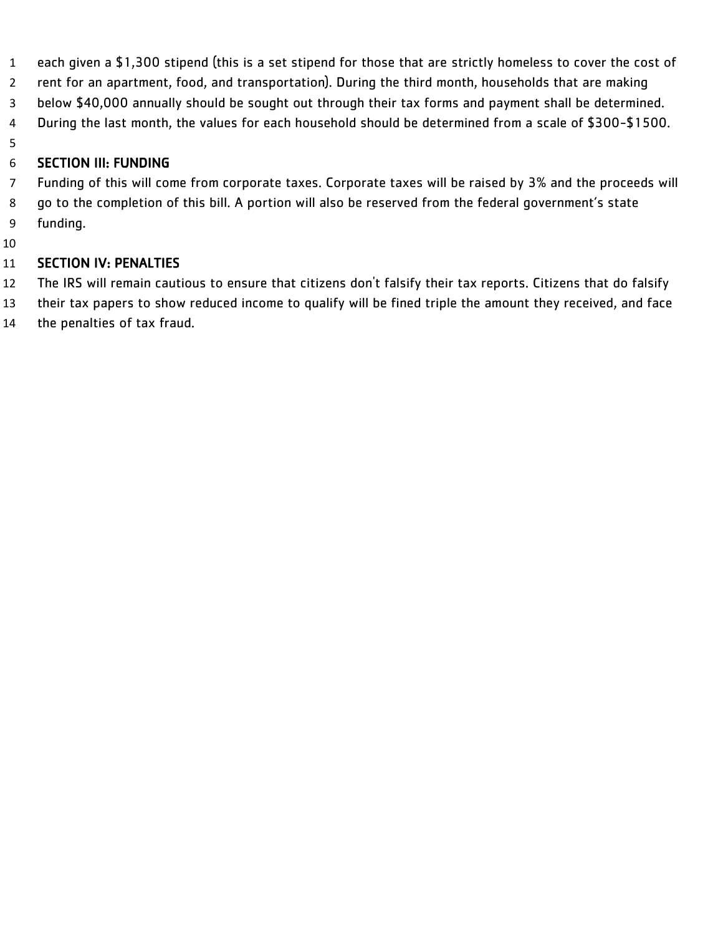- each given a \$1,300 stipend (this is a set stipend for those that are strictly homeless to cover the cost of
- rent for an apartment, food, and transportation). During the third month, households that are making
- below \$40,000 annually should be sought out through their tax forms and payment shall be determined.
- During the last month, the values for each household should be determined from a scale of \$300-\$1500.
- 

### SECTION III: FUNDING

- Funding of this will come from corporate taxes. Corporate taxes will be raised by 3% and the proceeds will go to the completion of this bill. A portion will also be reserved from the federal government's state
- funding.
- 

- The IRS will remain cautious to ensure that citizens don't falsify their tax reports. Citizens that do falsify
- their tax papers to show reduced income to qualify will be fined triple the amount they received, and face
- the penalties of tax fraud.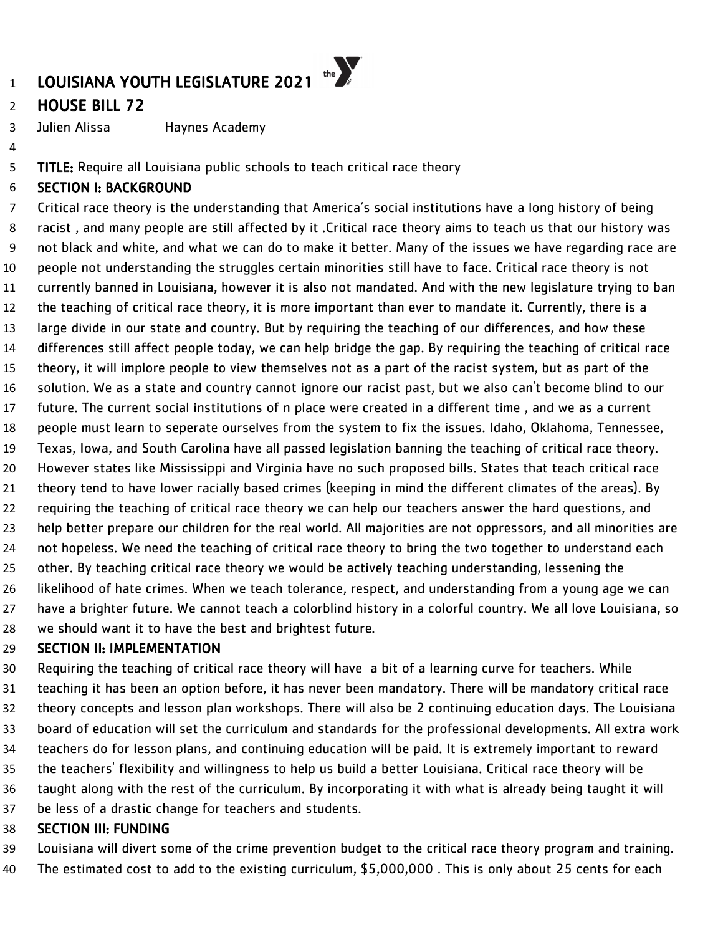### HOUSE BILL 72

Julien Alissa Haynes Academy

TITLE: Require all Louisiana public schools to teach critical race theory

### SECTION I: BACKGROUND

 Critical race theory is the understanding that America's social institutions have a long history of being racist , and many people are still affected by it .Critical race theory aims to teach us that our history was not black and white, and what we can do to make it better. Many of the issues we have regarding race are people not understanding the struggles certain minorities still have to face. Critical race theory is not currently banned in Louisiana, however it is also not mandated. And with the new legislature trying to ban the teaching of critical race theory, it is more important than ever to mandate it. Currently, there is a large divide in our state and country. But by requiring the teaching of our differences, and how these differences still affect people today, we can help bridge the gap. By requiring the teaching of critical race theory, it will implore people to view themselves not as a part of the racist system, but as part of the solution. We as a state and country cannot ignore our racist past, but we also can't become blind to our future. The current social institutions of n place were created in a different time , and we as a current people must learn to seperate ourselves from the system to fix the issues. Idaho, Oklahoma, Tennessee, Texas, Iowa, and South Carolina have all passed legislation banning the teaching of critical race theory. However states like Mississippi and Virginia have no such proposed bills. States that teach critical race theory tend to have lower racially based crimes (keeping in mind the different climates of the areas). By requiring the teaching of critical race theory we can help our teachers answer the hard questions, and help better prepare our children for the real world. All majorities are not oppressors, and all minorities are not hopeless. We need the teaching of critical race theory to bring the two together to understand each other. By teaching critical race theory we would be actively teaching understanding, lessening the likelihood of hate crimes. When we teach tolerance, respect, and understanding from a young age we can have a brighter future. We cannot teach a colorblind history in a colorful country. We all love Louisiana, so we should want it to have the best and brightest future.

### SECTION II: IMPLEMENTATION

 Requiring the teaching of critical race theory will have a bit of a learning curve for teachers. While teaching it has been an option before, it has never been mandatory. There will be mandatory critical race theory concepts and lesson plan workshops. There will also be 2 continuing education days. The Louisiana board of education will set the curriculum and standards for the professional developments. All extra work teachers do for lesson plans, and continuing education will be paid. It is extremely important to reward the teachers' flexibility and willingness to help us build a better Louisiana. Critical race theory will be taught along with the rest of the curriculum. By incorporating it with what is already being taught it will be less of a drastic change for teachers and students.

### SECTION III: FUNDING

Louisiana will divert some of the crime prevention budget to the critical race theory program and training.

The estimated cost to add to the existing curriculum, \$5,000,000 . This is only about 25 cents for each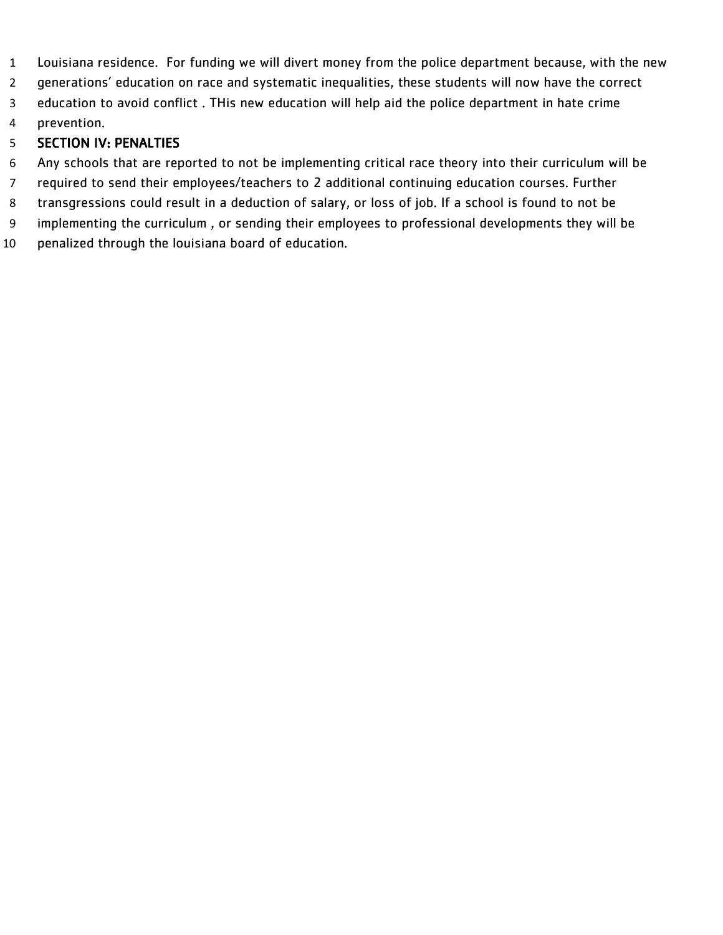- Louisiana residence. For funding we will divert money from the police department because, with the new
- generations' education on race and systematic inequalities, these students will now have the correct
- education to avoid conflict . THis new education will help aid the police department in hate crime
- prevention.

- Any schools that are reported to not be implementing critical race theory into their curriculum will be
- required to send their employees/teachers to 2 additional continuing education courses. Further
- transgressions could result in a deduction of salary, or loss of job. If a school is found to not be
- implementing the curriculum , or sending their employees to professional developments they will be
- penalized through the louisiana board of education.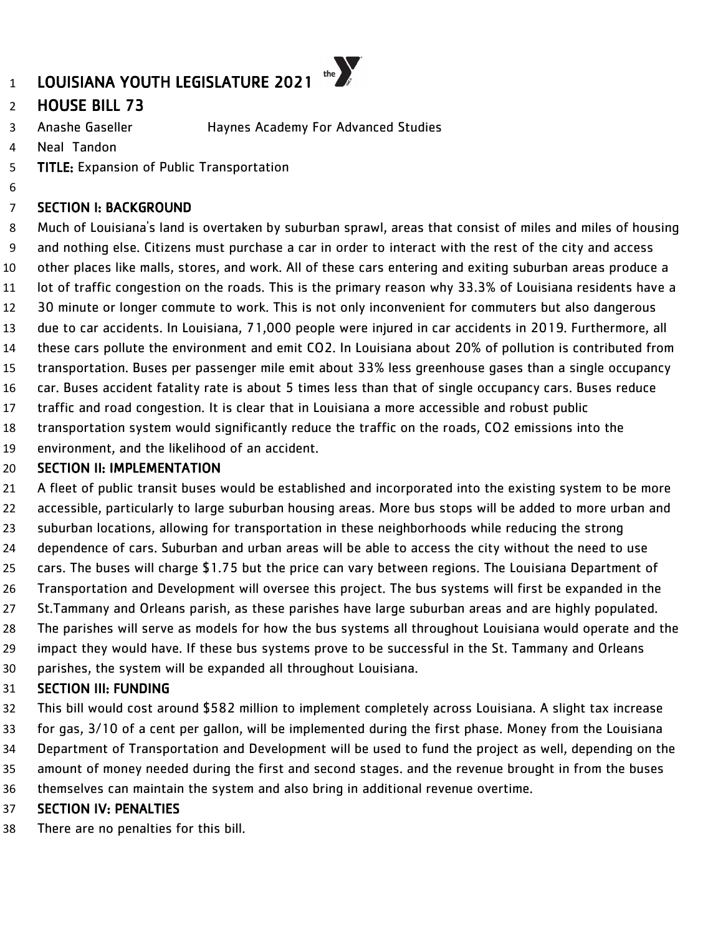## HOUSE BILL 73

- Anashe Gaseller Haynes Academy For Advanced Studies
- Neal Tandon

**TITLE:** Expansion of Public Transportation

### SECTION I: BACKGROUND

 Much of Louisiana's land is overtaken by suburban sprawl, areas that consist of miles and miles of housing and nothing else. Citizens must purchase a car in order to interact with the rest of the city and access other places like malls, stores, and work. All of these cars entering and exiting suburban areas produce a lot of traffic congestion on the roads. This is the primary reason why 33.3% of Louisiana residents have a 30 minute or longer commute to work. This is not only inconvenient for commuters but also dangerous due to car accidents. In Louisiana, 71,000 people were injured in car accidents in 2019. Furthermore, all these cars pollute the environment and emit CO2. In Louisiana about 20% of pollution is contributed from transportation. Buses per passenger mile emit about 33% less greenhouse gases than a single occupancy car. Buses accident fatality rate is about 5 times less than that of single occupancy cars. Buses reduce traffic and road congestion. It is clear that in Louisiana a more accessible and robust public

- transportation system would significantly reduce the traffic on the roads, CO2 emissions into the
- environment, and the likelihood of an accident.

#### **SECTION II: IMPLEMENTATION**

 A fleet of public transit buses would be established and incorporated into the existing system to be more accessible, particularly to large suburban housing areas. More bus stops will be added to more urban and suburban locations, allowing for transportation in these neighborhoods while reducing the strong dependence of cars. Suburban and urban areas will be able to access the city without the need to use cars. The buses will charge \$1.75 but the price can vary between regions. The Louisiana Department of Transportation and Development will oversee this project. The bus systems will first be expanded in the St.Tammany and Orleans parish, as these parishes have large suburban areas and are highly populated. The parishes will serve as models for how the bus systems all throughout Louisiana would operate and the impact they would have. If these bus systems prove to be successful in the St. Tammany and Orleans parishes, the system will be expanded all throughout Louisiana.

### SECTION III: FUNDING

- This bill would cost around \$582 million to implement completely across Louisiana. A slight tax increase
- for gas, 3/10 of a cent per gallon, will be implemented during the first phase. Money from the Louisiana
- Department of Transportation and Development will be used to fund the project as well, depending on the
- amount of money needed during the first and second stages. and the revenue brought in from the buses themselves can maintain the system and also bring in additional revenue overtime.

### SECTION IV: PENALTIES

There are no penalties for this bill.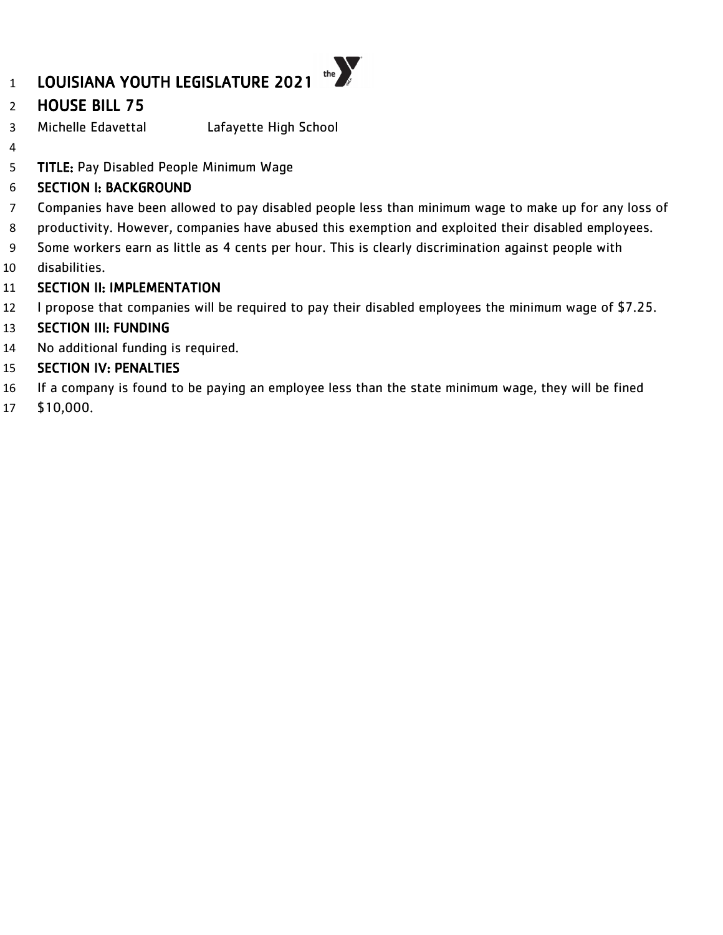### HOUSE BILL 75

- Michelle Edavettal Lafayette High School
- 

TITLE: Pay Disabled People Minimum Wage

### SECTION I: BACKGROUND

- Companies have been allowed to pay disabled people less than minimum wage to make up for any loss of
- productivity. However, companies have abused this exemption and exploited their disabled employees.
- Some workers earn as little as 4 cents per hour. This is clearly discrimination against people with
- disabilities.

### **SECTION II: IMPLEMENTATION**

I propose that companies will be required to pay their disabled employees the minimum wage of \$7.25.

### SECTION III: FUNDING

No additional funding is required.

- If a company is found to be paying an employee less than the state minimum wage, they will be fined
- \$10,000.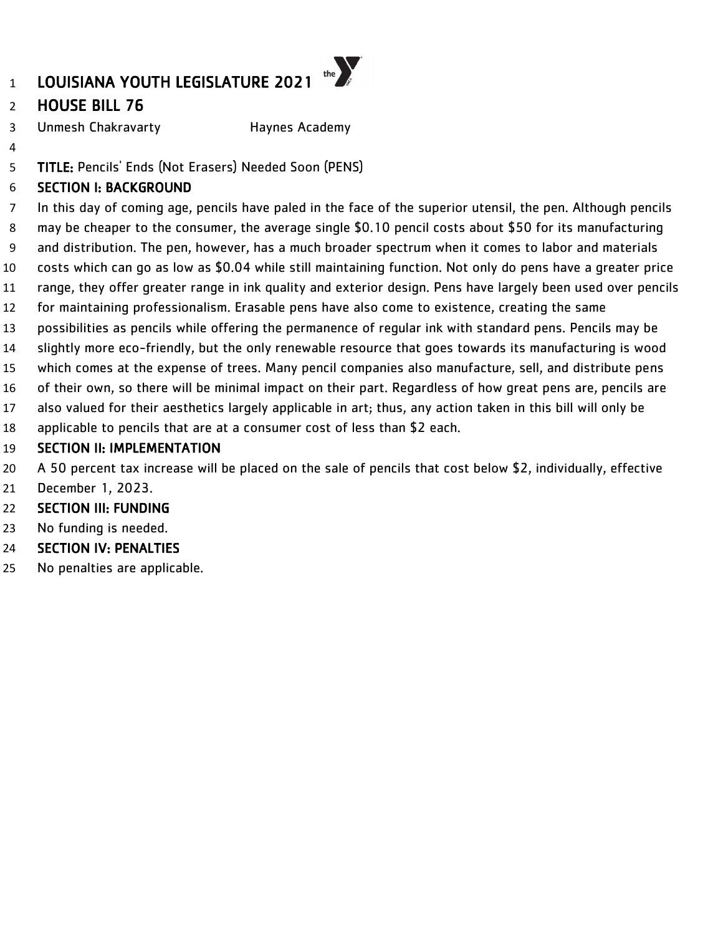## LOUISIANA YOUTH LEGISLATURE 2021

### HOUSE BILL 76

3 Unmesh Chakravarty **Haynes Academy** 

TITLE: Pencils' Ends (Not Erasers) Needed Soon (PENS)

### SECTION I: BACKGROUND

 In this day of coming age, pencils have paled in the face of the superior utensil, the pen. Although pencils may be cheaper to the consumer, the average single \$0.10 pencil costs about \$50 for its manufacturing and distribution. The pen, however, has a much broader spectrum when it comes to labor and materials costs which can go as low as \$0.04 while still maintaining function. Not only do pens have a greater price range, they offer greater range in ink quality and exterior design. Pens have largely been used over pencils for maintaining professionalism. Erasable pens have also come to existence, creating the same possibilities as pencils while offering the permanence of regular ink with standard pens. Pencils may be

the  $\sum_{k}$ 

- slightly more eco-friendly, but the only renewable resource that goes towards its manufacturing is wood
- which comes at the expense of trees. Many pencil companies also manufacture, sell, and distribute pens
- of their own, so there will be minimal impact on their part. Regardless of how great pens are, pencils are
- also valued for their aesthetics largely applicable in art; thus, any action taken in this bill will only be
- applicable to pencils that are at a consumer cost of less than \$2 each.

### SECTION II: IMPLEMENTATION

- A 50 percent tax increase will be placed on the sale of pencils that cost below \$2, individually, effective
- December 1, 2023.

### SECTION III: FUNDING

- No funding is needed.
- SECTION IV: PENALTIES
- No penalties are applicable.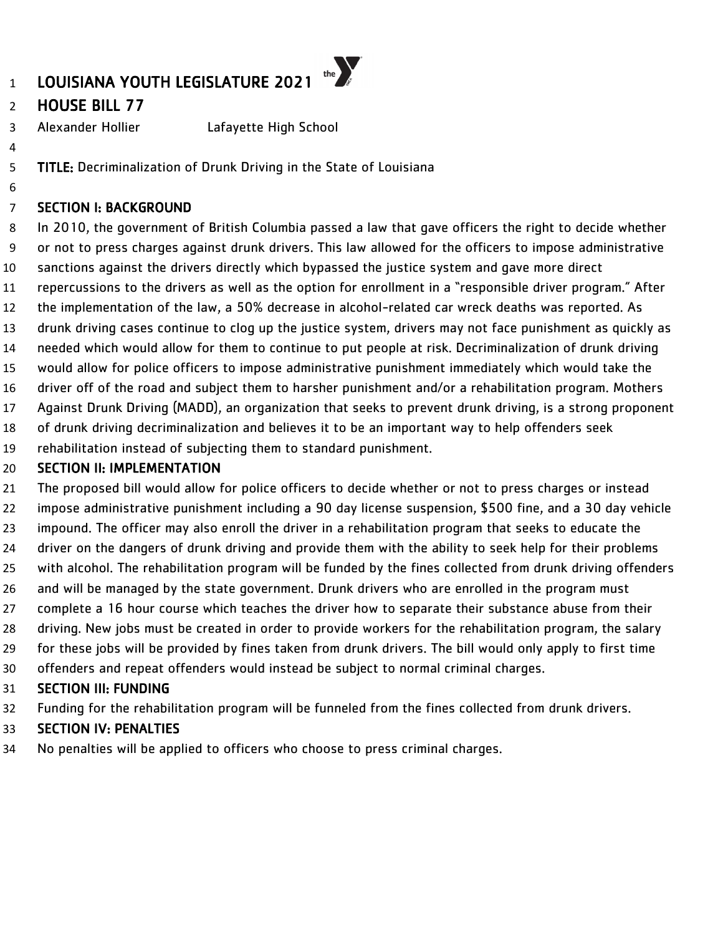## HOUSE BILL 77

Alexander Hollier Lafayette High School

TITLE: Decriminalization of Drunk Driving in the State of Louisiana

### SECTION I: BACKGROUND

 In 2010, the government of British Columbia passed a law that gave officers the right to decide whether or not to press charges against drunk drivers. This law allowed for the officers to impose administrative sanctions against the drivers directly which bypassed the justice system and gave more direct repercussions to the drivers as well as the option for enrollment in a "responsible driver program." After the implementation of the law, a 50% decrease in alcohol-related car wreck deaths was reported. As drunk driving cases continue to clog up the justice system, drivers may not face punishment as quickly as needed which would allow for them to continue to put people at risk. Decriminalization of drunk driving would allow for police officers to impose administrative punishment immediately which would take the driver off of the road and subject them to harsher punishment and/or a rehabilitation program. Mothers Against Drunk Driving (MADD), an organization that seeks to prevent drunk driving, is a strong proponent of drunk driving decriminalization and believes it to be an important way to help offenders seek

rehabilitation instead of subjecting them to standard punishment.

### **SECTION II: IMPLEMENTATION**

 The proposed bill would allow for police officers to decide whether or not to press charges or instead impose administrative punishment including a 90 day license suspension, \$500 fine, and a 30 day vehicle impound. The officer may also enroll the driver in a rehabilitation program that seeks to educate the driver on the dangers of drunk driving and provide them with the ability to seek help for their problems with alcohol. The rehabilitation program will be funded by the fines collected from drunk driving offenders and will be managed by the state government. Drunk drivers who are enrolled in the program must complete a 16 hour course which teaches the driver how to separate their substance abuse from their driving. New jobs must be created in order to provide workers for the rehabilitation program, the salary for these jobs will be provided by fines taken from drunk drivers. The bill would only apply to first time offenders and repeat offenders would instead be subject to normal criminal charges.

### SECTION III: FUNDING

Funding for the rehabilitation program will be funneled from the fines collected from drunk drivers.

### SECTION IV: PENALTIES

No penalties will be applied to officers who choose to press criminal charges.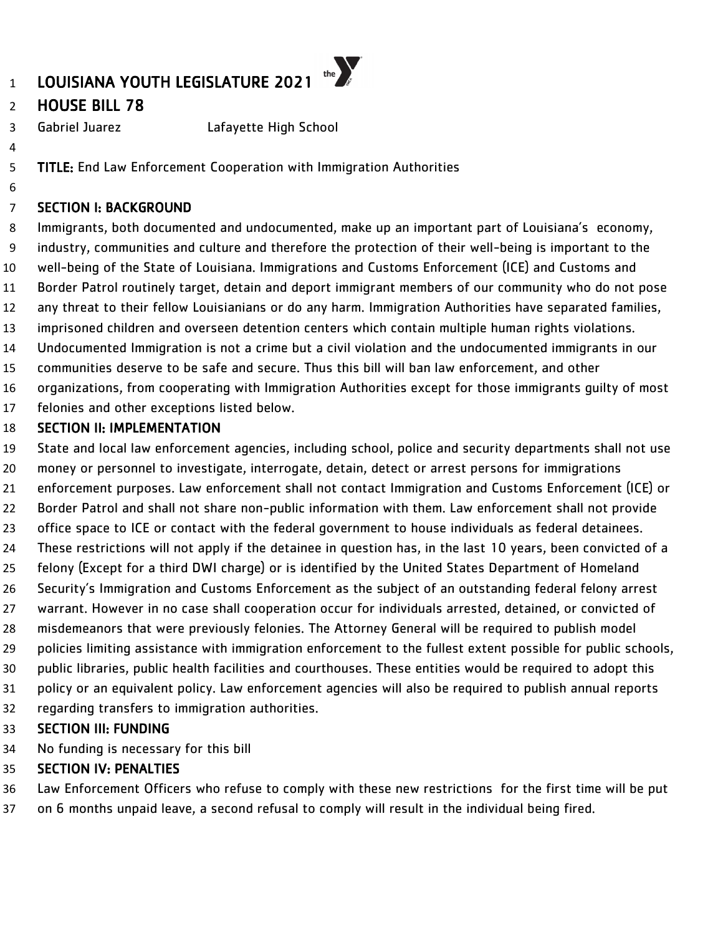## HOUSE BILL 78

Gabriel Juarez Lafayette High School

TITLE: End Law Enforcement Cooperation with Immigration Authorities

### SECTION I: BACKGROUND

 Immigrants, both documented and undocumented, make up an important part of Louisiana's economy, industry, communities and culture and therefore the protection of their well-being is important to the well-being of the State of Louisiana. Immigrations and Customs Enforcement (ICE) and Customs and Border Patrol routinely target, detain and deport immigrant members of our community who do not pose any threat to their fellow Louisianians or do any harm. Immigration Authorities have separated families, imprisoned children and overseen detention centers which contain multiple human rights violations. Undocumented Immigration is not a crime but a civil violation and the undocumented immigrants in our communities deserve to be safe and secure. Thus this bill will ban law enforcement, and other

organizations, from cooperating with Immigration Authorities except for those immigrants guilty of most

felonies and other exceptions listed below.

### SECTION II: IMPLEMENTATION

State and local law enforcement agencies, including school, police and security departments shall not use

money or personnel to investigate, interrogate, detain, detect or arrest persons for immigrations

- enforcement purposes. Law enforcement shall not contact Immigration and Customs Enforcement (ICE) or
- Border Patrol and shall not share non-public information with them. Law enforcement shall not provide
- office space to ICE or contact with the federal government to house individuals as federal detainees.
- These restrictions will not apply if the detainee in question has, in the last 10 years, been convicted of a felony (Except for a third DWI charge) or is identified by the United States Department of Homeland
- Security's Immigration and Customs Enforcement as the subject of an outstanding federal felony arrest
- warrant. However in no case shall cooperation occur for individuals arrested, detained, or convicted of
- misdemeanors that were previously felonies. The Attorney General will be required to publish model
- policies limiting assistance with immigration enforcement to the fullest extent possible for public schools,
- public libraries, public health facilities and courthouses. These entities would be required to adopt this
- policy or an equivalent policy. Law enforcement agencies will also be required to publish annual reports
- regarding transfers to immigration authorities.

### SECTION III: FUNDING

No funding is necessary for this bill

### SECTION IV: PENALTIES

Law Enforcement Officers who refuse to comply with these new restrictions for the first time will be put

on 6 months unpaid leave, a second refusal to comply will result in the individual being fired.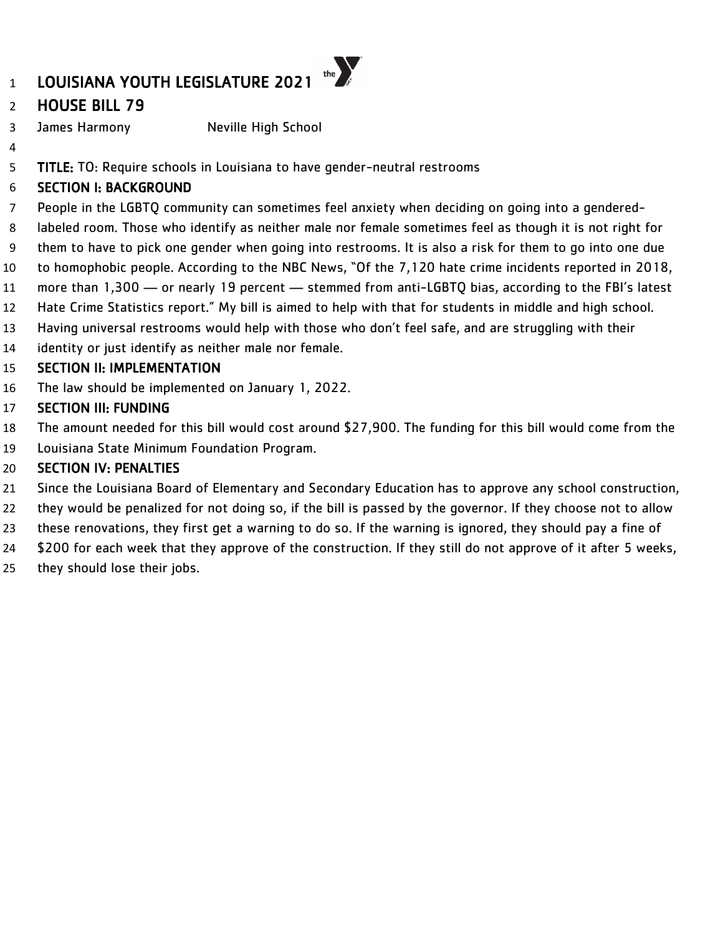## LOUISIANA YOUTH LEGISLATURE 2021

### HOUSE BILL 79

James Harmony Neville High School

TITLE: TO: Require schools in Louisiana to have gender-neutral restrooms

### SECTION I: BACKGROUND

- People in the LGBTQ community can sometimes feel anxiety when deciding on going into a gendered-
- labeled room. Those who identify as neither male nor female sometimes feel as though it is not right for

the  $\sum$ 

- them to have to pick one gender when going into restrooms. It is also a risk for them to go into one due
- to homophobic people. According to the NBC News, "Of the 7,120 hate crime incidents reported in 2018,
- more than 1,300 or nearly 19 percent stemmed from anti-LGBTQ bias, according to the FBI's latest
- Hate Crime Statistics report." My bill is aimed to help with that for students in middle and high school.
- Having universal restrooms would help with those who don't feel safe, and are struggling with their
- identity or just identify as neither male nor female.

### SECTION II: IMPLEMENTATION

The law should be implemented on January 1, 2022.

### SECTION III: FUNDING

- The amount needed for this bill would cost around \$27,900. The funding for this bill would come from the
- Louisiana State Minimum Foundation Program.

- Since the Louisiana Board of Elementary and Secondary Education has to approve any school construction,
- they would be penalized for not doing so, if the bill is passed by the governor. If they choose not to allow
- these renovations, they first get a warning to do so. If the warning is ignored, they should pay a fine of
- \$200 for each week that they approve of the construction. If they still do not approve of it after 5 weeks,
- they should lose their jobs.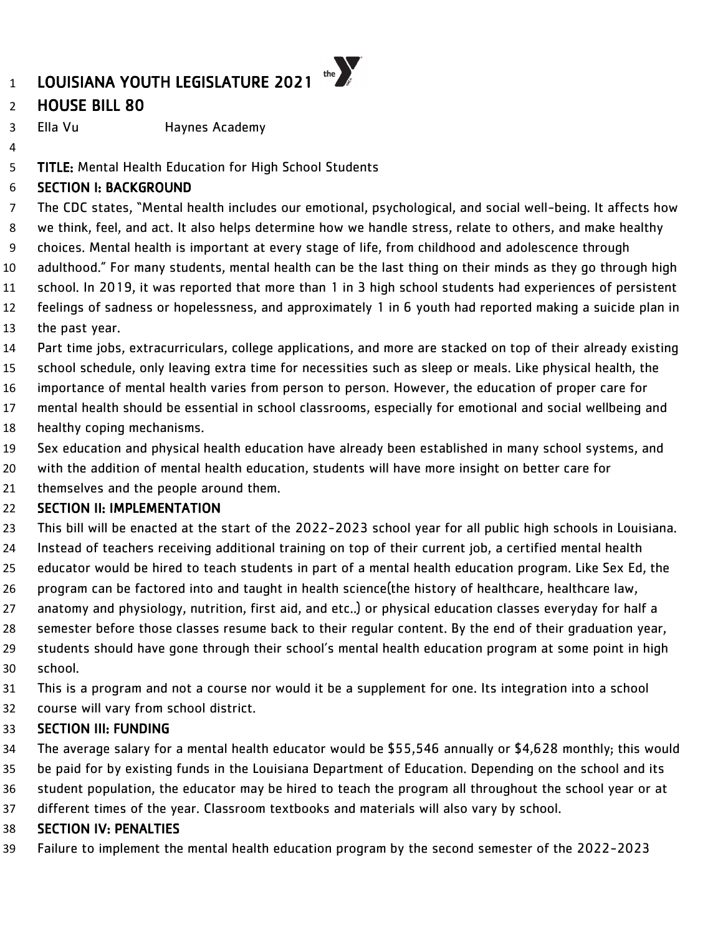### HOUSE BILL 80

Ella Vu Haynes Academy

TITLE: Mental Health Education for High School Students

### SECTION I: BACKGROUND

 The CDC states, "Mental health includes our emotional, psychological, and social well-being. It affects how we think, feel, and act. It also helps determine how we handle stress, relate to others, and make healthy choices. Mental health is important at every stage of life, from childhood and adolescence through adulthood." For many students, mental health can be the last thing on their minds as they go through high school. In 2019, it was reported that more than 1 in 3 high school students had experiences of persistent feelings of sadness or hopelessness, and approximately 1 in 6 youth had reported making a suicide plan in

- the past year.
- Part time jobs, extracurriculars, college applications, and more are stacked on top of their already existing

school schedule, only leaving extra time for necessities such as sleep or meals. Like physical health, the

- importance of mental health varies from person to person. However, the education of proper care for
- mental health should be essential in school classrooms, especially for emotional and social wellbeing and healthy coping mechanisms.
- Sex education and physical health education have already been established in many school systems, and
- with the addition of mental health education, students will have more insight on better care for
- themselves and the people around them.

### SECTION II: IMPLEMENTATION

 This bill will be enacted at the start of the 2022-2023 school year for all public high schools in Louisiana. Instead of teachers receiving additional training on top of their current job, a certified mental health

- educator would be hired to teach students in part of a mental health education program. Like Sex Ed, the
- program can be factored into and taught in health science(the history of healthcare, healthcare law,
- anatomy and physiology, nutrition, first aid, and etc..) or physical education classes everyday for half a
- semester before those classes resume back to their regular content. By the end of their graduation year, students should have gone through their school's mental health education program at some point in high
- school.
- This is a program and not a course nor would it be a supplement for one. Its integration into a school course will vary from school district.

### SECTION III: FUNDING

The average salary for a mental health educator would be \$55,546 annually or \$4,628 monthly; this would

- be paid for by existing funds in the Louisiana Department of Education. Depending on the school and its student population, the educator may be hired to teach the program all throughout the school year or at
- different times of the year. Classroom textbooks and materials will also vary by school.

### SECTION IV: PENALTIES

Failure to implement the mental health education program by the second semester of the 2022-2023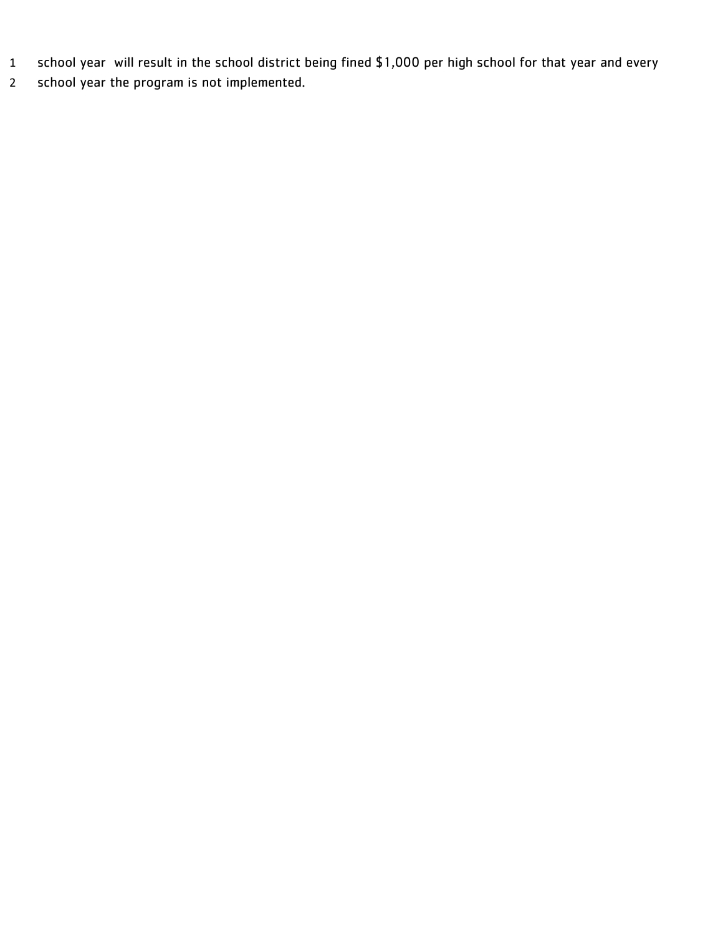- school year will result in the school district being fined \$1,000 per high school for that year and every
- school year the program is not implemented.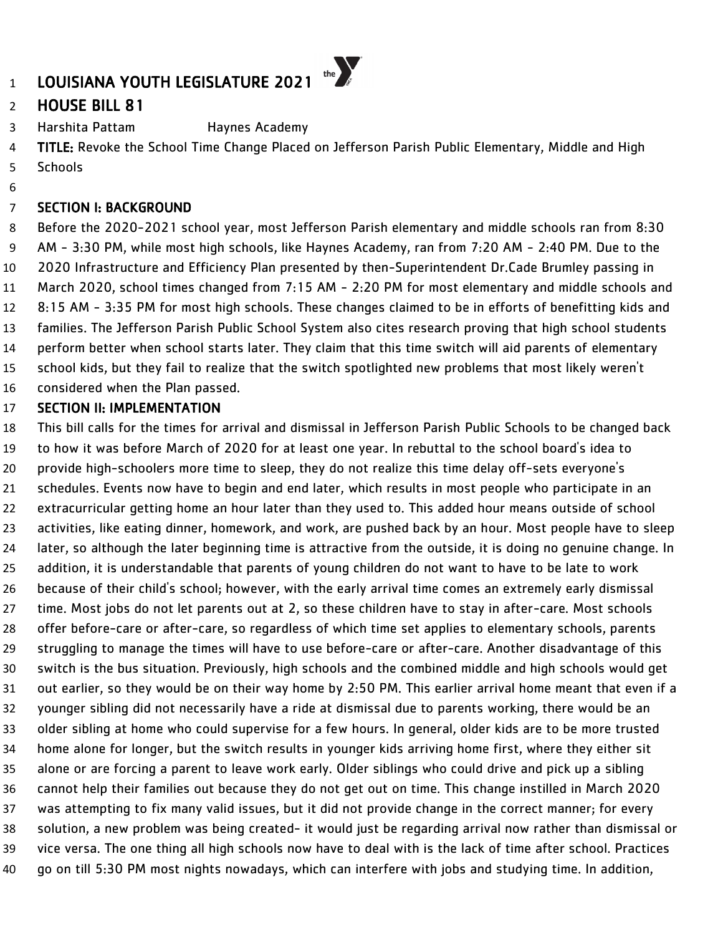## HOUSE BILL 81

Harshita Pattam Haynes Academy

4 TITLE: Revoke the School Time Change Placed on Jefferson Parish Public Elementary, Middle and High Schools

### SECTION I: BACKGROUND

 Before the 2020-2021 school year, most Jefferson Parish elementary and middle schools ran from 8:30 AM - 3:30 PM, while most high schools, like Haynes Academy, ran from 7:20 AM - 2:40 PM. Due to the 2020 Infrastructure and Efficiency Plan presented by then-Superintendent Dr.Cade Brumley passing in March 2020, school times changed from 7:15 AM - 2:20 PM for most elementary and middle schools and 8:15 AM - 3:35 PM for most high schools. These changes claimed to be in efforts of benefitting kids and families. The Jefferson Parish Public School System also cites research proving that high school students perform better when school starts later. They claim that this time switch will aid parents of elementary school kids, but they fail to realize that the switch spotlighted new problems that most likely weren't considered when the Plan passed.

### SECTION II: IMPLEMENTATION

 This bill calls for the times for arrival and dismissal in Jefferson Parish Public Schools to be changed back to how it was before March of 2020 for at least one year. In rebuttal to the school board's idea to provide high-schoolers more time to sleep, they do not realize this time delay off-sets everyone's schedules. Events now have to begin and end later, which results in most people who participate in an extracurricular getting home an hour later than they used to. This added hour means outside of school activities, like eating dinner, homework, and work, are pushed back by an hour. Most people have to sleep later, so although the later beginning time is attractive from the outside, it is doing no genuine change. In addition, it is understandable that parents of young children do not want to have to be late to work because of their child's school; however, with the early arrival time comes an extremely early dismissal time. Most jobs do not let parents out at 2, so these children have to stay in after-care. Most schools offer before-care or after-care, so regardless of which time set applies to elementary schools, parents struggling to manage the times will have to use before-care or after-care. Another disadvantage of this switch is the bus situation. Previously, high schools and the combined middle and high schools would get out earlier, so they would be on their way home by 2:50 PM. This earlier arrival home meant that even if a younger sibling did not necessarily have a ride at dismissal due to parents working, there would be an older sibling at home who could supervise for a few hours. In general, older kids are to be more trusted home alone for longer, but the switch results in younger kids arriving home first, where they either sit alone or are forcing a parent to leave work early. Older siblings who could drive and pick up a sibling cannot help their families out because they do not get out on time. This change instilled in March 2020 was attempting to fix many valid issues, but it did not provide change in the correct manner; for every solution, a new problem was being created- it would just be regarding arrival now rather than dismissal or vice versa. The one thing all high schools now have to deal with is the lack of time after school. Practices go on till 5:30 PM most nights nowadays, which can interfere with jobs and studying time. In addition,

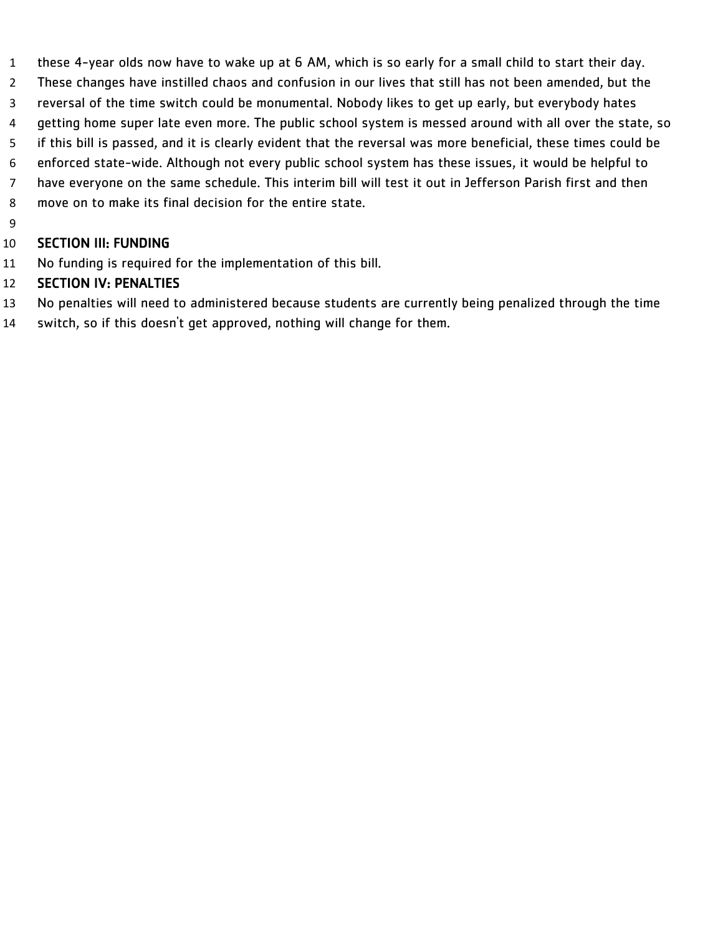- these 4-year olds now have to wake up at 6 AM, which is so early for a small child to start their day.
- These changes have instilled chaos and confusion in our lives that still has not been amended, but the
- reversal of the time switch could be monumental. Nobody likes to get up early, but everybody hates
- 4 getting home super late even more. The public school system is messed around with all over the state, so
- if this bill is passed, and it is clearly evident that the reversal was more beneficial, these times could be
- enforced state-wide. Although not every public school system has these issues, it would be helpful to have everyone on the same schedule. This interim bill will test it out in Jefferson Parish first and then
- move on to make its final decision for the entire state.
- 

### SECTION III: FUNDING

No funding is required for the implementation of this bill.

- No penalties will need to administered because students are currently being penalized through the time
- switch, so if this doesn't get approved, nothing will change for them.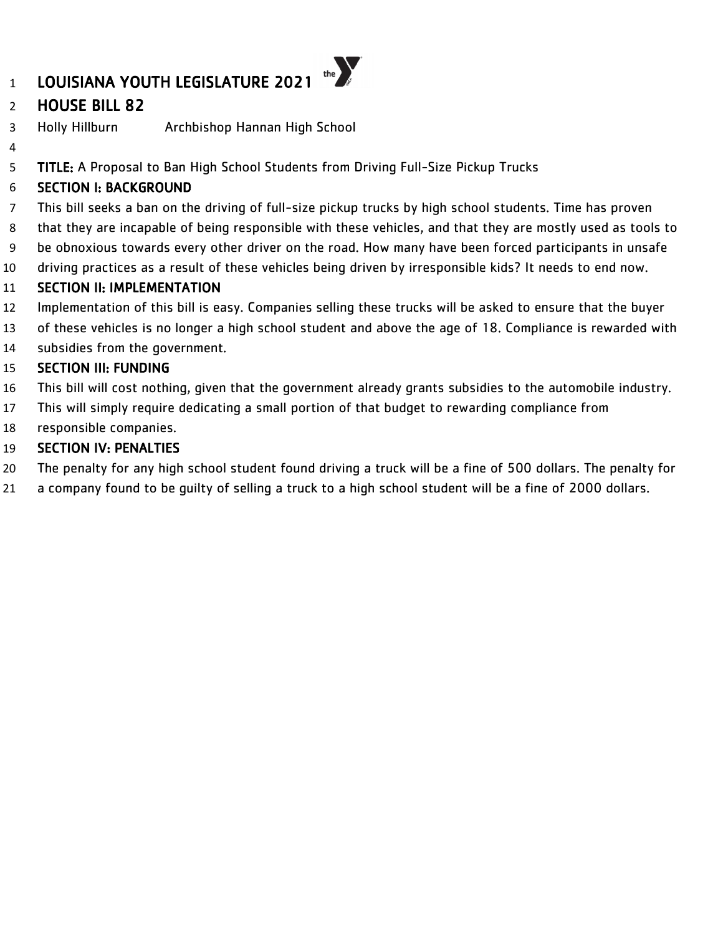## HOUSE BILL 82

Holly Hillburn Archbishop Hannan High School

5 TITLE: A Proposal to Ban High School Students from Driving Full-Size Pickup Trucks

### SECTION I: BACKGROUND

- This bill seeks a ban on the driving of full-size pickup trucks by high school students. Time has proven
- that they are incapable of being responsible with these vehicles, and that they are mostly used as tools to
- be obnoxious towards every other driver on the road. How many have been forced participants in unsafe
- driving practices as a result of these vehicles being driven by irresponsible kids? It needs to end now.

### SECTION II: IMPLEMENTATION

- Implementation of this bill is easy. Companies selling these trucks will be asked to ensure that the buyer
- of these vehicles is no longer a high school student and above the age of 18. Compliance is rewarded with
- subsidies from the government.

### SECTION III: FUNDING

- This bill will cost nothing, given that the government already grants subsidies to the automobile industry.
- This will simply require dedicating a small portion of that budget to rewarding compliance from
- responsible companies.

- The penalty for any high school student found driving a truck will be a fine of 500 dollars. The penalty for
- a company found to be guilty of selling a truck to a high school student will be a fine of 2000 dollars.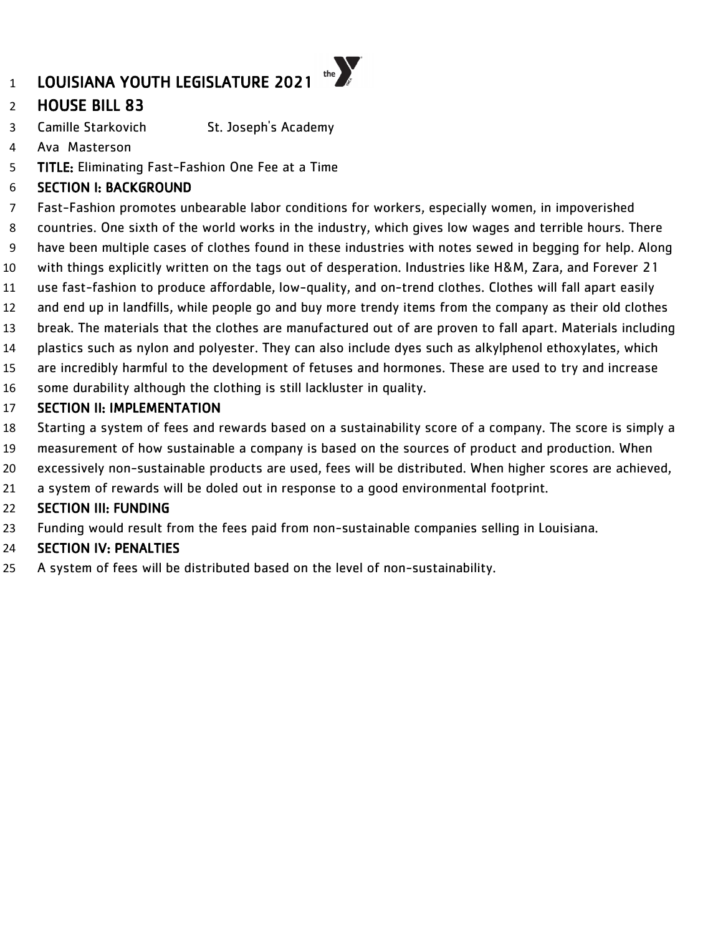## HOUSE BILL 83

- Camille Starkovich St. Joseph's Academy
- Ava Masterson
- TITLE: Eliminating Fast-Fashion One Fee at a Time

### SECTION I: BACKGROUND

- Fast-Fashion promotes unbearable labor conditions for workers, especially women, in impoverished
- countries. One sixth of the world works in the industry, which gives low wages and terrible hours. There
- have been multiple cases of clothes found in these industries with notes sewed in begging for help. Along
- with things explicitly written on the tags out of desperation. Industries like H&M, Zara, and Forever 21
- use fast-fashion to produce affordable, low-quality, and on-trend clothes. Clothes will fall apart easily
- and end up in landfills, while people go and buy more trendy items from the company as their old clothes
- break. The materials that the clothes are manufactured out of are proven to fall apart. Materials including plastics such as nylon and polyester. They can also include dyes such as alkylphenol ethoxylates, which
- are incredibly harmful to the development of fetuses and hormones. These are used to try and increase
- some durability although the clothing is still lackluster in quality.

### SECTION II: IMPLEMENTATION

- Starting a system of fees and rewards based on a sustainability score of a company. The score is simply a
- measurement of how sustainable a company is based on the sources of product and production. When
- excessively non-sustainable products are used, fees will be distributed. When higher scores are achieved,
- a system of rewards will be doled out in response to a good environmental footprint.

### SECTION III: FUNDING

Funding would result from the fees paid from non-sustainable companies selling in Louisiana.

### SECTION IV: PENALTIES

A system of fees will be distributed based on the level of non-sustainability.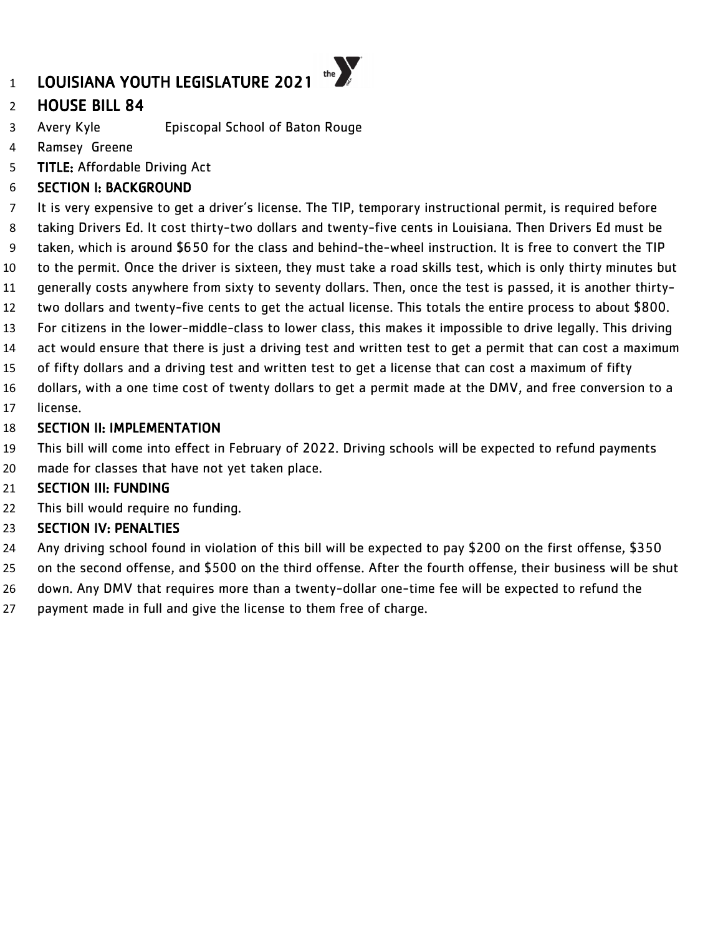## HOUSE BILL 84

- Avery Kyle Episcopal School of Baton Rouge
- Ramsey Greene
- TITLE: Affordable Driving Act

### SECTION I: BACKGROUND

 It is very expensive to get a driver's license. The TIP, temporary instructional permit, is required before taking Drivers Ed. It cost thirty-two dollars and twenty-five cents in Louisiana. Then Drivers Ed must be taken, which is around \$650 for the class and behind-the-wheel instruction. It is free to convert the TIP to the permit. Once the driver is sixteen, they must take a road skills test, which is only thirty minutes but generally costs anywhere from sixty to seventy dollars. Then, once the test is passed, it is another thirty- two dollars and twenty-five cents to get the actual license. This totals the entire process to about \$800. For citizens in the lower-middle-class to lower class, this makes it impossible to drive legally. This driving act would ensure that there is just a driving test and written test to get a permit that can cost a maximum of fifty dollars and a driving test and written test to get a license that can cost a maximum of fifty dollars, with a one time cost of twenty dollars to get a permit made at the DMV, and free conversion to a license.

#### SECTION II: IMPLEMENTATION

- This bill will come into effect in February of 2022. Driving schools will be expected to refund payments
- made for classes that have not yet taken place.

### SECTION III: FUNDING

22 This bill would require no funding.

- Any driving school found in violation of this bill will be expected to pay \$200 on the first offense, \$350
- on the second offense, and \$500 on the third offense. After the fourth offense, their business will be shut down. Any DMV that requires more than a twenty-dollar one-time fee will be expected to refund the
- payment made in full and give the license to them free of charge.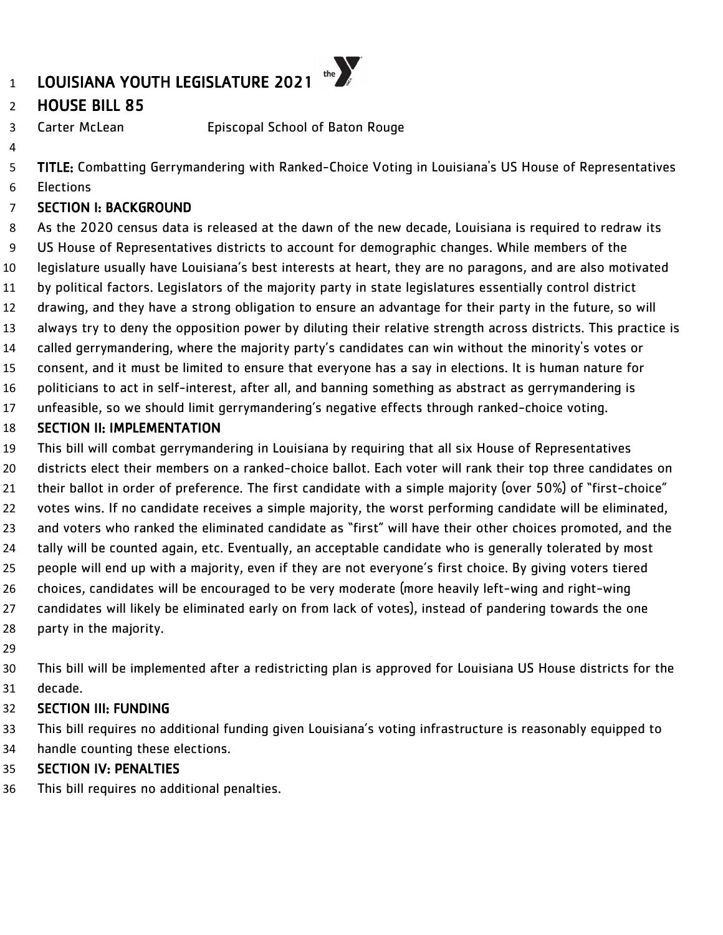### HOUSE BILL 85

Carter McLean Episcopal School of Baton Rouge

TITLE: Combatting Gerrymandering with Ranked-Choice Voting in Louisiana's US House of Representatives

Elections

### SECTION I: BACKGROUND

 As the 2020 census data is released at the dawn of the new decade, Louisiana is required to redraw its US House of Representatives districts to account for demographic changes. While members of the legislature usually have Louisiana's best interests at heart, they are no paragons, and are also motivated by political factors. Legislators of the majority party in state legislatures essentially control district drawing, and they have a strong obligation to ensure an advantage for their party in the future, so will always try to deny the opposition power by diluting their relative strength across districts. This practice is called gerrymandering, where the majority party's candidates can win without the minority's votes or consent, and it must be limited to ensure that everyone has a say in elections. It is human nature for politicians to act in self-interest, after all, and banning something as abstract as gerrymandering is unfeasible, so we should limit gerrymandering's negative effects through ranked-choice voting.

### SECTION II: IMPLEMENTATION

 This bill will combat gerrymandering in Louisiana by requiring that all six House of Representatives districts elect their members on a ranked-choice ballot. Each voter will rank their top three candidates on 21 their ballot in order of preference. The first candidate with a simple majority (over 50%) of "first-choice" votes wins. If no candidate receives a simple majority, the worst performing candidate will be eliminated, and voters who ranked the eliminated candidate as "first" will have their other choices promoted, and the tally will be counted again, etc. Eventually, an acceptable candidate who is generally tolerated by most people will end up with a majority, even if they are not everyone's first choice. By giving voters tiered choices, candidates will be encouraged to be very moderate (more heavily left-wing and right-wing candidates will likely be eliminated early on from lack of votes), instead of pandering towards the one party in the majority.

 This bill will be implemented after a redistricting plan is approved for Louisiana US House districts for the decade.

### SECTION III: FUNDING

 This bill requires no additional funding given Louisiana's voting infrastructure is reasonably equipped to handle counting these elections.

### SECTION IV: PENALTIES

This bill requires no additional penalties.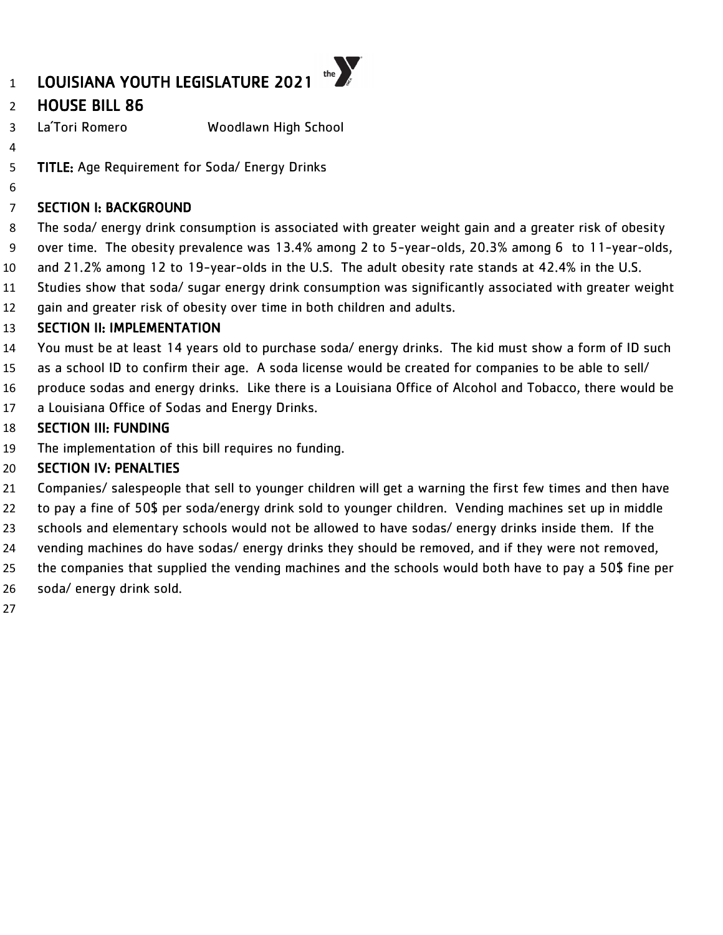## LOUISIANA YOUTH LEGISLATURE 2021

### HOUSE BILL 86

- La´Tori Romero Woodlawn High School
- 

TITLE: Age Requirement for Soda/ Energy Drinks

### SECTION I: BACKGROUND

 The soda/ energy drink consumption is associated with greater weight gain and a greater risk of obesity over time. The obesity prevalence was 13.4% among 2 to 5-year-olds, 20.3% among 6 to 11-year-olds, and 21.2% among 12 to 19-year-olds in the U.S. The adult obesity rate stands at 42.4% in the U.S.

the  $\sum_{k}$ 

- Studies show that soda/ sugar energy drink consumption was significantly associated with greater weight
- gain and greater risk of obesity over time in both children and adults.

### SECTION II: IMPLEMENTATION

- You must be at least 14 years old to purchase soda/ energy drinks. The kid must show a form of ID such
- as a school ID to confirm their age. A soda license would be created for companies to be able to sell/
- produce sodas and energy drinks. Like there is a Louisiana Office of Alcohol and Tobacco, there would be
- a Louisiana Office of Sodas and Energy Drinks.

### SECTION III: FUNDING

The implementation of this bill requires no funding.

- Companies/ salespeople that sell to younger children will get a warning the first few times and then have
- to pay a fine of 50\$ per soda/energy drink sold to younger children. Vending machines set up in middle
- schools and elementary schools would not be allowed to have sodas/ energy drinks inside them. If the
- vending machines do have sodas/ energy drinks they should be removed, and if they were not removed,
- the companies that supplied the vending machines and the schools would both have to pay a 50\$ fine per
- soda/ energy drink sold.
-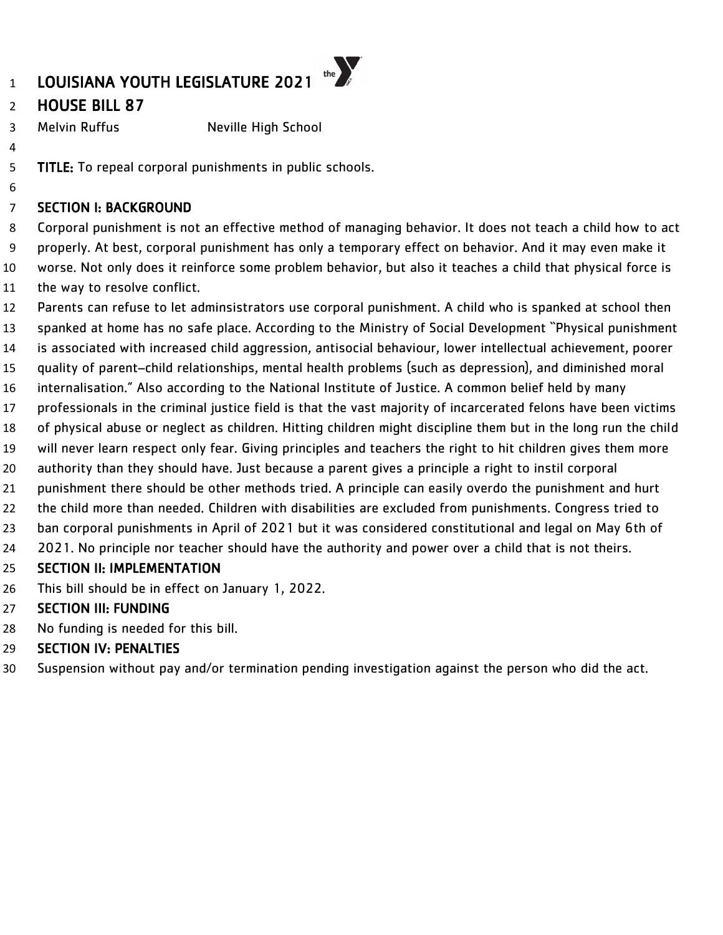### HOUSE BILL 87

3 Melvin Ruffus Neville High School

TITLE: To repeal corporal punishments in public schools.

### SECTION I: BACKGROUND

 Corporal punishment is not an effective method of managing behavior. It does not teach a child how to act properly. At best, corporal punishment has only a temporary effect on behavior. And it may even make it worse. Not only does it reinforce some problem behavior, but also it teaches a child that physical force is the way to resolve conflict.

- Parents can refuse to let adminsistrators use corporal punishment. A child who is spanked at school then
- spanked at home has no safe place. According to the Ministry of Social Development ``Physical punishment
- is associated with increased child aggression, antisocial behaviour, lower intellectual achievement, poorer
- quality of parent–child relationships, mental health problems (such as depression), and diminished moral
- internalisation." Also according to the National Institute of Justice. A common belief held by many
- professionals in the criminal justice field is that the vast majority of incarcerated felons have been victims
- of physical abuse or neglect as children. Hitting children might discipline them but in the long run the child
- will never learn respect only fear. Giving principles and teachers the right to hit children gives them more
- authority than they should have. Just because a parent gives a principle a right to instil corporal
- punishment there should be other methods tried. A principle can easily overdo the punishment and hurt
- the child more than needed. Children with disabilities are excluded from punishments. Congress tried to
- ban corporal punishments in April of 2021 but it was considered constitutional and legal on May 6th of
- 2021. No principle nor teacher should have the authority and power over a child that is not theirs.

### SECTION II: IMPLEMENTATION

This bill should be in effect on January 1, 2022.

### SECTION III: FUNDING

No funding is needed for this bill.

### SECTION IV: PENALTIES

Suspension without pay and/or termination pending investigation against the person who did the act.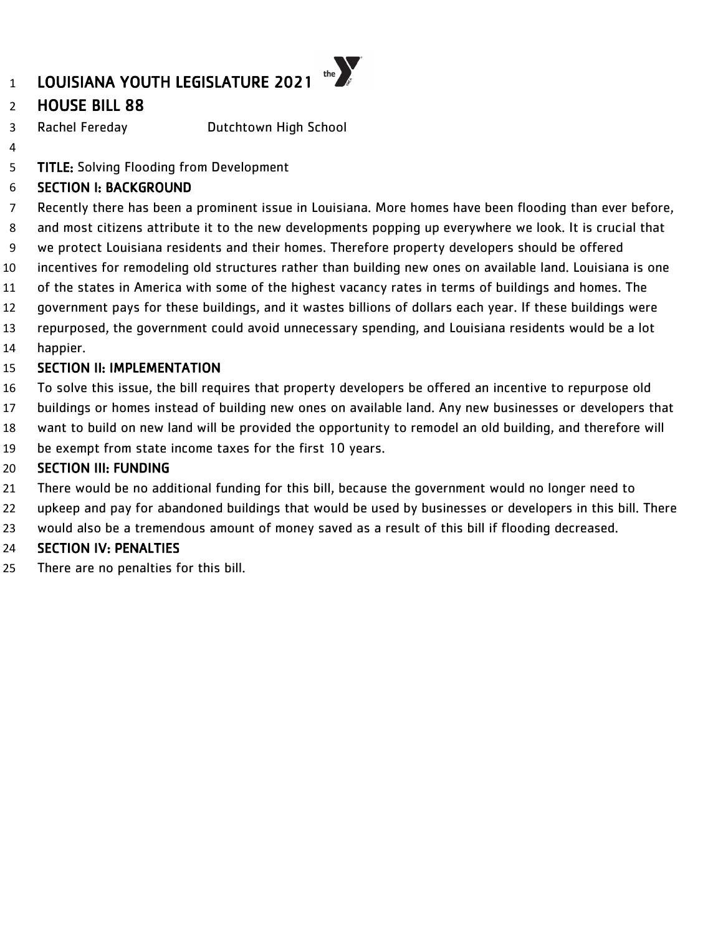### HOUSE BILL 88

Rachel Fereday Dutchtown High School

**TITLE:** Solving Flooding from Development

### SECTION I: BACKGROUND

 Recently there has been a prominent issue in Louisiana. More homes have been flooding than ever before, and most citizens attribute it to the new developments popping up everywhere we look. It is crucial that we protect Louisiana residents and their homes. Therefore property developers should be offered incentives for remodeling old structures rather than building new ones on available land. Louisiana is one of the states in America with some of the highest vacancy rates in terms of buildings and homes. The government pays for these buildings, and it wastes billions of dollars each year. If these buildings were repurposed, the government could avoid unnecessary spending, and Louisiana residents would be a lot happier.

#### SECTION II: IMPLEMENTATION

- To solve this issue, the bill requires that property developers be offered an incentive to repurpose old
- buildings or homes instead of building new ones on available land. Any new businesses or developers that
- want to build on new land will be provided the opportunity to remodel an old building, and therefore will
- be exempt from state income taxes for the first 10 years.

#### SECTION III: FUNDING

- There would be no additional funding for this bill, because the government would no longer need to
- upkeep and pay for abandoned buildings that would be used by businesses or developers in this bill. There
- would also be a tremendous amount of money saved as a result of this bill if flooding decreased.

### SECTION IV: PENALTIES

There are no penalties for this bill.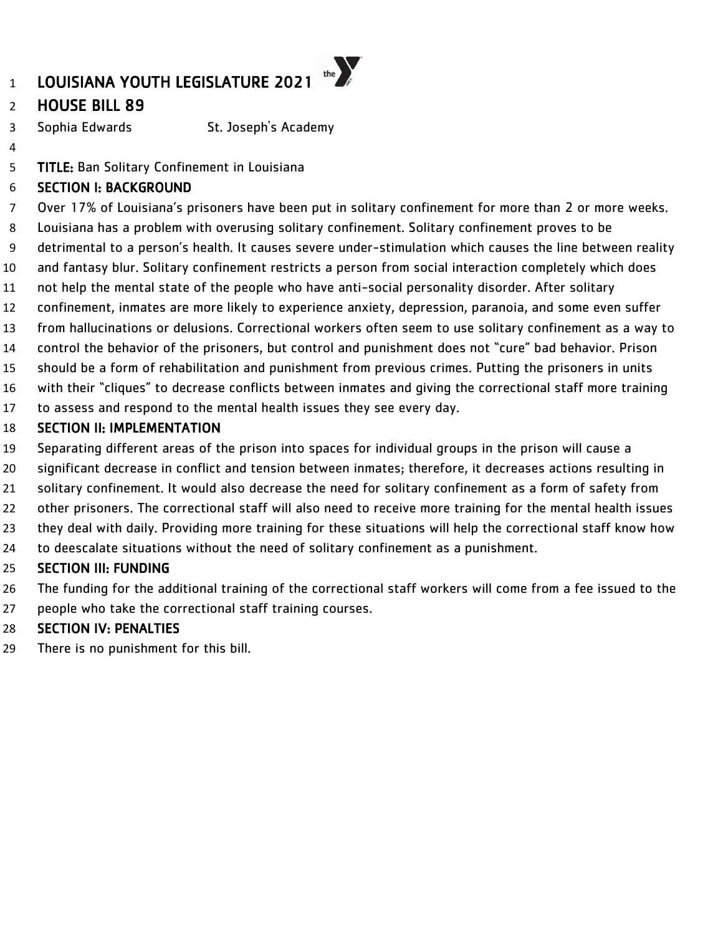### HOUSE BILL 89

- Sophia Edwards St. Joseph's Academy
- 

TITLE: Ban Solitary Confinement in Louisiana

### SECTION I: BACKGROUND

Over 17% of Louisiana's prisoners have been put in solitary confinement for more than 2 or more weeks.

- Louisiana has a problem with overusing solitary confinement. Solitary confinement proves to be
- detrimental to a person's health. It causes severe under-stimulation which causes the line between reality
- and fantasy blur. Solitary confinement restricts a person from social interaction completely which does
- not help the mental state of the people who have anti-social personality disorder. After solitary
- confinement, inmates are more likely to experience anxiety, depression, paranoia, and some even suffer
- from hallucinations or delusions. Correctional workers often seem to use solitary confinement as a way to
- control the behavior of the prisoners, but control and punishment does not "cure" bad behavior. Prison
- should be a form of rehabilitation and punishment from previous crimes. Putting the prisoners in units
- with their "cliques" to decrease conflicts between inmates and giving the correctional staff more training
- to assess and respond to the mental health issues they see every day.

#### SECTION II: IMPLEMENTATION

- Separating different areas of the prison into spaces for individual groups in the prison will cause a
- significant decrease in conflict and tension between inmates; therefore, it decreases actions resulting in
- solitary confinement. It would also decrease the need for solitary confinement as a form of safety from
- other prisoners. The correctional staff will also need to receive more training for the mental health issues
- they deal with daily. Providing more training for these situations will help the correctional staff know how
- to deescalate situations without the need of solitary confinement as a punishment.

### SECTION III: FUNDING

- The funding for the additional training of the correctional staff workers will come from a fee issued to the
- people who take the correctional staff training courses.

### SECTION IV: PENALTIES

There is no punishment for this bill.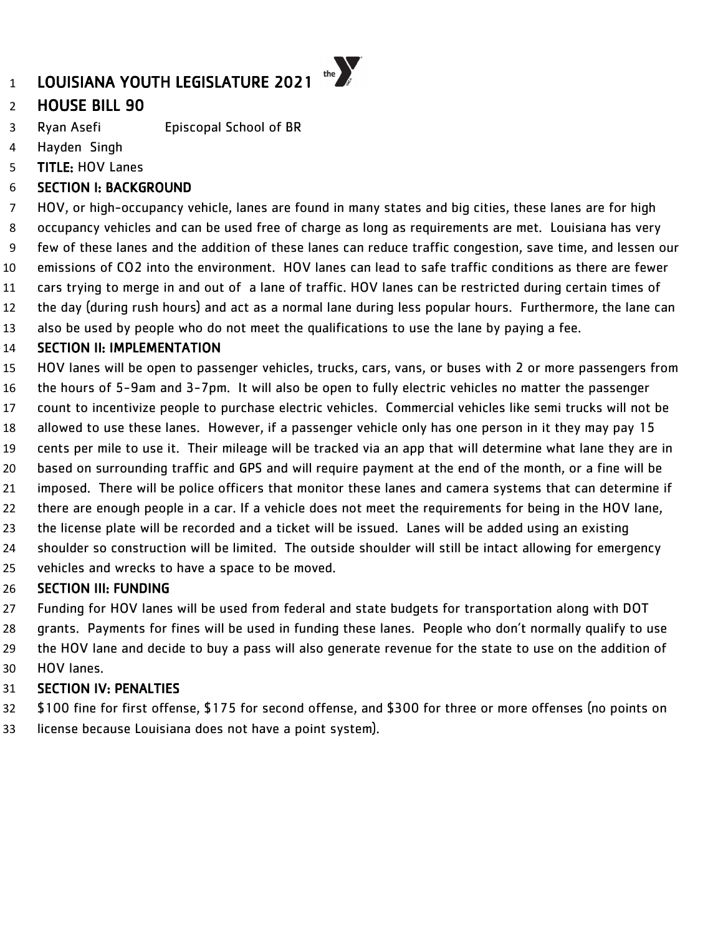# HOUSE BILL 90

- Ryan Asefi Episcopal School of BR
- Hayden Singh
- TITLE: HOV Lanes

## SECTION I: BACKGROUND

 HOV, or high-occupancy vehicle, lanes are found in many states and big cities, these lanes are for high occupancy vehicles and can be used free of charge as long as requirements are met. Louisiana has very few of these lanes and the addition of these lanes can reduce traffic congestion, save time, and lessen our emissions of CO2 into the environment. HOV lanes can lead to safe traffic conditions as there are fewer cars trying to merge in and out of a lane of traffic. HOV lanes can be restricted during certain times of the day (during rush hours) and act as a normal lane during less popular hours. Furthermore, the lane can also be used by people who do not meet the qualifications to use the lane by paying a fee.

### SECTION II: IMPLEMENTATION

HOV lanes will be open to passenger vehicles, trucks, cars, vans, or buses with 2 or more passengers from

- the hours of 5-9am and 3-7pm. It will also be open to fully electric vehicles no matter the passenger
- count to incentivize people to purchase electric vehicles. Commercial vehicles like semi trucks will not be
- allowed to use these lanes. However, if a passenger vehicle only has one person in it they may pay 15
- cents per mile to use it. Their mileage will be tracked via an app that will determine what lane they are in
- based on surrounding traffic and GPS and will require payment at the end of the month, or a fine will be
- imposed. There will be police officers that monitor these lanes and camera systems that can determine if
- there are enough people in a car. If a vehicle does not meet the requirements for being in the HOV lane,
- the license plate will be recorded and a ticket will be issued. Lanes will be added using an existing
- shoulder so construction will be limited. The outside shoulder will still be intact allowing for emergency
- vehicles and wrecks to have a space to be moved.

## SECTION III: FUNDING

- Funding for HOV lanes will be used from federal and state budgets for transportation along with DOT
- grants. Payments for fines will be used in funding these lanes. People who don't normally qualify to use the HOV lane and decide to buy a pass will also generate revenue for the state to use on the addition of
- HOV lanes.

## SECTION IV: PENALTIES

 \$100 fine for first offense, \$175 for second offense, and \$300 for three or more offenses (no points on license because Louisiana does not have a point system).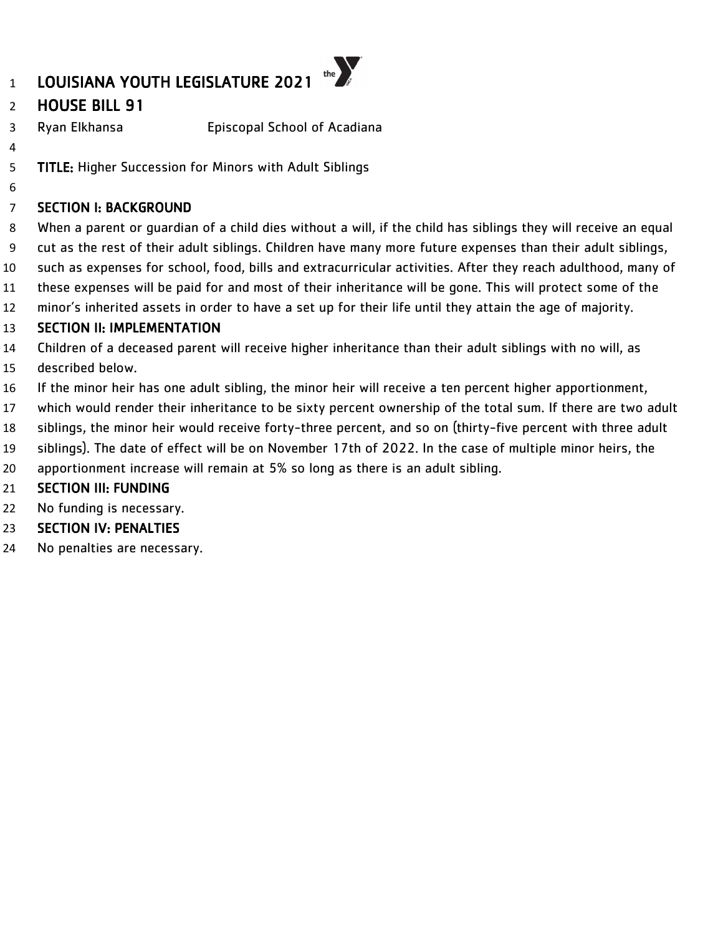## HOUSE BILL 91

- Ryan Elkhansa Episcopal School of Acadiana
- 

TITLE: Higher Succession for Minors with Adult Siblings

SECTION I: BACKGROUND

 When a parent or guardian of a child dies without a will, if the child has siblings they will receive an equal cut as the rest of their adult siblings. Children have many more future expenses than their adult siblings, such as expenses for school, food, bills and extracurricular activities. After they reach adulthood, many of these expenses will be paid for and most of their inheritance will be gone. This will protect some of the minor's inherited assets in order to have a set up for their life until they attain the age of majority.

## SECTION II: IMPLEMENTATION

Children of a deceased parent will receive higher inheritance than their adult siblings with no will, as

- described below.
- If the minor heir has one adult sibling, the minor heir will receive a ten percent higher apportionment,

which would render their inheritance to be sixty percent ownership of the total sum. If there are two adult

siblings, the minor heir would receive forty-three percent, and so on (thirty-five percent with three adult

siblings). The date of effect will be on November 17th of 2022. In the case of multiple minor heirs, the

apportionment increase will remain at 5% so long as there is an adult sibling.

## SECTION III: FUNDING

No funding is necessary.

## SECTION IV: PENALTIES

No penalties are necessary.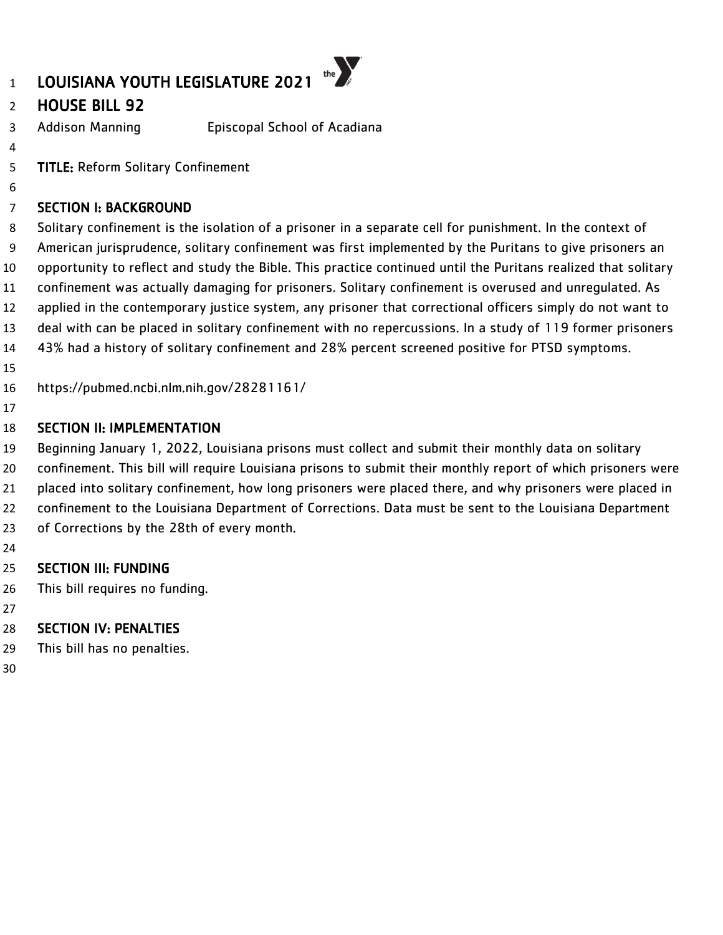# HOUSE BILL 92

- Addison Manning Episcopal School of Acadiana
- 

TITLE: Reform Solitary Confinement

## SECTION I: BACKGROUND

 Solitary confinement is the isolation of a prisoner in a separate cell for punishment. In the context of American jurisprudence, solitary confinement was first implemented by the Puritans to give prisoners an opportunity to reflect and study the Bible. This practice continued until the Puritans realized that solitary confinement was actually damaging for prisoners. Solitary confinement is overused and unregulated. As applied in the contemporary justice system, any prisoner that correctional officers simply do not want to deal with can be placed in solitary confinement with no repercussions. In a study of 119 former prisoners 43% had a history of solitary confinement and 28% percent screened positive for PTSD symptoms.

https://pubmed.ncbi.nlm.nih.gov/28281161/

## SECTION II: IMPLEMENTATION

 Beginning January 1, 2022, Louisiana prisons must collect and submit their monthly data on solitary confinement. This bill will require Louisiana prisons to submit their monthly report of which prisoners were placed into solitary confinement, how long prisoners were placed there, and why prisoners were placed in confinement to the Louisiana Department of Corrections. Data must be sent to the Louisiana Department 23 of Corrections by the 28th of every month.

## SECTION III: FUNDING

This bill requires no funding.

## SECTION IV: PENALTIES

- This bill has no penalties.
-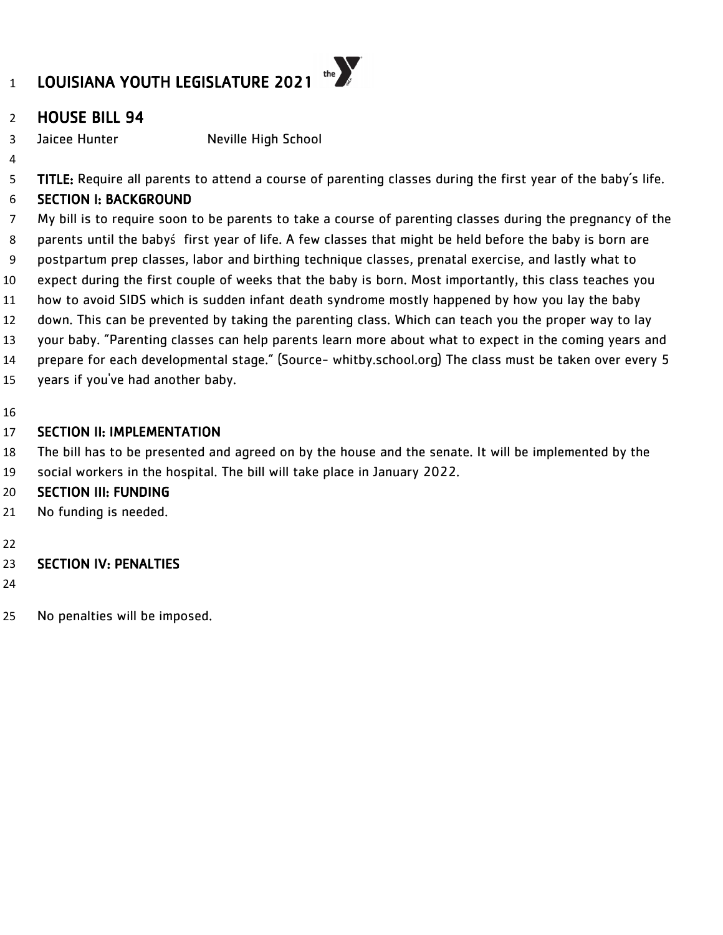

## HOUSE BILL 94

3 Jaicee Hunter Neville High School

5 TITLE: Require all parents to attend a course of parenting classes during the first year of the baby's life.

# SECTION I: BACKGROUND

 My bill is to require soon to be parents to take a course of parenting classes during the pregnancy of the parents until the babyś first year of life. A few classes that might be held before the baby is born are postpartum prep classes, labor and birthing technique classes, prenatal exercise, and lastly what to expect during the first couple of weeks that the baby is born. Most importantly, this class teaches you how to avoid SIDS which is sudden infant death syndrome mostly happened by how you lay the baby down. This can be prevented by taking the parenting class. Which can teach you the proper way to lay your baby. "Parenting classes can help parents learn more about what to expect in the coming years and prepare for each developmental stage." (Source- whitby.school.org) The class must be taken over every 5 years if you've had another baby.

## SECTION II: IMPLEMENTATION

 The bill has to be presented and agreed on by the house and the senate. It will be implemented by the social workers in the hospital. The bill will take place in January 2022.

## SECTION III: FUNDING

- No funding is needed.
- 

## SECTION IV: PENALTIES

- 
- No penalties will be imposed.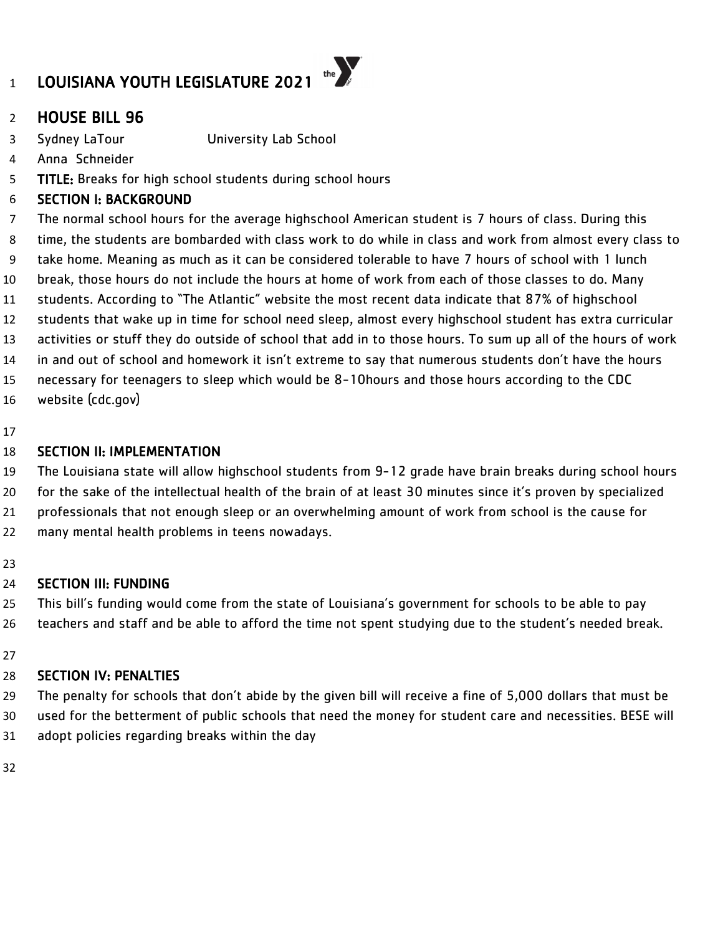

## HOUSE BILL 96

Sydney LaTour University Lab School

- Anna Schneider
- 5 TITLE: Breaks for high school students during school hours

### SECTION I: BACKGROUND

 The normal school hours for the average highschool American student is 7 hours of class. During this time, the students are bombarded with class work to do while in class and work from almost every class to take home. Meaning as much as it can be considered tolerable to have 7 hours of school with 1 lunch break, those hours do not include the hours at home of work from each of those classes to do. Many students. According to "The Atlantic" website the most recent data indicate that 87% of highschool students that wake up in time for school need sleep, almost every highschool student has extra curricular activities or stuff they do outside of school that add in to those hours. To sum up all of the hours of work in and out of school and homework it isn't extreme to say that numerous students don't have the hours necessary for teenagers to sleep which would be 8-10hours and those hours according to the CDC website (cdc.gov)

### SECTION II: IMPLEMENTATION

 The Louisiana state will allow highschool students from 9-12 grade have brain breaks during school hours for the sake of the intellectual health of the brain of at least 30 minutes since it's proven by specialized professionals that not enough sleep or an overwhelming amount of work from school is the cause for many mental health problems in teens nowadays.

## SECTION III: FUNDING

25 This bill's funding would come from the state of Louisiana's government for schools to be able to pay teachers and staff and be able to afford the time not spent studying due to the student's needed break.

## SECTION IV: PENALTIES

The penalty for schools that don't abide by the given bill will receive a fine of 5,000 dollars that must be

used for the betterment of public schools that need the money for student care and necessities. BESE will

adopt policies regarding breaks within the day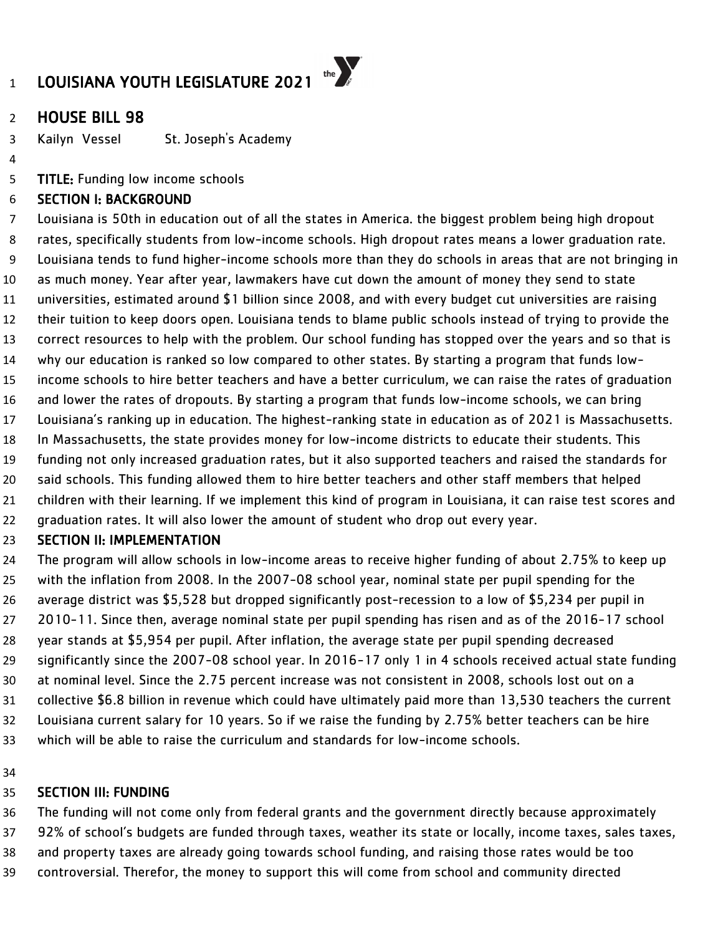

## HOUSE BILL 98

Kailyn Vessel St. Joseph's Academy

TITLE: Funding low income schools

#### SECTION I: BACKGROUND

 Louisiana is 50th in education out of all the states in America. the biggest problem being high dropout rates, specifically students from low-income schools. High dropout rates means a lower graduation rate. Louisiana tends to fund higher-income schools more than they do schools in areas that are not bringing in as much money. Year after year, lawmakers have cut down the amount of money they send to state universities, estimated around \$1 billion since 2008, and with every budget cut universities are raising their tuition to keep doors open. Louisiana tends to blame public schools instead of trying to provide the correct resources to help with the problem. Our school funding has stopped over the years and so that is why our education is ranked so low compared to other states. By starting a program that funds low- income schools to hire better teachers and have a better curriculum, we can raise the rates of graduation and lower the rates of dropouts. By starting a program that funds low-income schools, we can bring Louisiana's ranking up in education. The highest-ranking state in education as of 2021 is Massachusetts. In Massachusetts, the state provides money for low-income districts to educate their students. This funding not only increased graduation rates, but it also supported teachers and raised the standards for said schools. This funding allowed them to hire better teachers and other staff members that helped children with their learning. If we implement this kind of program in Louisiana, it can raise test scores and graduation rates. It will also lower the amount of student who drop out every year.

#### SECTION II: IMPLEMENTATION

 The program will allow schools in low-income areas to receive higher funding of about 2.75% to keep up with the inflation from 2008. In the 2007-08 school year, nominal state per pupil spending for the average district was \$5,528 but dropped significantly post-recession to a low of \$5,234 per pupil in 2010-11. Since then, average nominal state per pupil spending has risen and as of the 2016-17 school year stands at \$5,954 per pupil. After inflation, the average state per pupil spending decreased significantly since the 2007-08 school year. In 2016-17 only 1 in 4 schools received actual state funding at nominal level. Since the 2.75 percent increase was not consistent in 2008, schools lost out on a collective \$6.8 billion in revenue which could have ultimately paid more than 13,530 teachers the current Louisiana current salary for 10 years. So if we raise the funding by 2.75% better teachers can be hire which will be able to raise the curriculum and standards for low-income schools.

#### 

#### SECTION III: FUNDING

 The funding will not come only from federal grants and the government directly because approximately 92% of school's budgets are funded through taxes, weather its state or locally, income taxes, sales taxes, and property taxes are already going towards school funding, and raising those rates would be too

controversial. Therefor, the money to support this will come from school and community directed